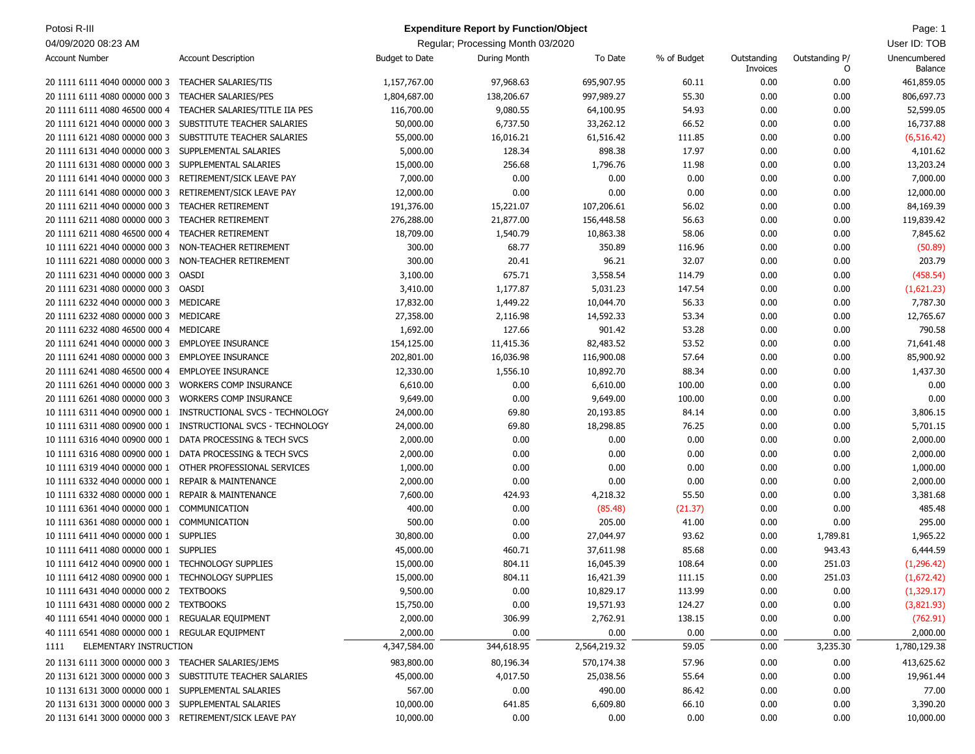| Potosi R-III                                            |                                                           |                       | <b>Expenditure Report by Function/Object</b> |              |             |             |                | Page: 1      |
|---------------------------------------------------------|-----------------------------------------------------------|-----------------------|----------------------------------------------|--------------|-------------|-------------|----------------|--------------|
| 04/09/2020 08:23 AM                                     |                                                           |                       | Regular; Processing Month 03/2020            |              |             |             |                | User ID: TOB |
| <b>Account Number</b>                                   | <b>Account Description</b>                                | <b>Budget to Date</b> | <b>During Month</b>                          | To Date      | % of Budget | Outstanding | Outstanding P/ | Unencumbered |
|                                                         |                                                           |                       |                                              |              |             | Invoices    | O              | Balance      |
| 20 1111 6111 4040 00000 000 3                           | <b>TEACHER SALARIES/TIS</b>                               | 1,157,767.00          | 97,968.63                                    | 695,907.95   | 60.11       | 0.00        | 0.00           | 461,859.05   |
| 20 1111 6111 4080 00000 000 3                           | <b>TEACHER SALARIES/PES</b>                               | 1,804,687.00          | 138,206.67                                   | 997,989.27   | 55.30       | 0.00        | 0.00           | 806,697.73   |
| 20 1111 6111 4080 46500 000 4                           | TEACHER SALARIES/TITLE IIA PES                            | 116,700.00            | 9,080.55                                     | 64,100.95    | 54.93       | 0.00        | 0.00           | 52,599.05    |
| 20 1111 6121 4040 00000 000 3                           | SUBSTITUTE TEACHER SALARIES                               | 50,000.00             | 6,737.50                                     | 33,262.12    | 66.52       | 0.00        | 0.00           | 16,737.88    |
| 20 1111 6121 4080 00000 000 3                           | SUBSTITUTE TEACHER SALARIES                               | 55,000.00             | 16,016.21                                    | 61,516.42    | 111.85      | 0.00        | 0.00           | (6, 516.42)  |
| 20 1111 6131 4040 00000 000 3                           | SUPPLEMENTAL SALARIES                                     | 5,000.00              | 128.34                                       | 898.38       | 17.97       | 0.00        | 0.00           | 4,101.62     |
| 20 1111 6131 4080 00000 000 3                           | SUPPLEMENTAL SALARIES                                     | 15,000.00             | 256.68                                       | 1,796.76     | 11.98       | 0.00        | 0.00           | 13,203.24    |
| 20 1111 6141 4040 00000 000 3                           | RETIREMENT/SICK LEAVE PAY                                 | 7,000.00              | 0.00                                         | 0.00         | 0.00        | 0.00        | 0.00           | 7,000.00     |
| 20 1111 6141 4080 00000 000 3                           | RETIREMENT/SICK LEAVE PAY                                 | 12,000.00             | 0.00                                         | 0.00         | 0.00        | 0.00        | 0.00           | 12,000.00    |
| 20 1111 6211 4040 00000 000 3                           | <b>TEACHER RETIREMENT</b>                                 | 191,376.00            | 15,221.07                                    | 107,206.61   | 56.02       | 0.00        | 0.00           | 84,169.39    |
| 20 1111 6211 4080 00000 000 3                           | TEACHER RETIREMENT                                        | 276,288.00            | 21,877.00                                    | 156,448.58   | 56.63       | 0.00        | 0.00           | 119,839.42   |
| 20 1111 6211 4080 46500 000 4                           | <b>TEACHER RETIREMENT</b>                                 | 18,709.00             | 1,540.79                                     | 10,863.38    | 58.06       | 0.00        | 0.00           | 7,845.62     |
| 10 1111 6221 4040 00000 000 3                           | NON-TEACHER RETIREMENT                                    | 300.00                | 68.77                                        | 350.89       | 116.96      | 0.00        | 0.00           | (50.89)      |
| 10 1111 6221 4080 00000 000 3                           | NON-TEACHER RETIREMENT                                    | 300.00                | 20.41                                        | 96.21        | 32.07       | 0.00        | 0.00           | 203.79       |
| 20 1111 6231 4040 00000 000 3                           | <b>OASDI</b>                                              | 3,100.00              | 675.71                                       | 3,558.54     | 114.79      | 0.00        | 0.00           | (458.54)     |
| 20 1111 6231 4080 00000 000 3                           | OASDI                                                     | 3,410.00              | 1,177.87                                     | 5,031.23     | 147.54      | 0.00        | 0.00           | (1,621.23)   |
| 20 1111 6232 4040 00000 000 3                           | MEDICARE                                                  | 17,832.00             | 1,449.22                                     | 10,044.70    | 56.33       | 0.00        | 0.00           | 7,787.30     |
| 20 1111 6232 4080 00000 000 3                           | MEDICARE                                                  | 27,358.00             | 2,116.98                                     | 14,592.33    | 53.34       | 0.00        | 0.00           | 12,765.67    |
| 20 1111 6232 4080 46500 000 4                           | MEDICARE                                                  | 1,692.00              | 127.66                                       | 901.42       | 53.28       | 0.00        | 0.00           | 790.58       |
| 20 1111 6241 4040 00000 000 3                           | <b>EMPLOYEE INSURANCE</b>                                 | 154,125.00            | 11,415.36                                    | 82,483.52    | 53.52       | 0.00        | 0.00           | 71,641.48    |
| 20 1111 6241 4080 00000 000 3                           | <b>EMPLOYEE INSURANCE</b>                                 | 202,801.00            | 16,036.98                                    | 116,900.08   | 57.64       | 0.00        | 0.00           | 85,900.92    |
|                                                         | <b>EMPLOYEE INSURANCE</b>                                 |                       |                                              |              |             |             |                |              |
| 20 1111 6241 4080 46500 000 4                           |                                                           | 12,330.00             | 1,556.10                                     | 10,892.70    | 88.34       | 0.00        | 0.00           | 1,437.30     |
| 20 1111 6261 4040 00000 000 3                           | <b>WORKERS COMP INSURANCE</b>                             | 6,610.00              | 0.00                                         | 6,610.00     | 100.00      | 0.00        | 0.00           | 0.00         |
| 20 1111 6261 4080 00000 000 3                           | <b>WORKERS COMP INSURANCE</b>                             | 9,649.00              | 0.00                                         | 9,649.00     | 100.00      | 0.00        | 0.00           | 0.00         |
| 10 1111 6311 4040 00900 000 1                           | INSTRUCTIONAL SVCS - TECHNOLOGY                           | 24,000.00             | 69.80                                        | 20,193.85    | 84.14       | 0.00        | 0.00           | 3,806.15     |
| 10 1111 6311 4080 00900 000 1                           | INSTRUCTIONAL SVCS - TECHNOLOGY                           | 24,000.00             | 69.80                                        | 18,298.85    | 76.25       | 0.00        | 0.00           | 5,701.15     |
| 10 1111 6316 4040 00900 000 1                           | DATA PROCESSING & TECH SVCS                               | 2,000.00              | 0.00                                         | 0.00         | 0.00        | 0.00        | 0.00           | 2,000.00     |
| 10 1111 6316 4080 00900 000 1                           | DATA PROCESSING & TECH SVCS                               | 2,000.00              | 0.00                                         | 0.00         | 0.00        | 0.00        | 0.00           | 2,000.00     |
| 10 1111 6319 4040 00000 000 1                           | OTHER PROFESSIONAL SERVICES                               | 1,000.00              | 0.00                                         | 0.00         | 0.00        | 0.00        | 0.00           | 1,000.00     |
| 10 1111 6332 4040 00000 000 1                           | <b>REPAIR &amp; MAINTENANCE</b>                           | 2,000.00              | 0.00                                         | 0.00         | 0.00        | 0.00        | 0.00           | 2,000.00     |
| 10 1111 6332 4080 00000 000 1                           | <b>REPAIR &amp; MAINTENANCE</b>                           | 7,600.00              | 424.93                                       | 4,218.32     | 55.50       | 0.00        | 0.00           | 3,381.68     |
| 10 1111 6361 4040 00000 000 1                           | COMMUNICATION                                             | 400.00                | 0.00                                         | (85.48)      | (21.37)     | 0.00        | 0.00           | 485.48       |
| 10 1111 6361 4080 00000 000 1                           | COMMUNICATION                                             | 500.00                | 0.00                                         | 205.00       | 41.00       | 0.00        | 0.00           | 295.00       |
| 10 1111 6411 4040 00000 000 1                           | <b>SUPPLIES</b>                                           | 30,800.00             | 0.00                                         | 27,044.97    | 93.62       | 0.00        | 1,789.81       | 1,965.22     |
| 10 1111 6411 4080 00000 000 1                           | <b>SUPPLIES</b>                                           | 45,000.00             | 460.71                                       | 37,611.98    | 85.68       | 0.00        | 943.43         | 6,444.59     |
| 10 1111 6412 4040 00900 000 1 TECHNOLOGY SUPPLIES       |                                                           | 15,000.00             | 804.11                                       | 16,045.39    | 108.64      | 0.00        | 251.03         | (1, 296.42)  |
| 10 1111 6412 4080 00900 000 1 TECHNOLOGY SUPPLIES       |                                                           | 15,000.00             | 804.11                                       | 16,421.39    | 111.15      | 0.00        | 251.03         | (1,672.42)   |
| 10 1111 6431 4040 00000 000 2 TEXTBOOKS                 |                                                           | 9,500.00              | 0.00                                         | 10,829.17    | 113.99      | 0.00        | 0.00           | (1,329.17)   |
| 10 1111 6431 4080 00000 000 2 TEXTBOOKS                 |                                                           | 15,750.00             | 0.00                                         | 19,571.93    | 124.27      | 0.00        | 0.00           | (3,821.93)   |
| 40 1111 6541 4040 00000 000 1 REGUALAR EQUIPMENT        |                                                           | 2,000.00              | 306.99                                       | 2,762.91     | 138.15      | 0.00        | 0.00           | (762.91)     |
| 40 1111 6541 4080 00000 000 1 REGULAR EQUIPMENT         |                                                           | 2,000.00              | 0.00                                         | 0.00         | 0.00        | 0.00        | 0.00           | 2,000.00     |
| ELEMENTARY INSTRUCTION<br>1111                          |                                                           | 4,347,584.00          | 344,618.95                                   | 2,564,219.32 | 59.05       | 0.00        | 3,235.30       | 1,780,129.38 |
| 20 1131 6111 3000 00000 000 3 TEACHER SALARIES/JEMS     |                                                           | 983,800.00            | 80,196.34                                    | 570,174.38   | 57.96       | 0.00        | 0.00           | 413,625.62   |
|                                                         | 20 1131 6121 3000 00000 000 3 SUBSTITUTE TEACHER SALARIES | 45,000.00             | 4,017.50                                     | 25,038.56    | 55.64       | 0.00        | 0.00           | 19,961.44    |
| 10 1131 6131 3000 00000 000 1 SUPPLEMENTAL SALARIES     |                                                           | 567.00                | 0.00                                         | 490.00       | 86.42       | 0.00        | 0.00           | 77.00        |
| 20 1131 6131 3000 00000 000 3 SUPPLEMENTAL SALARIES     |                                                           | 10,000.00             | 641.85                                       | 6,609.80     | 66.10       | 0.00        | 0.00           | 3,390.20     |
| 20 1131 6141 3000 00000 000 3 RETIREMENT/SICK LEAVE PAY |                                                           | 10,000.00             | 0.00                                         | 0.00         | 0.00        | 0.00        | 0.00           | 10,000.00    |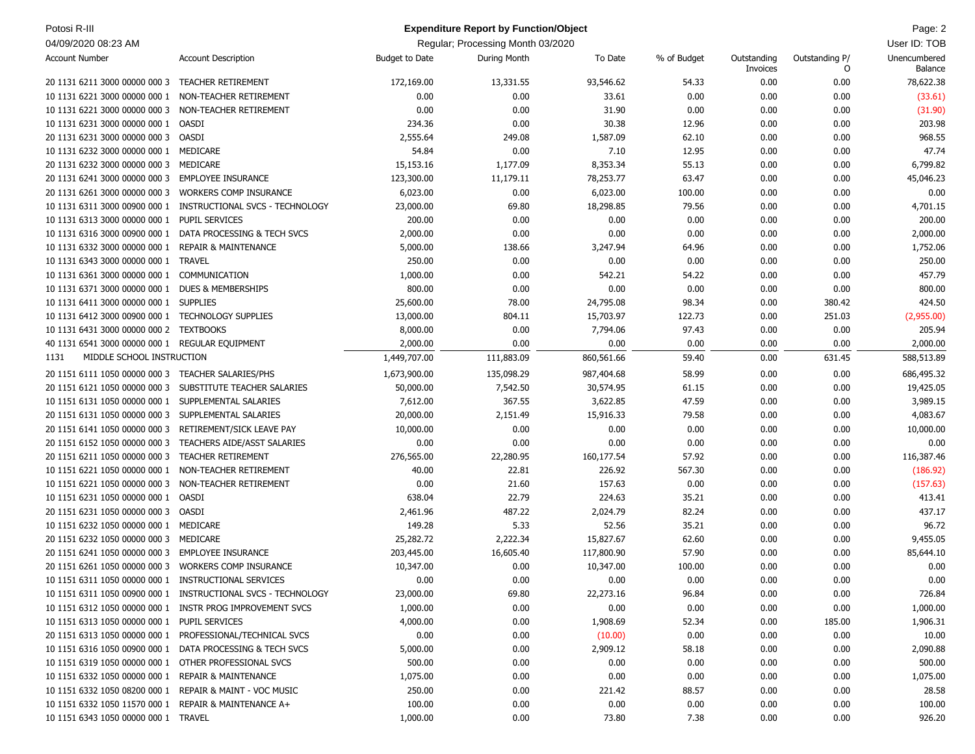| Potosi R-III                                          |                                                               |                       | <b>Expenditure Report by Function/Object</b> |            |             |                         |                     | Page: 2                 |
|-------------------------------------------------------|---------------------------------------------------------------|-----------------------|----------------------------------------------|------------|-------------|-------------------------|---------------------|-------------------------|
| 04/09/2020 08:23 AM                                   |                                                               |                       | Regular; Processing Month 03/2020            |            |             |                         |                     | User ID: TOB            |
| <b>Account Number</b>                                 | <b>Account Description</b>                                    | <b>Budget to Date</b> | During Month                                 | To Date    | % of Budget | Outstanding<br>Invoices | Outstanding P/<br>O | Unencumbered<br>Balance |
| 20 1131 6211 3000 00000 000 3                         | <b>TEACHER RETIREMENT</b>                                     | 172,169.00            | 13,331.55                                    | 93,546.62  | 54.33       | 0.00                    | 0.00                | 78,622.38               |
| 10 1131 6221 3000 00000 000 1                         | NON-TEACHER RETIREMENT                                        | 0.00                  | 0.00                                         | 33.61      | 0.00        | 0.00                    | 0.00                | (33.61)                 |
| 10 1131 6221 3000 00000 000 3                         | NON-TEACHER RETIREMENT                                        | 0.00                  | 0.00                                         | 31.90      | 0.00        | 0.00                    | 0.00                | (31.90)                 |
| 10 1131 6231 3000 00000 000 1                         | <b>OASDI</b>                                                  | 234.36                | 0.00                                         | 30.38      | 12.96       | 0.00                    | 0.00                | 203.98                  |
| 20 1131 6231 3000 00000 000 3 OASDI                   |                                                               | 2,555.64              | 249.08                                       | 1,587.09   | 62.10       | 0.00                    | 0.00                | 968.55                  |
| 10 1131 6232 3000 00000 000 1                         | MEDICARE                                                      | 54.84                 | 0.00                                         | 7.10       | 12.95       | 0.00                    | 0.00                | 47.74                   |
| 20 1131 6232 3000 00000 000 3                         | MEDICARE                                                      | 15,153.16             | 1,177.09                                     | 8,353.34   | 55.13       | 0.00                    | 0.00                | 6,799.82                |
| 20 1131 6241 3000 00000 000 3                         | <b>EMPLOYEE INSURANCE</b>                                     | 123,300.00            | 11,179.11                                    | 78,253.77  | 63.47       | 0.00                    | 0.00                | 45,046.23               |
| 20 1131 6261 3000 00000 000 3                         | <b>WORKERS COMP INSURANCE</b>                                 | 6,023.00              | 0.00                                         | 6,023.00   | 100.00      | 0.00                    | 0.00                | 0.00                    |
| 10 1131 6311 3000 00900 000 1                         | INSTRUCTIONAL SVCS - TECHNOLOGY                               | 23,000.00             | 69.80                                        | 18,298.85  | 79.56       | 0.00                    | 0.00                | 4,701.15                |
| 10 1131 6313 3000 00000 000 1                         | PUPIL SERVICES                                                | 200.00                | 0.00                                         | 0.00       | 0.00        | 0.00                    | 0.00                | 200.00                  |
| 10 1131 6316 3000 00900 000 1                         | DATA PROCESSING & TECH SVCS                                   | 2,000.00              | 0.00                                         | 0.00       | 0.00        | 0.00                    | 0.00                | 2,000.00                |
| 10 1131 6332 3000 00000 000 1                         | <b>REPAIR &amp; MAINTENANCE</b>                               | 5,000.00              | 138.66                                       | 3,247.94   | 64.96       | 0.00                    | 0.00                | 1,752.06                |
| 10 1131 6343 3000 00000 000 1                         | <b>TRAVEL</b>                                                 | 250.00                | 0.00                                         | 0.00       | 0.00        | 0.00                    | 0.00                | 250.00                  |
| 10 1131 6361 3000 00000 000 1                         | COMMUNICATION                                                 | 1,000.00              | 0.00                                         | 542.21     | 54.22       | 0.00                    | 0.00                | 457.79                  |
| 10 1131 6371 3000 00000 000 1                         | <b>DUES &amp; MEMBERSHIPS</b>                                 | 800.00                | 0.00                                         | 0.00       | 0.00        | 0.00                    | 0.00                | 800.00                  |
| 10 1131 6411 3000 00000 000 1                         | <b>SUPPLIES</b>                                               | 25,600.00             | 78.00                                        | 24,795.08  | 98.34       | 0.00                    | 380.42              | 424.50                  |
| 10 1131 6412 3000 00900 000 1                         | <b>TECHNOLOGY SUPPLIES</b>                                    | 13,000.00             | 804.11                                       | 15,703.97  | 122.73      | 0.00                    | 251.03              | (2,955.00)              |
| 10 1131 6431 3000 00000 000 2                         | <b>TEXTBOOKS</b>                                              | 8,000.00              | 0.00                                         | 7,794.06   | 97.43       | 0.00                    | 0.00                | 205.94                  |
| 40 1131 6541 3000 00000 000 1                         | <b>REGULAR EQUIPMENT</b>                                      | 2,000.00              | 0.00                                         | 0.00       | 0.00        | 0.00                    | 0.00                | 2,000.00                |
| MIDDLE SCHOOL INSTRUCTION<br>1131                     |                                                               | 1,449,707.00          | 111,883.09                                   | 860,561.66 | 59.40       | 0.00                    | 631.45              | 588,513.89              |
| 20 1151 6111 1050 00000 000 3                         | <b>TEACHER SALARIES/PHS</b>                                   | 1,673,900.00          | 135,098.29                                   | 987,404.68 | 58.99       | 0.00                    | 0.00                | 686,495.32              |
| 20 1151 6121 1050 00000 000 3                         | SUBSTITUTE TEACHER SALARIES                                   | 50,000.00             | 7,542.50                                     | 30,574.95  | 61.15       | 0.00                    | 0.00                | 19,425.05               |
| 10 1151 6131 1050 00000 000 1                         | SUPPLEMENTAL SALARIES                                         | 7,612.00              | 367.55                                       | 3,622.85   | 47.59       | 0.00                    | 0.00                | 3,989.15                |
| 20 1151 6131 1050 00000 000 3                         | SUPPLEMENTAL SALARIES                                         | 20,000.00             | 2,151.49                                     | 15,916.33  | 79.58       | 0.00                    | 0.00                | 4,083.67                |
| 20 1151 6141 1050 00000 000 3                         | RETIREMENT/SICK LEAVE PAY                                     | 10,000.00             | 0.00                                         | 0.00       | 0.00        | 0.00                    | 0.00                | 10,000.00               |
| 20 1151 6152 1050 00000 000 3                         | TEACHERS AIDE/ASST SALARIES                                   | 0.00                  | 0.00                                         | 0.00       | 0.00        | 0.00                    | 0.00                | 0.00                    |
| 20 1151 6211 1050 00000 000 3                         | <b>TEACHER RETIREMENT</b>                                     | 276,565.00            | 22,280.95                                    | 160,177.54 | 57.92       | 0.00                    | 0.00                | 116,387.46              |
| 10 1151 6221 1050 00000 000 1                         | NON-TEACHER RETIREMENT                                        | 40.00                 | 22.81                                        | 226.92     | 567.30      | 0.00                    | 0.00                | (186.92)                |
| 10 1151 6221 1050 00000 000 3                         | NON-TEACHER RETIREMENT                                        | 0.00                  | 21.60                                        | 157.63     | 0.00        | 0.00                    | 0.00                | (157.63)                |
| 10 1151 6231 1050 00000 000 1                         | OASDI                                                         | 638.04                | 22.79                                        | 224.63     | 35.21       | 0.00                    | 0.00                | 413.41                  |
| 20 1151 6231 1050 00000 000 3                         | OASDI                                                         | 2,461.96              | 487.22                                       | 2,024.79   | 82.24       | 0.00                    | 0.00                | 437.17                  |
| 10 1151 6232 1050 00000 000 1                         | MEDICARE                                                      | 149.28                | 5.33                                         | 52.56      | 35.21       | 0.00                    | 0.00                | 96.72                   |
| 20 1151 6232 1050 00000 000 3                         | MEDICARE                                                      | 25,282.72             | 2,222.34                                     | 15,827.67  | 62.60       | 0.00                    | 0.00                | 9,455.05                |
| 20 1151 6241 1050 00000 000 3 EMPLOYEE INSURANCE      |                                                               | 203,445.00            | 16,605.40                                    | 117,800.90 | 57.90       | 0.00                    | 0.00                | 85,644.10               |
| 20 1151 6261 1050 00000 000 3 WORKERS COMP INSURANCE  |                                                               | 10,347.00             | 0.00                                         | 10,347.00  | 100.00      | 0.00                    | 0.00                | 0.00                    |
| 10 1151 6311 1050 00000 000 1 INSTRUCTIONAL SERVICES  |                                                               | 0.00                  | 0.00                                         | 0.00       | 0.00        | 0.00                    | 0.00                | 0.00                    |
|                                                       | 10 1151 6311 1050 00900 000 1 INSTRUCTIONAL SVCS - TECHNOLOGY | 23,000.00             | 69.80                                        | 22,273.16  | 96.84       | 0.00                    | 0.00                | 726.84                  |
|                                                       | 10 1151 6312 1050 00000 000 1 INSTR PROG IMPROVEMENT SVCS     | 1,000.00              | 0.00                                         | 0.00       | 0.00        | 0.00                    | 0.00                | 1,000.00                |
| 10 1151 6313 1050 00000 000 1 PUPIL SERVICES          |                                                               | 4,000.00              | 0.00                                         | 1,908.69   | 52.34       | 0.00                    | 185.00              | 1,906.31                |
| 20 1151 6313 1050 00000 000 1                         | PROFESSIONAL/TECHNICAL SVCS                                   | 0.00                  | 0.00                                         | (10.00)    | 0.00        | 0.00                    | 0.00                | 10.00                   |
| 10 1151 6316 1050 00900 000 1                         | DATA PROCESSING & TECH SVCS                                   | 5,000.00              | 0.00                                         | 2,909.12   | 58.18       | 0.00                    | 0.00                | 2,090.88                |
| 10 1151 6319 1050 00000 000 1                         | OTHER PROFESSIONAL SVCS                                       | 500.00                | 0.00                                         | 0.00       | 0.00        | 0.00                    | 0.00                | 500.00                  |
| 10 1151 6332 1050 00000 000 1                         | <b>REPAIR &amp; MAINTENANCE</b>                               | 1,075.00              | 0.00                                         | 0.00       | 0.00        | 0.00                    | 0.00                | 1,075.00                |
| 10 1151 6332 1050 08200 000 1                         | REPAIR & MAINT - VOC MUSIC                                    | 250.00                | 0.00                                         | 221.42     | 88.57       | 0.00                    | 0.00                | 28.58                   |
| 10 1151 6332 1050 11570 000 1 REPAIR & MAINTENANCE A+ |                                                               | 100.00                | 0.00                                         | 0.00       | 0.00        | 0.00                    | 0.00                | 100.00                  |
| 10 1151 6343 1050 00000 000 1 TRAVEL                  |                                                               | 1,000.00              | 0.00                                         | 73.80      | 7.38        | 0.00                    | 0.00                | 926.20                  |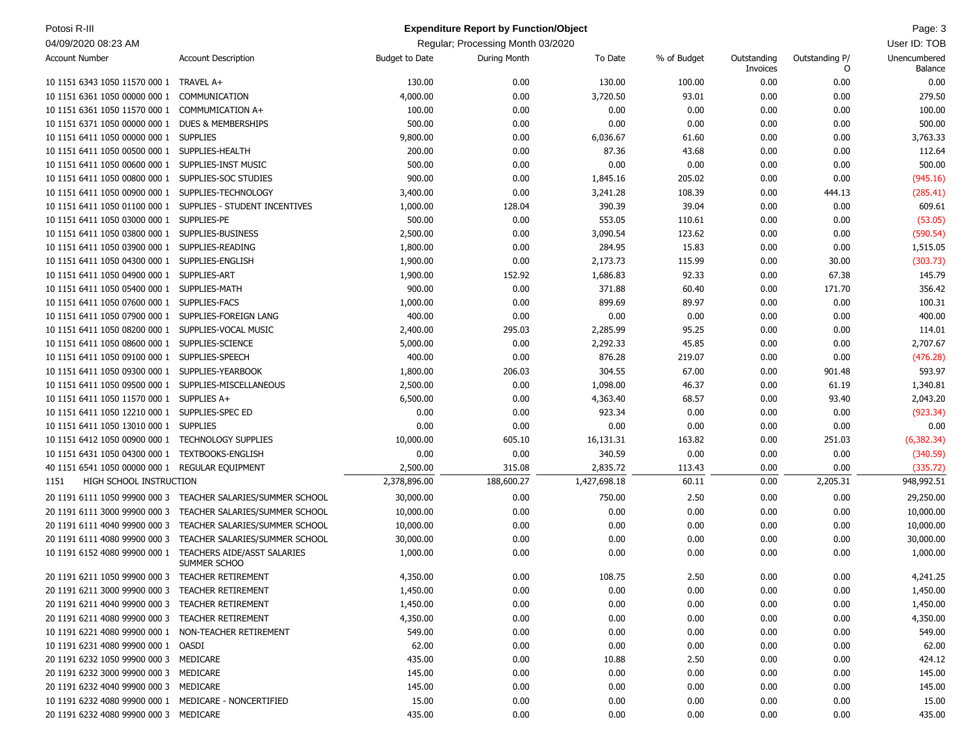| Potosi R-III<br><b>Expenditure Report by Function/Object</b> |                                                                           |                       |                                   |              |             |                         | Page: 3             |                         |
|--------------------------------------------------------------|---------------------------------------------------------------------------|-----------------------|-----------------------------------|--------------|-------------|-------------------------|---------------------|-------------------------|
| 04/09/2020 08:23 AM                                          |                                                                           |                       | Regular; Processing Month 03/2020 |              |             |                         |                     | User ID: TOB            |
| <b>Account Number</b>                                        | <b>Account Description</b>                                                | <b>Budget to Date</b> | During Month                      | To Date      | % of Budget | Outstanding<br>Invoices | Outstanding P/<br>0 | Unencumbered<br>Balance |
| 10 1151 6343 1050 11570 000 1 TRAVEL A+                      |                                                                           | 130.00                | 0.00                              | 130.00       | 100.00      | 0.00                    | 0.00                | 0.00                    |
| 10 1151 6361 1050 00000 000 1                                | COMMUNICATION                                                             | 4,000.00              | 0.00                              | 3,720.50     | 93.01       | 0.00                    | 0.00                | 279.50                  |
| 10 1151 6361 1050 11570 000 1 COMMUMICATION A+               |                                                                           | 100.00                | 0.00                              | 0.00         | 0.00        | 0.00                    | 0.00                | 100.00                  |
| 10 1151 6371 1050 00000 000 1                                | <b>DUES &amp; MEMBERSHIPS</b>                                             | 500.00                | 0.00                              | 0.00         | 0.00        | 0.00                    | 0.00                | 500.00                  |
| 10 1151 6411 1050 00000 000 1 SUPPLIES                       |                                                                           | 9,800.00              | 0.00                              | 6,036.67     | 61.60       | 0.00                    | 0.00                | 3,763.33                |
| 10 1151 6411 1050 00500 000 1 SUPPLIES-HEALTH                |                                                                           | 200.00                | 0.00                              | 87.36        | 43.68       | 0.00                    | 0.00                | 112.64                  |
| 10 1151 6411 1050 00600 000 1 SUPPLIES-INST MUSIC            |                                                                           | 500.00                | 0.00                              | 0.00         | 0.00        | 0.00                    | 0.00                | 500.00                  |
| 10 1151 6411 1050 00800 000 1                                | SUPPLIES-SOC STUDIES                                                      | 900.00                | 0.00                              | 1,845.16     | 205.02      | 0.00                    | 0.00                | (945.16)                |
| 10 1151 6411 1050 00900 000 1                                | SUPPLIES-TECHNOLOGY                                                       | 3,400.00              | 0.00                              | 3,241.28     | 108.39      | 0.00                    | 444.13              | (285.41)                |
| 10 1151 6411 1050 01100 000 1                                | SUPPLIES - STUDENT INCENTIVES                                             | 1,000.00              | 128.04                            | 390.39       | 39.04       | 0.00                    | 0.00                | 609.61                  |
| 10 1151 6411 1050 03000 000 1 SUPPLIES-PE                    |                                                                           | 500.00                | 0.00                              | 553.05       | 110.61      | 0.00                    | 0.00                | (53.05)                 |
| 10 1151 6411 1050 03800 000 1 SUPPLIES-BUSINESS              |                                                                           | 2,500.00              | 0.00                              | 3,090.54     | 123.62      | 0.00                    | 0.00                | (590.54)                |
| 10 1151 6411 1050 03900 000 1 SUPPLIES-READING               |                                                                           | 1,800.00              | 0.00                              | 284.95       | 15.83       | 0.00                    | 0.00                | 1,515.05                |
| 10 1151 6411 1050 04300 000 1 SUPPLIES-ENGLISH               |                                                                           | 1,900.00              | 0.00                              | 2,173.73     | 115.99      | 0.00                    | 30.00               | (303.73)                |
| 10 1151 6411 1050 04900 000 1 SUPPLIES-ART                   |                                                                           | 1,900.00              | 152.92                            | 1,686.83     | 92.33       | 0.00                    | 67.38               | 145.79                  |
| 10 1151 6411 1050 05400 000 1 SUPPLIES-MATH                  |                                                                           | 900.00                | 0.00                              | 371.88       | 60.40       | 0.00                    | 171.70              | 356.42                  |
| 10 1151 6411 1050 07600 000 1 SUPPLIES-FACS                  |                                                                           | 1,000.00              | 0.00                              | 899.69       | 89.97       | 0.00                    | 0.00                | 100.31                  |
| 10 1151 6411 1050 07900 000 1 SUPPLIES-FOREIGN LANG          |                                                                           | 400.00                | 0.00                              | 0.00         | 0.00        | 0.00                    | 0.00                | 400.00                  |
| 10 1151 6411 1050 08200 000 1 SUPPLIES-VOCAL MUSIC           |                                                                           | 2,400.00              | 295.03                            | 2,285.99     | 95.25       | 0.00                    | 0.00                | 114.01                  |
| 10 1151 6411 1050 08600 000 1 SUPPLIES-SCIENCE               |                                                                           | 5,000.00              | 0.00                              | 2,292.33     | 45.85       | 0.00                    | 0.00                | 2,707.67                |
| 10 1151 6411 1050 09100 000 1 SUPPLIES-SPEECH                |                                                                           | 400.00                | 0.00                              | 876.28       | 219.07      | 0.00                    | 0.00                | (476.28)                |
| 10 1151 6411 1050 09300 000 1 SUPPLIES-YEARBOOK              |                                                                           | 1,800.00              | 206.03                            | 304.55       | 67.00       | 0.00                    | 901.48              | 593.97                  |
| 10 1151 6411 1050 09500 000 1 SUPPLIES-MISCELLANEOUS         |                                                                           | 2,500.00              | 0.00                              | 1,098.00     | 46.37       | 0.00                    | 61.19               | 1,340.81                |
| 10 1151 6411 1050 11570 000 1 SUPPLIES A+                    |                                                                           | 6,500.00              | 0.00                              | 4,363.40     | 68.57       | 0.00                    | 93.40               | 2,043.20                |
| 10 1151 6411 1050 12210 000 1 SUPPLIES-SPEC ED               |                                                                           | 0.00                  | 0.00                              | 923.34       | 0.00        | 0.00                    | 0.00                | (923.34)                |
| 10 1151 6411 1050 13010 000 1 SUPPLIES                       |                                                                           | 0.00                  | 0.00                              | 0.00         | 0.00        | 0.00                    | 0.00                | 0.00                    |
| 10 1151 6412 1050 00900 000 1 TECHNOLOGY SUPPLIES            |                                                                           | 10,000.00             | 605.10                            | 16,131.31    | 163.82      | 0.00                    | 251.03              | (6, 382.34)             |
| 10 1151 6431 1050 04300 000 1 TEXTBOOKS-ENGLISH              |                                                                           | 0.00                  | 0.00                              | 340.59       | 0.00        | 0.00                    | 0.00                | (340.59)                |
| 40 1151 6541 1050 00000 000 1 REGULAR EQUIPMENT              |                                                                           | 2,500.00              | 315.08                            | 2,835.72     | 113.43      | 0.00                    | 0.00                | (335.72)                |
| HIGH SCHOOL INSTRUCTION<br>1151                              |                                                                           | 2,378,896.00          | 188,600.27                        | 1,427,698.18 | 60.11       | 0.00                    | 2,205.31            | 948,992.51              |
| 20 1191 6111 1050 99900 000 3                                | TEACHER SALARIES/SUMMER SCHOOL                                            | 30,000.00             | 0.00                              | 750.00       | 2.50        | 0.00                    | 0.00                | 29,250.00               |
| 20 1191 6111 3000 99900 000 3                                | TEACHER SALARIES/SUMMER SCHOOL                                            | 10,000.00             | 0.00                              | 0.00         | 0.00        | 0.00                    | 0.00                | 10,000.00               |
| 20 1191 6111 4040 99900 000 3                                | TEACHER SALARIES/SUMMER SCHOOL                                            | 10,000.00             | 0.00                              | 0.00         | 0.00        | 0.00                    | 0.00                | 10,000.00               |
| 20 1191 6111 4080 99900 000 3                                | TEACHER SALARIES/SUMMER SCHOOL                                            | 30,000.00             | 0.00                              | 0.00         | 0.00        | 0.00                    | 0.00                | 30,000.00               |
|                                                              | 10 1191 6152 4080 99900 000 1 TEACHERS AIDE/ASST SALARIES<br>SUMMER SCHOO | 1,000.00              | 0.00                              | 0.00         | 0.00        | 0.00                    | 0.00                | 1,000.00                |
| 20 1191 6211 1050 99900 000 3 TEACHER RETIREMENT             |                                                                           | 4,350.00              | 0.00                              | 108.75       | 2.50        | 0.00                    | 0.00                | 4,241.25                |
| 20 1191 6211 3000 99900 000 3 TEACHER RETIREMENT             |                                                                           | 1,450.00              | 0.00                              | 0.00         | 0.00        | 0.00                    | 0.00                | 1,450.00                |
| 20 1191 6211 4040 99900 000 3 TEACHER RETIREMENT             |                                                                           | 1,450.00              | 0.00                              | 0.00         | 0.00        | 0.00                    | 0.00                | 1,450.00                |
| 20 1191 6211 4080 99900 000 3 TEACHER RETIREMENT             |                                                                           | 4,350.00              | 0.00                              | 0.00         | 0.00        | 0.00                    | 0.00                | 4,350.00                |
| 10 1191 6221 4080 99900 000 1 NON-TEACHER RETIREMENT         |                                                                           | 549.00                | 0.00                              | 0.00         | 0.00        | 0.00                    | 0.00                | 549.00                  |
| 10 1191 6231 4080 99900 000 1 OASDI                          |                                                                           | 62.00                 | 0.00                              | 0.00         | 0.00        | 0.00                    | 0.00                | 62.00                   |
| 20 1191 6232 1050 99900 000 3 MEDICARE                       |                                                                           | 435.00                | 0.00                              | 10.88        | 2.50        | 0.00                    | 0.00                | 424.12                  |
| 20 1191 6232 3000 99900 000 3 MEDICARE                       |                                                                           | 145.00                | 0.00                              | 0.00         | 0.00        | 0.00                    | 0.00                | 145.00                  |
| 20 1191 6232 4040 99900 000 3 MEDICARE                       |                                                                           | 145.00                | 0.00                              | 0.00         | 0.00        | 0.00                    | 0.00                | 145.00                  |
| 10 1191 6232 4080 99900 000 1 MEDICARE - NONCERTIFIED        |                                                                           | 15.00                 | 0.00                              | 0.00         | 0.00        | 0.00                    | 0.00                | 15.00                   |
| 20 1191 6232 4080 99900 000 3 MEDICARE                       |                                                                           | 435.00                | 0.00                              | 0.00         | 0.00        | 0.00                    | 0.00                | 435.00                  |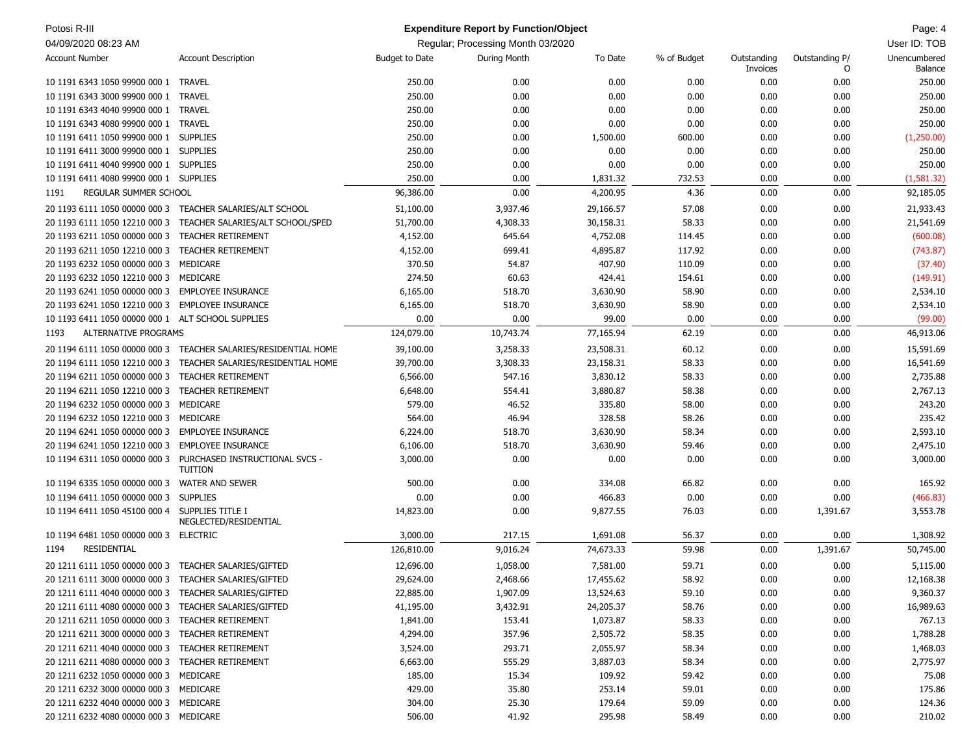| Potosi R-III                                          |                                                  |                       | <b>Expenditure Report by Function/Object</b> |           |             |                         |                     | Page: 4                 |
|-------------------------------------------------------|--------------------------------------------------|-----------------------|----------------------------------------------|-----------|-------------|-------------------------|---------------------|-------------------------|
| 04/09/2020 08:23 AM                                   |                                                  |                       | Regular; Processing Month 03/2020            |           |             |                         |                     | User ID: TOB            |
| <b>Account Number</b>                                 | <b>Account Description</b>                       | <b>Budget to Date</b> | During Month                                 | To Date   | % of Budget | Outstanding<br>Invoices | Outstanding P/<br>O | Unencumbered<br>Balance |
| 10 1191 6343 1050 99900 000 1                         | TRAVEL                                           | 250.00                | 0.00                                         | 0.00      | 0.00        | 0.00                    | 0.00                | 250.00                  |
| 10 1191 6343 3000 99900 000 1                         | <b>TRAVEL</b>                                    | 250.00                | 0.00                                         | 0.00      | 0.00        | 0.00                    | 0.00                | 250.00                  |
| 10 1191 6343 4040 99900 000 1                         | <b>TRAVEL</b>                                    | 250.00                | 0.00                                         | 0.00      | 0.00        | 0.00                    | 0.00                | 250.00                  |
| 10 1191 6343 4080 99900 000 1                         | <b>TRAVEL</b>                                    | 250.00                | 0.00                                         | 0.00      | 0.00        | 0.00                    | 0.00                | 250.00                  |
| 10 1191 6411 1050 99900 000 1 SUPPLIES                |                                                  | 250.00                | 0.00                                         | 1,500.00  | 600.00      | 0.00                    | 0.00                | (1,250.00)              |
| 10 1191 6411 3000 99900 000 1 SUPPLIES                |                                                  | 250.00                | 0.00                                         | 0.00      | 0.00        | 0.00                    | 0.00                | 250.00                  |
| 10 1191 6411 4040 99900 000 1                         | <b>SUPPLIES</b>                                  | 250.00                | 0.00                                         | 0.00      | 0.00        | 0.00                    | 0.00                | 250.00                  |
| 10 1191 6411 4080 99900 000 1 SUPPLIES                |                                                  | 250.00                | 0.00                                         | 1,831.32  | 732.53      | 0.00                    | 0.00                | (1,581.32)              |
| REGULAR SUMMER SCHOOL<br>1191                         |                                                  | 96,386.00             | 0.00                                         | 4,200.95  | 4.36        | 0.00                    | 0.00                | 92,185.05               |
| 20 1193 6111 1050 00000 000 3                         | TEACHER SALARIES/ALT SCHOOL                      | 51,100.00             | 3,937.46                                     | 29,166.57 | 57.08       | 0.00                    | 0.00                | 21,933.43               |
| 20 1193 6111 1050 12210 000 3                         | TEACHER SALARIES/ALT SCHOOL/SPED                 | 51,700.00             | 4,308.33                                     | 30,158.31 | 58.33       | 0.00                    | 0.00                | 21,541.69               |
| 20 1193 6211 1050 00000 000 3                         | <b>TEACHER RETIREMENT</b>                        | 4,152.00              | 645.64                                       | 4,752.08  | 114.45      | 0.00                    | 0.00                | (600.08)                |
| 20 1193 6211 1050 12210 000 3                         | <b>TEACHER RETIREMENT</b>                        | 4,152.00              | 699.41                                       | 4,895.87  | 117.92      | 0.00                    | 0.00                | (743.87)                |
| 20 1193 6232 1050 00000 000 3                         | MEDICARE                                         | 370.50                | 54.87                                        | 407.90    | 110.09      | 0.00                    | 0.00                | (37.40)                 |
| 20 1193 6232 1050 12210 000 3 MEDICARE                |                                                  | 274.50                | 60.63                                        | 424.41    | 154.61      | 0.00                    | 0.00                | (149.91)                |
| 20 1193 6241 1050 00000 000 3 EMPLOYEE INSURANCE      |                                                  | 6,165.00              | 518.70                                       | 3,630.90  | 58.90       | 0.00                    | 0.00                | 2,534.10                |
| 20 1193 6241 1050 12210 000 3                         | <b>EMPLOYEE INSURANCE</b>                        | 6,165.00              | 518.70                                       | 3,630.90  | 58.90       | 0.00                    | 0.00                | 2,534.10                |
| 10 1193 6411 1050 00000 000 1 ALT SCHOOL SUPPLIES     |                                                  | 0.00                  | 0.00                                         | 99.00     | 0.00        | 0.00                    | 0.00                | (99.00)                 |
| ALTERNATIVE PROGRAMS<br>1193                          |                                                  | 124,079.00            | 10,743.74                                    | 77,165.94 | 62.19       | 0.00                    | 0.00                | 46,913.06               |
| 20 1194 6111 1050 00000 000 3                         | TEACHER SALARIES/RESIDENTIAL HOME                | 39,100.00             | 3,258.33                                     | 23,508.31 | 60.12       | 0.00                    | 0.00                | 15,591.69               |
| 20 1194 6111 1050 12210 000 3                         | TEACHER SALARIES/RESIDENTIAL HOME                | 39,700.00             | 3,308.33                                     | 23,158.31 | 58.33       | 0.00                    | 0.00                | 16,541.69               |
| 20 1194 6211 1050 00000 000 3                         | <b>TEACHER RETIREMENT</b>                        | 6,566.00              | 547.16                                       | 3,830.12  | 58.33       | 0.00                    | 0.00                | 2,735.88                |
| 20 1194 6211 1050 12210 000 3                         | <b>TEACHER RETIREMENT</b>                        | 6,648.00              | 554.41                                       | 3,880.87  | 58.38       | 0.00                    | 0.00                | 2,767.13                |
| 20 1194 6232 1050 00000 000 3                         | MEDICARE                                         | 579.00                | 46.52                                        | 335.80    | 58.00       | 0.00                    | 0.00                | 243.20                  |
| 20 1194 6232 1050 12210 000 3                         | MEDICARE                                         | 564.00                | 46.94                                        | 328.58    | 58.26       | 0.00                    | 0.00                | 235.42                  |
| 20 1194 6241 1050 00000 000 3                         | <b>EMPLOYEE INSURANCE</b>                        | 6,224.00              | 518.70                                       | 3,630.90  | 58.34       | 0.00                    | 0.00                | 2,593.10                |
| 20 1194 6241 1050 12210 000 3                         | <b>EMPLOYEE INSURANCE</b>                        | 6,106.00              | 518.70                                       | 3,630.90  | 59.46       | 0.00                    | 0.00                | 2,475.10                |
| 10 1194 6311 1050 00000 000 3                         | PURCHASED INSTRUCTIONAL SVCS -<br><b>TUITION</b> | 3,000.00              | 0.00                                         | 0.00      | 0.00        | 0.00                    | 0.00                | 3,000.00                |
| 10 1194 6335 1050 00000 000 3                         | <b>WATER AND SEWER</b>                           | 500.00                | 0.00                                         | 334.08    | 66.82       | 0.00                    | 0.00                | 165.92                  |
| 10 1194 6411 1050 00000 000 3                         | <b>SUPPLIES</b>                                  | 0.00                  | 0.00                                         | 466.83    | 0.00        | 0.00                    | 0.00                | (466.83)                |
| 10 1194 6411 1050 45100 000 4 SUPPLIES TITLE I        | NEGLECTED/RESIDENTIAL                            | 14,823.00             | 0.00                                         | 9,877.55  | 76.03       | 0.00                    | 1,391.67            | 3,553.78                |
| 10 1194 6481 1050 00000 000 3 ELECTRIC                |                                                  | 3,000.00              | 217.15                                       | 1,691.08  | 56.37       | 0.00                    | 0.00                | 1,308.92                |
| <b>RESIDENTIAL</b><br>1194                            |                                                  | 126,810.00            | 9,016.24                                     | 74,673.33 | 59.98       | 0.00                    | 1,391.67            | 50,745.00               |
| 20 1211 6111 1050 00000 000 3 TEACHER SALARIES/GIFTED |                                                  | 12,696.00             | 1,058.00                                     | 7,581.00  | 59.71       | 0.00                    | 0.00                | 5,115.00                |
| 20 1211 6111 3000 00000 000 3 TEACHER SALARIES/GIFTED |                                                  | 29,624.00             | 2,468.66                                     | 17,455.62 | 58.92       | 0.00                    | 0.00                | 12,168.38               |
| 20 1211 6111 4040 00000 000 3 TEACHER SALARIES/GIFTED |                                                  | 22,885.00             | 1,907.09                                     | 13,524.63 | 59.10       | 0.00                    | 0.00                | 9,360.37                |
| 20 1211 6111 4080 00000 000 3 TEACHER SALARIES/GIFTED |                                                  | 41,195.00             | 3,432.91                                     | 24,205.37 | 58.76       | 0.00                    | 0.00                | 16,989.63               |
| 20 1211 6211 1050 00000 000 3 TEACHER RETIREMENT      |                                                  | 1,841.00              | 153.41                                       | 1,073.87  | 58.33       | 0.00                    | 0.00                | 767.13                  |
| 20 1211 6211 3000 00000 000 3 TEACHER RETIREMENT      |                                                  | 4,294.00              | 357.96                                       | 2,505.72  | 58.35       | 0.00                    | 0.00                | 1,788.28                |
| 20 1211 6211 4040 00000 000 3 TEACHER RETIREMENT      |                                                  | 3,524.00              | 293.71                                       | 2,055.97  | 58.34       | 0.00                    | 0.00                | 1,468.03                |
| 20 1211 6211 4080 00000 000 3 TEACHER RETIREMENT      |                                                  | 6,663.00              | 555.29                                       | 3,887.03  | 58.34       | 0.00                    | 0.00                | 2,775.97                |
| 20 1211 6232 1050 00000 000 3 MEDICARE                |                                                  | 185.00                | 15.34                                        | 109.92    | 59.42       | 0.00                    | 0.00                | 75.08                   |
| 20 1211 6232 3000 00000 000 3 MEDICARE                |                                                  | 429.00                | 35.80                                        | 253.14    | 59.01       | 0.00                    | 0.00                | 175.86                  |
| 20 1211 6232 4040 00000 000 3 MEDICARE                |                                                  | 304.00                | 25.30                                        | 179.64    | 59.09       | 0.00                    | 0.00                | 124.36                  |
| 20 1211 6232 4080 00000 000 3 MEDICARE                |                                                  | 506.00                | 41.92                                        | 295.98    | 58.49       | 0.00                    | 0.00                | 210.02                  |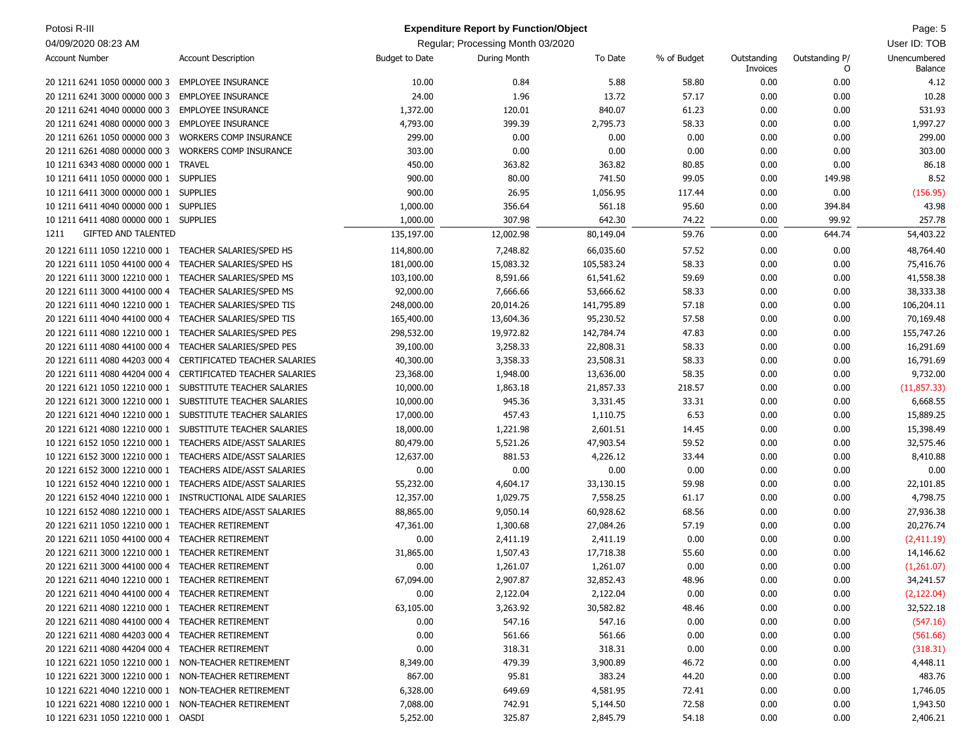| Potosi R-III                                         |                                                           |                       | <b>Expenditure Report by Function/Object</b> |            |             |                         |                     | Page: 5                        |
|------------------------------------------------------|-----------------------------------------------------------|-----------------------|----------------------------------------------|------------|-------------|-------------------------|---------------------|--------------------------------|
| 04/09/2020 08:23 AM                                  |                                                           |                       | Regular; Processing Month 03/2020            |            |             |                         |                     | User ID: TOB                   |
| <b>Account Number</b>                                | <b>Account Description</b>                                | <b>Budget to Date</b> | During Month                                 | To Date    | % of Budget | Outstanding<br>Invoices | Outstanding P/<br>O | Unencumbered<br><b>Balance</b> |
| 20 1211 6241 1050 00000 000 3                        | <b>EMPLOYEE INSURANCE</b>                                 | 10.00                 | 0.84                                         | 5.88       | 58.80       | 0.00                    | 0.00                | 4.12                           |
| 20 1211 6241 3000 00000 000 3                        | <b>EMPLOYEE INSURANCE</b>                                 | 24.00                 | 1.96                                         | 13.72      | 57.17       | 0.00                    | 0.00                | 10.28                          |
| 20 1211 6241 4040 00000 000 3                        | <b>EMPLOYEE INSURANCE</b>                                 | 1,372.00              | 120.01                                       | 840.07     | 61.23       | 0.00                    | 0.00                | 531.93                         |
| 20 1211 6241 4080 00000 000 3                        | <b>EMPLOYEE INSURANCE</b>                                 | 4,793.00              | 399.39                                       | 2,795.73   | 58.33       | 0.00                    | 0.00                | 1,997.27                       |
| 20 1211 6261 1050 00000 000 3                        | WORKERS COMP INSURANCE                                    | 299.00                | 0.00                                         | 0.00       | 0.00        | 0.00                    | 0.00                | 299.00                         |
| 20 1211 6261 4080 00000 000 3                        | <b>WORKERS COMP INSURANCE</b>                             | 303.00                | 0.00                                         | 0.00       | 0.00        | 0.00                    | 0.00                | 303.00                         |
| 10 1211 6343 4080 00000 000 1                        | <b>TRAVEL</b>                                             | 450.00                | 363.82                                       | 363.82     | 80.85       | 0.00                    | 0.00                | 86.18                          |
| 10 1211 6411 1050 00000 000 1 SUPPLIES               |                                                           | 900.00                | 80.00                                        | 741.50     | 99.05       | 0.00                    | 149.98              | 8.52                           |
| 10 1211 6411 3000 00000 000 1 SUPPLIES               |                                                           | 900.00                | 26.95                                        | 1,056.95   | 117.44      | 0.00                    | 0.00                | (156.95)                       |
| 10 1211 6411 4040 00000 000 1 SUPPLIES               |                                                           | 1,000.00              | 356.64                                       | 561.18     | 95.60       | 0.00                    | 394.84              | 43.98                          |
| 10 1211 6411 4080 00000 000 1 SUPPLIES               |                                                           | 1,000.00              | 307.98                                       | 642.30     | 74.22       | 0.00                    | 99.92               | 257.78                         |
| <b>GIFTED AND TALENTED</b><br>1211                   |                                                           | 135,197.00            | 12,002.98                                    | 80,149.04  | 59.76       | 0.00                    | 644.74              | 54,403.22                      |
| 20 1221 6111 1050 12210 000 1                        | TEACHER SALARIES/SPED HS                                  | 114,800.00            | 7,248.82                                     | 66,035.60  | 57.52       | 0.00                    | 0.00                | 48,764.40                      |
| 20 1221 6111 1050 44100 000 4                        | TEACHER SALARIES/SPED HS                                  | 181,000.00            | 15,083.32                                    | 105,583.24 | 58.33       | 0.00                    | 0.00                | 75,416.76                      |
| 20 1221 6111 3000 12210 000 1                        | TEACHER SALARIES/SPED MS                                  | 103,100.00            | 8,591.66                                     | 61,541.62  | 59.69       | 0.00                    | 0.00                | 41,558.38                      |
| 20 1221 6111 3000 44100 000 4                        | TEACHER SALARIES/SPED MS                                  | 92,000.00             | 7,666.66                                     | 53,666.62  | 58.33       | 0.00                    | 0.00                | 38,333.38                      |
| 20 1221 6111 4040 12210 000 1                        | TEACHER SALARIES/SPED TIS                                 | 248,000.00            | 20,014.26                                    | 141,795.89 | 57.18       | 0.00                    | 0.00                | 106,204.11                     |
| 20 1221 6111 4040 44100 000 4                        | TEACHER SALARIES/SPED TIS                                 | 165,400.00            | 13,604.36                                    | 95,230.52  | 57.58       | 0.00                    | 0.00                | 70,169.48                      |
| 20 1221 6111 4080 12210 000 1                        | TEACHER SALARIES/SPED PES                                 | 298,532.00            | 19,972.82                                    | 142,784.74 | 47.83       | 0.00                    | 0.00                | 155,747.26                     |
| 20 1221 6111 4080 44100 000 4                        | TEACHER SALARIES/SPED PES                                 | 39,100.00             | 3,258.33                                     | 22,808.31  | 58.33       | 0.00                    | 0.00                | 16,291.69                      |
| 20 1221 6111 4080 44203 000 4                        | CERTIFICATED TEACHER SALARIES                             | 40,300.00             | 3,358.33                                     | 23,508.31  | 58.33       | 0.00                    | 0.00                | 16,791.69                      |
| 20 1221 6111 4080 44204 000 4                        | CERTIFICATED TEACHER SALARIES                             | 23,368.00             | 1,948.00                                     | 13,636.00  | 58.35       | 0.00                    | 0.00                | 9,732.00                       |
| 20 1221 6121 1050 12210 000 1                        | SUBSTITUTE TEACHER SALARIES                               | 10,000.00             | 1,863.18                                     | 21,857.33  | 218.57      | 0.00                    | 0.00                | (11, 857.33)                   |
|                                                      | 20 1221 6121 3000 12210 000 1 SUBSTITUTE TEACHER SALARIES | 10,000.00             | 945.36                                       | 3,331.45   | 33.31       | 0.00                    | 0.00                | 6,668.55                       |
|                                                      | 20 1221 6121 4040 12210 000 1 SUBSTITUTE TEACHER SALARIES | 17,000.00             | 457.43                                       | 1,110.75   | 6.53        | 0.00                    | 0.00                | 15,889.25                      |
|                                                      | 20 1221 6121 4080 12210 000 1 SUBSTITUTE TEACHER SALARIES | 18,000.00             | 1,221.98                                     | 2,601.51   | 14.45       | 0.00                    | 0.00                | 15,398.49                      |
| 10 1221 6152 1050 12210 000 1                        | TEACHERS AIDE/ASST SALARIES                               | 80,479.00             | 5,521.26                                     | 47,903.54  | 59.52       | 0.00                    | 0.00                | 32,575.46                      |
| 10 1221 6152 3000 12210 000 1                        | TEACHERS AIDE/ASST SALARIES                               | 12,637.00             | 881.53                                       | 4,226.12   | 33.44       | 0.00                    | 0.00                | 8,410.88                       |
| 20 1221 6152 3000 12210 000 1                        | TEACHERS AIDE/ASST SALARIES                               | 0.00                  | 0.00                                         | 0.00       | 0.00        | 0.00                    | 0.00                | 0.00                           |
| 10 1221 6152 4040 12210 000 1                        | TEACHERS AIDE/ASST SALARIES                               | 55,232.00             | 4,604.17                                     | 33,130.15  | 59.98       | 0.00                    | 0.00                | 22,101.85                      |
| 20 1221 6152 4040 12210 000 1                        | INSTRUCTIONAL AIDE SALARIES                               | 12,357.00             | 1,029.75                                     | 7,558.25   | 61.17       | 0.00                    | 0.00                | 4,798.75                       |
| 10 1221 6152 4080 12210 000 1                        | TEACHERS AIDE/ASST SALARIES                               | 88,865.00             | 9,050.14                                     | 60,928.62  | 68.56       | 0.00                    | 0.00                | 27,936.38                      |
| 20 1221 6211 1050 12210 000 1                        | <b>TEACHER RETIREMENT</b>                                 | 47,361.00             | 1,300.68                                     | 27,084.26  | 57.19       | 0.00                    | 0.00                | 20,276.74                      |
| 20 1221 6211 1050 44100 000 4                        | <b>TEACHER RETIREMENT</b>                                 | 0.00                  | 2,411.19                                     | 2,411.19   | 0.00        | 0.00                    | 0.00                | (2,411.19)                     |
| 20 1221 6211 3000 12210 000 1                        | <b>TEACHER RETIREMENT</b>                                 | 31,865.00             | 1,507.43                                     | 17,718.38  | 55.60       | 0.00                    | 0.00                | 14,146.62                      |
| 20 1221 6211 3000 44100 000 4 TEACHER RETIREMENT     |                                                           | 0.00                  | 1,261.07                                     | 1,261.07   | 0.00        | 0.00                    | 0.00                | (1,261.07)                     |
| 20 1221 6211 4040 12210 000 1                        | TEACHER RETIREMENT                                        | 67,094.00             | 2,907.87                                     | 32,852.43  | 48.96       | 0.00                    | 0.00                | 34,241.57                      |
| 20 1221 6211 4040 44100 000 4 TEACHER RETIREMENT     |                                                           | 0.00                  | 2,122.04                                     | 2,122.04   | 0.00        | 0.00                    | 0.00                | (2, 122.04)                    |
| 20 1221 6211 4080 12210 000 1 TEACHER RETIREMENT     |                                                           | 63,105.00             | 3,263.92                                     | 30,582.82  | 48.46       | 0.00                    | 0.00                | 32,522.18                      |
| 20 1221 6211 4080 44100 000 4 TEACHER RETIREMENT     |                                                           | 0.00                  | 547.16                                       | 547.16     | 0.00        | 0.00                    | 0.00                | (547.16)                       |
| 20 1221 6211 4080 44203 000 4                        | <b>TEACHER RETIREMENT</b>                                 | 0.00                  | 561.66                                       | 561.66     | 0.00        | 0.00                    | 0.00                | (561.66)                       |
| 20 1221 6211 4080 44204 000 4 TEACHER RETIREMENT     |                                                           | 0.00                  | 318.31                                       | 318.31     | 0.00        | 0.00                    | 0.00                | (318.31)                       |
| 10 1221 6221 1050 12210 000 1 NON-TEACHER RETIREMENT |                                                           | 8,349.00              | 479.39                                       | 3,900.89   | 46.72       | 0.00                    | 0.00                | 4,448.11                       |
| 10 1221 6221 3000 12210 000 1 NON-TEACHER RETIREMENT |                                                           | 867.00                | 95.81                                        | 383.24     | 44.20       | 0.00                    | 0.00                | 483.76                         |
| 10 1221 6221 4040 12210 000 1 NON-TEACHER RETIREMENT |                                                           | 6,328.00              | 649.69                                       | 4,581.95   | 72.41       | 0.00                    | 0.00                | 1,746.05                       |
| 10 1221 6221 4080 12210 000 1 NON-TEACHER RETIREMENT |                                                           | 7,088.00              | 742.91                                       | 5,144.50   | 72.58       | 0.00                    | 0.00                | 1,943.50                       |
| 10 1221 6231 1050 12210 000 1 OASDI                  |                                                           | 5,252.00              | 325.87                                       | 2,845.79   | 54.18       | 0.00                    | 0.00                | 2,406.21                       |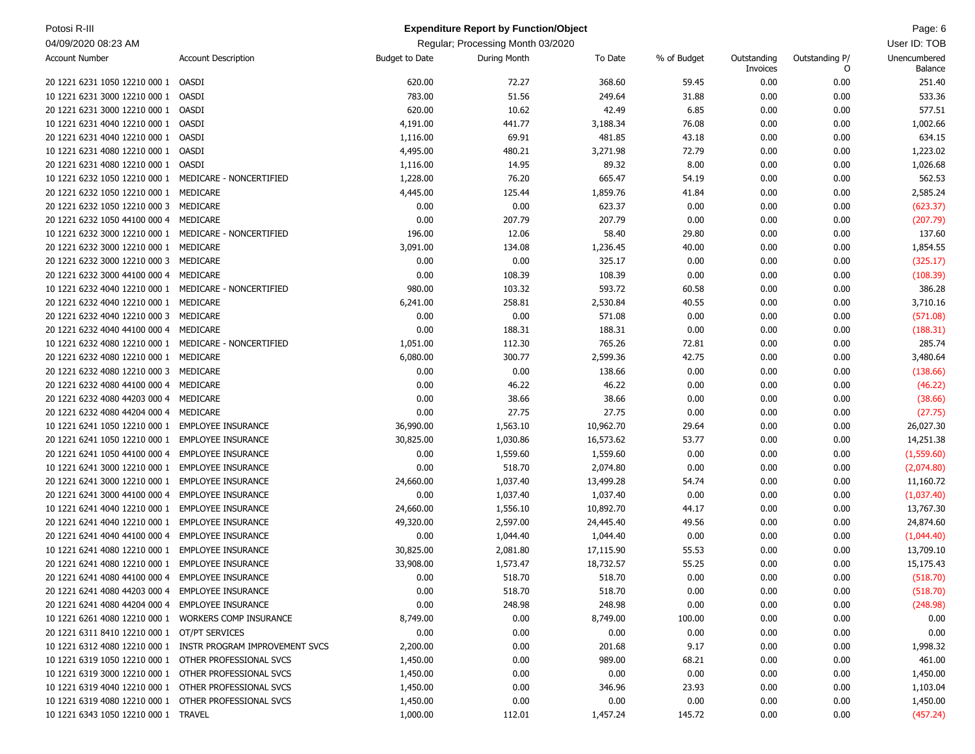| Potosi R-III                                          |                                                              |                       | <b>Expenditure Report by Function/Object</b> |           |             |                         |                     | Page: 6                 |
|-------------------------------------------------------|--------------------------------------------------------------|-----------------------|----------------------------------------------|-----------|-------------|-------------------------|---------------------|-------------------------|
| 04/09/2020 08:23 AM                                   |                                                              |                       | Regular; Processing Month 03/2020            |           |             |                         |                     | User ID: TOB            |
| <b>Account Number</b>                                 | <b>Account Description</b>                                   | <b>Budget to Date</b> | During Month                                 | To Date   | % of Budget | Outstanding<br>Invoices | Outstanding P/<br>0 | Unencumbered<br>Balance |
| 20 1221 6231 1050 12210 000 1                         | OASDI                                                        | 620.00                | 72.27                                        | 368.60    | 59.45       | 0.00                    | 0.00                | 251.40                  |
| 10 1221 6231 3000 12210 000 1                         | OASDI                                                        | 783.00                | 51.56                                        | 249.64    | 31.88       | 0.00                    | 0.00                | 533.36                  |
| 20 1221 6231 3000 12210 000 1                         | OASDI                                                        | 620.00                | 10.62                                        | 42.49     | 6.85        | 0.00                    | 0.00                | 577.51                  |
| 10 1221 6231 4040 12210 000 1                         | OASDI                                                        | 4,191.00              | 441.77                                       | 3,188.34  | 76.08       | 0.00                    | 0.00                | 1,002.66                |
| 20 1221 6231 4040 12210 000 1                         | OASDI                                                        | 1,116.00              | 69.91                                        | 481.85    | 43.18       | 0.00                    | 0.00                | 634.15                  |
| 10 1221 6231 4080 12210 000 1                         | OASDI                                                        | 4,495.00              | 480.21                                       | 3,271.98  | 72.79       | 0.00                    | 0.00                | 1,223.02                |
| 20 1221 6231 4080 12210 000 1                         | OASDI                                                        | 1,116.00              | 14.95                                        | 89.32     | 8.00        | 0.00                    | 0.00                | 1,026.68                |
| 10 1221 6232 1050 12210 000 1 MEDICARE - NONCERTIFIED |                                                              | 1,228.00              | 76.20                                        | 665.47    | 54.19       | 0.00                    | 0.00                | 562.53                  |
| 20 1221 6232 1050 12210 000 1 MEDICARE                |                                                              | 4,445.00              | 125.44                                       | 1,859.76  | 41.84       | 0.00                    | 0.00                | 2,585.24                |
| 20 1221 6232 1050 12210 000 3                         | MEDICARE                                                     | 0.00                  | 0.00                                         | 623.37    | 0.00        | 0.00                    | 0.00                | (623.37)                |
| 20 1221 6232 1050 44100 000 4                         | MEDICARE                                                     | 0.00                  | 207.79                                       | 207.79    | 0.00        | 0.00                    | 0.00                | (207.79)                |
| 10 1221 6232 3000 12210 000 1 MEDICARE - NONCERTIFIED |                                                              | 196.00                | 12.06                                        | 58.40     | 29.80       | 0.00                    | 0.00                | 137.60                  |
| 20 1221 6232 3000 12210 000 1 MEDICARE                |                                                              | 3,091.00              | 134.08                                       | 1,236.45  | 40.00       | 0.00                    | 0.00                | 1,854.55                |
| 20 1221 6232 3000 12210 000 3                         | MEDICARE                                                     | 0.00                  | 0.00                                         | 325.17    | 0.00        | 0.00                    | 0.00                | (325.17)                |
| 20 1221 6232 3000 44100 000 4                         | MEDICARE                                                     | 0.00                  | 108.39                                       | 108.39    | 0.00        | 0.00                    | 0.00                | (108.39)                |
| 10 1221 6232 4040 12210 000 1 MEDICARE - NONCERTIFIED |                                                              | 980.00                | 103.32                                       | 593.72    | 60.58       | 0.00                    | 0.00                | 386.28                  |
| 20 1221 6232 4040 12210 000 1 MEDICARE                |                                                              | 6,241.00              | 258.81                                       | 2,530.84  | 40.55       | 0.00                    | 0.00                | 3,710.16                |
|                                                       | MEDICARE                                                     | 0.00                  | 0.00                                         | 571.08    | 0.00        | 0.00                    | 0.00                |                         |
| 20 1221 6232 4040 12210 000 3                         |                                                              |                       |                                              |           |             |                         | 0.00                | (571.08)                |
| 20 1221 6232 4040 44100 000 4                         | MEDICARE                                                     | 0.00                  | 188.31                                       | 188.31    | 0.00        | 0.00                    |                     | (188.31)                |
| 10 1221 6232 4080 12210 000 1                         | MEDICARE - NONCERTIFIED                                      | 1,051.00              | 112.30                                       | 765.26    | 72.81       | 0.00                    | 0.00                | 285.74                  |
| 20 1221 6232 4080 12210 000 1 MEDICARE                |                                                              | 6,080.00              | 300.77                                       | 2,599.36  | 42.75       | 0.00                    | 0.00                | 3,480.64                |
| 20 1221 6232 4080 12210 000 3                         | MEDICARE                                                     | 0.00                  | 0.00                                         | 138.66    | 0.00        | 0.00                    | 0.00                | (138.66)                |
| 20 1221 6232 4080 44100 000 4                         | MEDICARE                                                     | 0.00                  | 46.22                                        | 46.22     | 0.00        | 0.00                    | 0.00                | (46.22)                 |
| 20 1221 6232 4080 44203 000 4                         | MEDICARE                                                     | 0.00                  | 38.66                                        | 38.66     | 0.00        | 0.00                    | 0.00                | (38.66)                 |
| 20 1221 6232 4080 44204 000 4                         | MEDICARE                                                     | 0.00                  | 27.75                                        | 27.75     | 0.00        | 0.00                    | 0.00                | (27.75)                 |
| 10 1221 6241 1050 12210 000 1 EMPLOYEE INSURANCE      |                                                              | 36,990.00             | 1,563.10                                     | 10,962.70 | 29.64       | 0.00                    | 0.00                | 26,027.30               |
| 20 1221 6241 1050 12210 000 1                         | <b>EMPLOYEE INSURANCE</b>                                    | 30,825.00             | 1,030.86                                     | 16,573.62 | 53.77       | 0.00                    | 0.00                | 14,251.38               |
| 20 1221 6241 1050 44100 000 4                         | <b>EMPLOYEE INSURANCE</b>                                    | 0.00                  | 1,559.60                                     | 1,559.60  | 0.00        | 0.00                    | 0.00                | (1,559.60)              |
| 10 1221 6241 3000 12210 000 1                         | <b>EMPLOYEE INSURANCE</b>                                    | 0.00                  | 518.70                                       | 2,074.80  | 0.00        | 0.00                    | 0.00                | (2,074.80)              |
| 20 1221 6241 3000 12210 000 1                         | <b>EMPLOYEE INSURANCE</b>                                    | 24,660.00             | 1,037.40                                     | 13,499.28 | 54.74       | 0.00                    | 0.00                | 11,160.72               |
| 20 1221 6241 3000 44100 000 4                         | <b>EMPLOYEE INSURANCE</b>                                    | 0.00                  | 1,037.40                                     | 1,037.40  | 0.00        | 0.00                    | 0.00                | (1,037.40)              |
| 10 1221 6241 4040 12210 000 1                         | <b>EMPLOYEE INSURANCE</b>                                    | 24,660.00             | 1,556.10                                     | 10,892.70 | 44.17       | 0.00                    | 0.00                | 13,767.30               |
| 20 1221 6241 4040 12210 000 1                         | <b>EMPLOYEE INSURANCE</b>                                    | 49,320.00             | 2,597.00                                     | 24,445.40 | 49.56       | 0.00                    | 0.00                | 24,874.60               |
| 20 1221 6241 4040 44100 000 4                         | <b>EMPLOYEE INSURANCE</b>                                    | 0.00                  | 1,044.40                                     | 1,044.40  | 0.00        | 0.00                    | 0.00                | (1,044.40)              |
| 10 1221 6241 4080 12210 000 1                         | <b>EMPLOYEE INSURANCE</b>                                    | 30,825.00             | 2,081.80                                     | 17,115.90 | 55.53       | 0.00                    | 0.00                | 13,709.10               |
| 20 1221 6241 4080 12210 000 1 EMPLOYEE INSURANCE      |                                                              | 33,908.00             | 1,573.47                                     | 18,732.57 | 55.25       | 0.00                    | 0.00                | 15,175.43               |
| 20 1221 6241 4080 44100 000 4 EMPLOYEE INSURANCE      |                                                              | 0.00                  | 518.70                                       | 518.70    | 0.00        | 0.00                    | 0.00                | (518.70)                |
| 20 1221 6241 4080 44203 000 4 EMPLOYEE INSURANCE      |                                                              | 0.00                  | 518.70                                       | 518.70    | 0.00        | 0.00                    | 0.00                | (518.70)                |
| 20 1221 6241 4080 44204 000 4 EMPLOYEE INSURANCE      |                                                              | 0.00                  | 248.98                                       | 248.98    | 0.00        | 0.00                    | 0.00                | (248.98)                |
| 10 1221 6261 4080 12210 000 1 WORKERS COMP INSURANCE  |                                                              | 8,749.00              | 0.00                                         | 8,749.00  | 100.00      | 0.00                    | 0.00                | 0.00                    |
| 20 1221 6311 8410 12210 000 1 OT/PT SERVICES          |                                                              | 0.00                  | 0.00                                         | 0.00      | 0.00        | 0.00                    | 0.00                | 0.00                    |
|                                                       | 10 1221 6312 4080 12210 000 1 INSTR PROGRAM IMPROVEMENT SVCS | 2,200.00              | 0.00                                         | 201.68    | 9.17        | 0.00                    | 0.00                | 1,998.32                |
| 10 1221 6319 1050 12210 000 1 OTHER PROFESSIONAL SVCS |                                                              | 1,450.00              | 0.00                                         | 989.00    | 68.21       | 0.00                    | 0.00                | 461.00                  |
| 10 1221 6319 3000 12210 000 1 OTHER PROFESSIONAL SVCS |                                                              | 1,450.00              | 0.00                                         | 0.00      | 0.00        | 0.00                    | 0.00                | 1,450.00                |
| 10 1221 6319 4040 12210 000 1 OTHER PROFESSIONAL SVCS |                                                              | 1,450.00              | 0.00                                         | 346.96    | 23.93       | 0.00                    | 0.00                | 1,103.04                |
| 10 1221 6319 4080 12210 000 1 OTHER PROFESSIONAL SVCS |                                                              | 1,450.00              | 0.00                                         | 0.00      | 0.00        | 0.00                    | 0.00                | 1,450.00                |
| 10 1221 6343 1050 12210 000 1 TRAVEL                  |                                                              | 1,000.00              | 112.01                                       | 1,457.24  | 145.72      | 0.00                    | 0.00                | (457.24)                |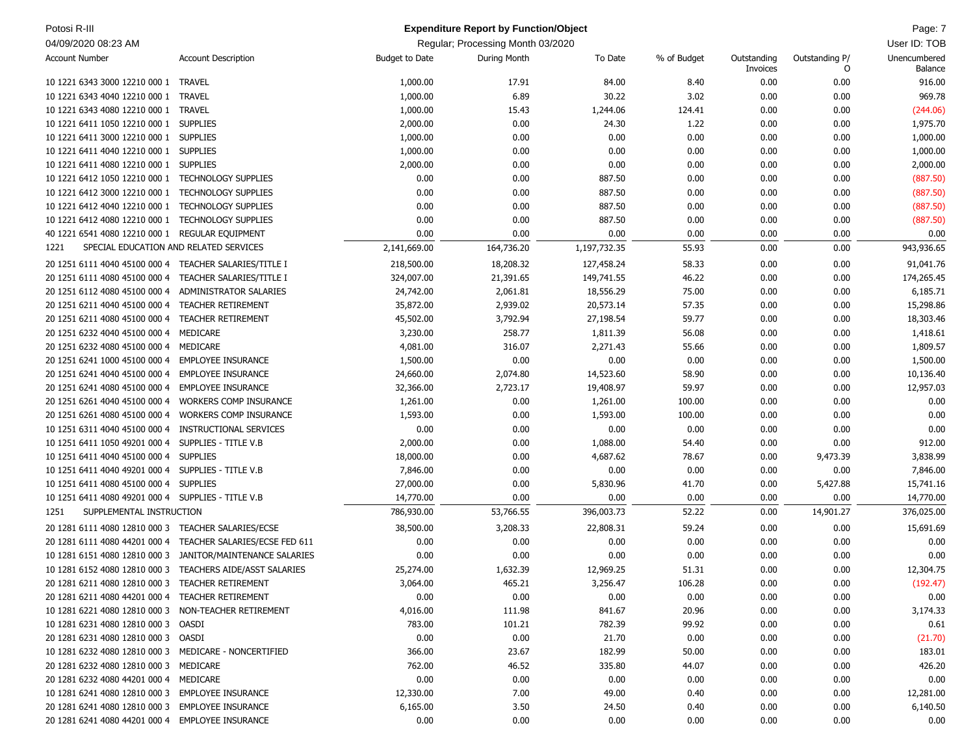| Potosi R-III                                          |                               |                | <b>Expenditure Report by Function/Object</b> |              |             |                         |                     | Page: 7                 |
|-------------------------------------------------------|-------------------------------|----------------|----------------------------------------------|--------------|-------------|-------------------------|---------------------|-------------------------|
| 04/09/2020 08:23 AM                                   |                               |                | Regular; Processing Month 03/2020            |              |             |                         |                     | User ID: TOB            |
| <b>Account Number</b>                                 | <b>Account Description</b>    | Budget to Date | During Month                                 | To Date      | % of Budget | Outstanding<br>Invoices | Outstanding P/<br>0 | Unencumbered<br>Balance |
| 10 1221 6343 3000 12210 000 1                         | <b>TRAVEL</b>                 | 1,000.00       | 17.91                                        | 84.00        | 8.40        | 0.00                    | 0.00                | 916.00                  |
| 10 1221 6343 4040 12210 000 1                         | <b>TRAVEL</b>                 | 1,000.00       | 6.89                                         | 30.22        | 3.02        | 0.00                    | 0.00                | 969.78                  |
| 10 1221 6343 4080 12210 000 1                         | <b>TRAVEL</b>                 | 1,000.00       | 15.43                                        | 1,244.06     | 124.41      | 0.00                    | 0.00                | (244.06)                |
| 10 1221 6411 1050 12210 000 1                         | <b>SUPPLIES</b>               | 2,000.00       | 0.00                                         | 24.30        | 1.22        | 0.00                    | 0.00                | 1,975.70                |
| 10 1221 6411 3000 12210 000 1                         | <b>SUPPLIES</b>               | 1,000.00       | 0.00                                         | 0.00         | 0.00        | 0.00                    | 0.00                | 1,000.00                |
| 10 1221 6411 4040 12210 000 1                         | <b>SUPPLIES</b>               | 1,000.00       | 0.00                                         | 0.00         | 0.00        | 0.00                    | 0.00                | 1,000.00                |
| 10 1221 6411 4080 12210 000 1                         | <b>SUPPLIES</b>               | 2,000.00       | 0.00                                         | 0.00         | 0.00        | 0.00                    | 0.00                | 2,000.00                |
| 10 1221 6412 1050 12210 000 1                         | <b>TECHNOLOGY SUPPLIES</b>    | 0.00           | 0.00                                         | 887.50       | 0.00        | 0.00                    | 0.00                | (887.50)                |
| 10 1221 6412 3000 12210 000 1                         | <b>TECHNOLOGY SUPPLIES</b>    | 0.00           | 0.00                                         | 887.50       | 0.00        | 0.00                    | 0.00                | (887.50)                |
| 10 1221 6412 4040 12210 000 1                         | <b>TECHNOLOGY SUPPLIES</b>    | 0.00           | 0.00                                         | 887.50       | 0.00        | 0.00                    | 0.00                | (887.50)                |
| 10 1221 6412 4080 12210 000 1                         | <b>TECHNOLOGY SUPPLIES</b>    | 0.00           | 0.00                                         | 887.50       | 0.00        | 0.00                    | 0.00                | (887.50)                |
| 40 1221 6541 4080 12210 000 1 REGULAR EQUIPMENT       |                               | 0.00           | 0.00                                         | 0.00         | 0.00        | 0.00                    | 0.00                | 0.00                    |
| SPECIAL EDUCATION AND RELATED SERVICES<br>1221        |                               | 2,141,669.00   | 164,736.20                                   | 1,197,732.35 | 55.93       | 0.00                    | 0.00                | 943,936.65              |
|                                                       |                               |                |                                              |              |             |                         |                     |                         |
| 20 1251 6111 4040 45100 000 4                         | TEACHER SALARIES/TITLE I      | 218,500.00     | 18,208.32                                    | 127,458.24   | 58.33       | 0.00                    | 0.00                | 91,041.76               |
| 20 1251 6111 4080 45100 000 4                         | TEACHER SALARIES/TITLE I      | 324,007.00     | 21,391.65                                    | 149,741.55   | 46.22       | 0.00                    | 0.00                | 174,265.45              |
| 20 1251 6112 4080 45100 000 4                         | ADMINISTRATOR SALARIES        | 24,742.00      | 2,061.81                                     | 18,556.29    | 75.00       | 0.00                    | 0.00                | 6,185.71                |
| 20 1251 6211 4040 45100 000 4                         | <b>TEACHER RETIREMENT</b>     | 35,872.00      | 2,939.02                                     | 20,573.14    | 57.35       | 0.00                    | 0.00                | 15,298.86               |
| 20 1251 6211 4080 45100 000 4                         | <b>TEACHER RETIREMENT</b>     | 45,502.00      | 3,792.94                                     | 27,198.54    | 59.77       | 0.00                    | 0.00                | 18,303.46               |
| 20 1251 6232 4040 45100 000 4                         | MEDICARE                      | 3,230.00       | 258.77                                       | 1,811.39     | 56.08       | 0.00                    | 0.00                | 1,418.61                |
| 20 1251 6232 4080 45100 000 4                         | MEDICARE                      | 4,081.00       | 316.07                                       | 2,271.43     | 55.66       | 0.00                    | 0.00                | 1,809.57                |
| 20 1251 6241 1000 45100 000 4                         | <b>EMPLOYEE INSURANCE</b>     | 1,500.00       | 0.00                                         | 0.00         | 0.00        | 0.00                    | 0.00                | 1,500.00                |
| 20 1251 6241 4040 45100 000 4                         | <b>EMPLOYEE INSURANCE</b>     | 24,660.00      | 2,074.80                                     | 14,523.60    | 58.90       | 0.00                    | 0.00                | 10,136.40               |
| 20 1251 6241 4080 45100 000 4                         | <b>EMPLOYEE INSURANCE</b>     | 32,366.00      | 2,723.17                                     | 19,408.97    | 59.97       | 0.00                    | 0.00                | 12,957.03               |
| 20 1251 6261 4040 45100 000 4                         | <b>WORKERS COMP INSURANCE</b> | 1,261.00       | 0.00                                         | 1,261.00     | 100.00      | 0.00                    | 0.00                | 0.00                    |
| 20 1251 6261 4080 45100 000 4                         | <b>WORKERS COMP INSURANCE</b> | 1,593.00       | 0.00                                         | 1,593.00     | 100.00      | 0.00                    | 0.00                | 0.00                    |
| 10 1251 6311 4040 45100 000 4                         | INSTRUCTIONAL SERVICES        | 0.00           | 0.00                                         | 0.00         | 0.00        | 0.00                    | 0.00                | 0.00                    |
| 10 1251 6411 1050 49201 000 4                         | SUPPLIES - TITLE V.B          | 2,000.00       | 0.00                                         | 1,088.00     | 54.40       | 0.00                    | 0.00                | 912.00                  |
| 10 1251 6411 4040 45100 000 4                         | <b>SUPPLIES</b>               | 18,000.00      | 0.00                                         | 4,687.62     | 78.67       | 0.00                    | 9,473.39            | 3,838.99                |
| 10 1251 6411 4040 49201 000 4 SUPPLIES - TITLE V.B    |                               | 7,846.00       | 0.00                                         | 0.00         | 0.00        | 0.00                    | 0.00                | 7,846.00                |
| 10 1251 6411 4080 45100 000 4                         | <b>SUPPLIES</b>               | 27,000.00      | 0.00                                         | 5,830.96     | 41.70       | 0.00                    | 5,427.88            | 15,741.16               |
| 10 1251 6411 4080 49201 000 4 SUPPLIES - TITLE V.B    |                               | 14,770.00      | 0.00                                         | 0.00         | 0.00        | 0.00                    | 0.00                | 14,770.00               |
| SUPPLEMENTAL INSTRUCTION<br>1251                      |                               | 786,930.00     | 53,766.55                                    | 396,003.73   | 52.22       | 0.00                    | 14,901.27           | 376,025.00              |
| 20 1281 6111 4080 12810 000 3                         | TEACHER SALARIES/ECSE         | 38,500.00      | 3,208.33                                     | 22,808.31    | 59.24       | 0.00                    | 0.00                | 15,691.69               |
| 20 1281 6111 4080 44201 000 4                         | TEACHER SALARIES/ECSE FED 611 | 0.00           | 0.00                                         | 0.00         | 0.00        | 0.00                    | 0.00                | 0.00                    |
| 10 1281 6151 4080 12810 000 3                         | JANITOR/MAINTENANCE SALARIES  | 0.00           | 0.00                                         | 0.00         | 0.00        | 0.00                    | 0.00                | 0.00                    |
| 10 1281 6152 4080 12810 000 3                         | TEACHERS AIDE/ASST SALARIES   | 25,274.00      | 1,632.39                                     | 12,969.25    | 51.31       | 0.00                    | 0.00                | 12,304.75               |
| 20 1281 6211 4080 12810 000 3 TEACHER RETIREMENT      |                               | 3,064.00       | 465.21                                       | 3,256.47     | 106.28      | 0.00                    | 0.00                | (192.47)                |
| 20 1281 6211 4080 44201 000 4 TEACHER RETIREMENT      |                               | 0.00           | 0.00                                         | 0.00         | 0.00        | 0.00                    | 0.00                | 0.00                    |
| 10 1281 6221 4080 12810 000 3 NON-TEACHER RETIREMENT  |                               | 4,016.00       | 111.98                                       | 841.67       | 20.96       | 0.00                    | 0.00                | 3,174.33                |
| 10 1281 6231 4080 12810 000 3 OASDI                   |                               | 783.00         | 101.21                                       | 782.39       | 99.92       | 0.00                    | 0.00                | 0.61                    |
| 20 1281 6231 4080 12810 000 3 OASDI                   |                               | 0.00           | 0.00                                         | 21.70        | 0.00        | 0.00                    | 0.00                | (21.70)                 |
| 10 1281 6232 4080 12810 000 3 MEDICARE - NONCERTIFIED |                               | 366.00         | 23.67                                        | 182.99       | 50.00       | 0.00                    | 0.00                | 183.01                  |
| 20 1281 6232 4080 12810 000 3 MEDICARE                |                               | 762.00         | 46.52                                        | 335.80       | 44.07       | 0.00                    | 0.00                | 426.20                  |
| 20 1281 6232 4080 44201 000 4 MEDICARE                |                               | 0.00           | 0.00                                         | 0.00         | 0.00        | 0.00                    | 0.00                | 0.00                    |
| 10 1281 6241 4080 12810 000 3 EMPLOYEE INSURANCE      |                               | 12,330.00      | 7.00                                         | 49.00        | 0.40        | 0.00                    | 0.00                | 12,281.00               |
| 20 1281 6241 4080 12810 000 3 EMPLOYEE INSURANCE      |                               | 6,165.00       | 3.50                                         | 24.50        | 0.40        | 0.00                    | 0.00                | 6,140.50                |
| 20 1281 6241 4080 44201 000 4 EMPLOYEE INSURANCE      |                               | 0.00           | 0.00                                         | 0.00         | 0.00        | 0.00                    | 0.00                | 0.00                    |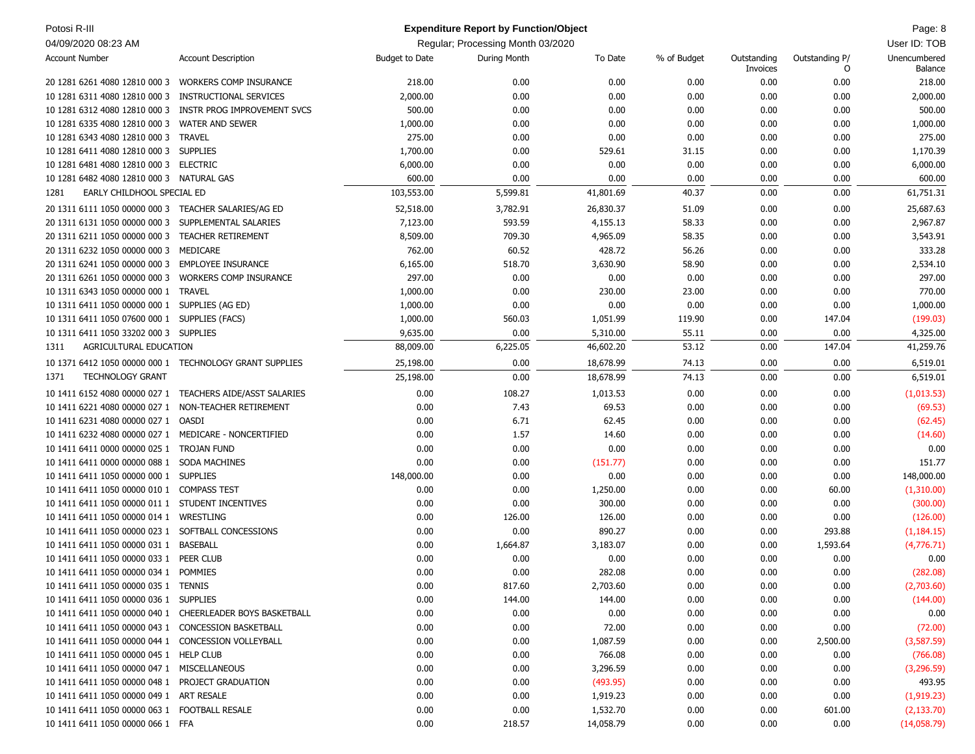| Potosi R-III                                            |                                                           |                | <b>Expenditure Report by Function/Object</b> |           |             |                         |                     | Page: 8                 |
|---------------------------------------------------------|-----------------------------------------------------------|----------------|----------------------------------------------|-----------|-------------|-------------------------|---------------------|-------------------------|
| 04/09/2020 08:23 AM                                     |                                                           |                | Regular; Processing Month 03/2020            |           |             |                         |                     | User ID: TOB            |
| <b>Account Number</b>                                   | <b>Account Description</b>                                | Budget to Date | During Month                                 | To Date   | % of Budget | Outstanding<br>Invoices | Outstanding P/<br>O | Unencumbered<br>Balance |
| 20 1281 6261 4080 12810 000 3  WORKERS COMP INSURANCE   |                                                           | 218.00         | 0.00                                         | 0.00      | 0.00        | 0.00                    | 0.00                | 218.00                  |
| 10 1281 6311 4080 12810 000 3                           | <b>INSTRUCTIONAL SERVICES</b>                             | 2,000.00       | 0.00                                         | 0.00      | 0.00        | 0.00                    | 0.00                | 2,000.00                |
| 10 1281 6312 4080 12810 000 3                           | INSTR PROG IMPROVEMENT SVCS                               | 500.00         | 0.00                                         | 0.00      | 0.00        | 0.00                    | 0.00                | 500.00                  |
| 10 1281 6335 4080 12810 000 3                           | <b>WATER AND SEWER</b>                                    | 1,000.00       | 0.00                                         | 0.00      | 0.00        | 0.00                    | 0.00                | 1,000.00                |
| 10 1281 6343 4080 12810 000 3                           | <b>TRAVEL</b>                                             | 275.00         | 0.00                                         | 0.00      | 0.00        | 0.00                    | 0.00                | 275.00                  |
| 10 1281 6411 4080 12810 000 3 SUPPLIES                  |                                                           | 1,700.00       | 0.00                                         | 529.61    | 31.15       | 0.00                    | 0.00                | 1,170.39                |
| 10 1281 6481 4080 12810 000 3 ELECTRIC                  |                                                           | 6,000.00       | 0.00                                         | 0.00      | 0.00        | 0.00                    | 0.00                | 6,000.00                |
| 10 1281 6482 4080 12810 000 3 NATURAL GAS               |                                                           | 600.00         | 0.00                                         | 0.00      | 0.00        | 0.00                    | 0.00                | 600.00                  |
| EARLY CHILDHOOL SPECIAL ED<br>1281                      |                                                           | 103,553.00     | 5,599.81                                     | 41,801.69 | 40.37       | 0.00                    | 0.00                | 61,751.31               |
| 20 1311 6111 1050 00000 000 3 TEACHER SALARIES/AG ED    |                                                           | 52,518.00      | 3,782.91                                     | 26,830.37 | 51.09       | 0.00                    | 0.00                | 25,687.63               |
| 20 1311 6131 1050 00000 000 3                           | SUPPLEMENTAL SALARIES                                     | 7,123.00       | 593.59                                       | 4,155.13  | 58.33       | 0.00                    | 0.00                | 2,967.87                |
| 20 1311 6211 1050 00000 000 3                           | <b>TEACHER RETIREMENT</b>                                 | 8,509.00       | 709.30                                       | 4,965.09  | 58.35       | 0.00                    | 0.00                | 3,543.91                |
| 20 1311 6232 1050 00000 000 3                           | MEDICARE                                                  | 762.00         | 60.52                                        | 428.72    | 56.26       | 0.00                    | 0.00                | 333.28                  |
| 20 1311 6241 1050 00000 000 3                           | <b>EMPLOYEE INSURANCE</b>                                 | 6,165.00       | 518.70                                       | 3,630.90  | 58.90       | 0.00                    | 0.00                | 2,534.10                |
| 20 1311 6261 1050 00000 000 3                           | <b>WORKERS COMP INSURANCE</b>                             | 297.00         | 0.00                                         | 0.00      | 0.00        | 0.00                    | 0.00                | 297.00                  |
| 10 1311 6343 1050 00000 000 1                           | <b>TRAVEL</b>                                             | 1,000.00       | 0.00                                         | 230.00    | 23.00       | 0.00                    | 0.00                | 770.00                  |
| 10 1311 6411 1050 00000 000 1                           | SUPPLIES (AG ED)                                          | 1,000.00       | 0.00                                         | 0.00      | 0.00        | 0.00                    | 0.00                | 1,000.00                |
| 10 1311 6411 1050 07600 000 1                           | SUPPLIES (FACS)                                           | 1,000.00       | 560.03                                       | 1,051.99  | 119.90      | 0.00                    | 147.04              | (199.03)                |
| 10 1311 6411 1050 33202 000 3                           | <b>SUPPLIES</b>                                           | 9,635.00       | 0.00                                         | 5,310.00  | 55.11       | 0.00                    | 0.00                | 4,325.00                |
| AGRICULTURAL EDUCATION<br>1311                          |                                                           | 88,009.00      | 6,225.05                                     | 46,602.20 | 53.12       | 0.00                    | 147.04              | 41,259.76               |
| 10 1371 6412 1050 00000 000 1 TECHNOLOGY GRANT SUPPLIES |                                                           | 25,198.00      | 0.00                                         | 18,678.99 | 74.13       | 0.00                    | 0.00                | 6,519.01                |
| <b>TECHNOLOGY GRANT</b><br>1371                         |                                                           | 25,198.00      | 0.00                                         | 18,678.99 | 74.13       | 0.00                    | 0.00                | 6,519.01                |
| 10 1411 6152 4080 00000 027 1                           | TEACHERS AIDE/ASST SALARIES                               | 0.00           | 108.27                                       | 1,013.53  | 0.00        | 0.00                    | 0.00                | (1,013.53)              |
| 10 1411 6221 4080 00000 027 1                           | NON-TEACHER RETIREMENT                                    | 0.00           | 7.43                                         | 69.53     | 0.00        | 0.00                    | 0.00                | (69.53)                 |
| 10 1411 6231 4080 00000 027 1                           | <b>OASDI</b>                                              | 0.00           | 6.71                                         | 62.45     | 0.00        | 0.00                    | 0.00                | (62.45)                 |
| 10 1411 6232 4080 00000 027 1                           | MEDICARE - NONCERTIFIED                                   | 0.00           | 1.57                                         | 14.60     | 0.00        | 0.00                    | 0.00                | (14.60)                 |
| 10 1411 6411 0000 00000 025 1                           | <b>TROJAN FUND</b>                                        | 0.00           | 0.00                                         | 0.00      | 0.00        | 0.00                    | 0.00                | 0.00                    |
| 10 1411 6411 0000 00000 088 1                           | <b>SODA MACHINES</b>                                      | 0.00           | 0.00                                         | (151.77)  | 0.00        | 0.00                    | 0.00                | 151.77                  |
| 10 1411 6411 1050 00000 000 1                           | <b>SUPPLIES</b>                                           | 148,000.00     | 0.00                                         | 0.00      | 0.00        | 0.00                    | 0.00                | 148,000.00              |
| 10 1411 6411 1050 00000 010 1                           | <b>COMPASS TEST</b>                                       | 0.00           | 0.00                                         | 1,250.00  | 0.00        | 0.00                    | 60.00               | (1,310.00)              |
| 10 1411 6411 1050 00000 011 1                           | STUDENT INCENTIVES                                        | 0.00           | 0.00                                         | 300.00    | 0.00        | 0.00                    | 0.00                | (300.00)                |
| 10 1411 6411 1050 00000 014 1                           | WRESTLING                                                 | 0.00           | 126.00                                       | 126.00    | 0.00        | 0.00                    | 0.00                | (126.00)                |
| 10 1411 6411 1050 00000 023 1                           | SOFTBALL CONCESSIONS                                      | 0.00           | 0.00                                         | 890.27    | 0.00        | 0.00                    | 293.88              | (1, 184.15)             |
| 10 1411 6411 1050 00000 031 1                           | <b>BASEBALL</b>                                           | 0.00           | 1,664.87                                     | 3,183.07  | 0.00        | 0.00                    | 1,593.64            | (4,776.71)              |
| 10 1411 6411 1050 00000 033 1 PEER CLUB                 |                                                           | 0.00           | 0.00                                         | 0.00      | 0.00        | 0.00                    | 0.00                | 0.00                    |
| 10 1411 6411 1050 00000 034 1 POMMIES                   |                                                           | 0.00           | 0.00                                         | 282.08    | 0.00        | 0.00                    | 0.00                | (282.08)                |
| 10 1411 6411 1050 00000 035 1 TENNIS                    |                                                           | 0.00           | 817.60                                       | 2,703.60  | 0.00        | 0.00                    | 0.00                | (2,703.60)              |
| 10 1411 6411 1050 00000 036 1 SUPPLIES                  |                                                           | 0.00           | 144.00                                       | 144.00    | 0.00        | 0.00                    | 0.00                | (144.00)                |
|                                                         | 10 1411 6411 1050 00000 040 1 CHEERLEADER BOYS BASKETBALL | 0.00           | 0.00                                         | 0.00      | 0.00        | 0.00                    | 0.00                | 0.00                    |
| 10 1411 6411 1050 00000 043 1 CONCESSION BASKETBALL     |                                                           | 0.00           | 0.00                                         | 72.00     | 0.00        | 0.00                    | 0.00                | (72.00)                 |
| 10 1411 6411 1050 00000 044 1                           | CONCESSION VOLLEYBALL                                     | 0.00           | 0.00                                         | 1,087.59  | 0.00        | 0.00                    | 2,500.00            | (3,587.59)              |
| 10 1411 6411 1050 00000 045 1 HELP CLUB                 |                                                           | 0.00           | 0.00                                         | 766.08    | 0.00        | 0.00                    | 0.00                | (766.08)                |
| 10 1411 6411 1050 00000 047 1 MISCELLANEOUS             |                                                           | 0.00           | 0.00                                         | 3,296.59  | 0.00        | 0.00                    | 0.00                | (3,296.59)              |
| 10 1411 6411 1050 00000 048 1 PROJECT GRADUATION        |                                                           | 0.00           | 0.00                                         | (493.95)  | 0.00        | 0.00                    | 0.00                | 493.95                  |
| 10 1411 6411 1050 00000 049 1 ART RESALE                |                                                           | 0.00           | 0.00                                         | 1,919.23  | 0.00        | 0.00                    | 0.00                | (1,919.23)              |
| 10 1411 6411 1050 00000 063 1 FOOTBALL RESALE           |                                                           | 0.00           | 0.00                                         | 1,532.70  | 0.00        | 0.00                    | 601.00              | (2, 133.70)             |
| 10 1411 6411 1050 00000 066 1 FFA                       |                                                           | 0.00           | 218.57                                       | 14,058.79 | 0.00        | 0.00                    | 0.00                | (14,058.79)             |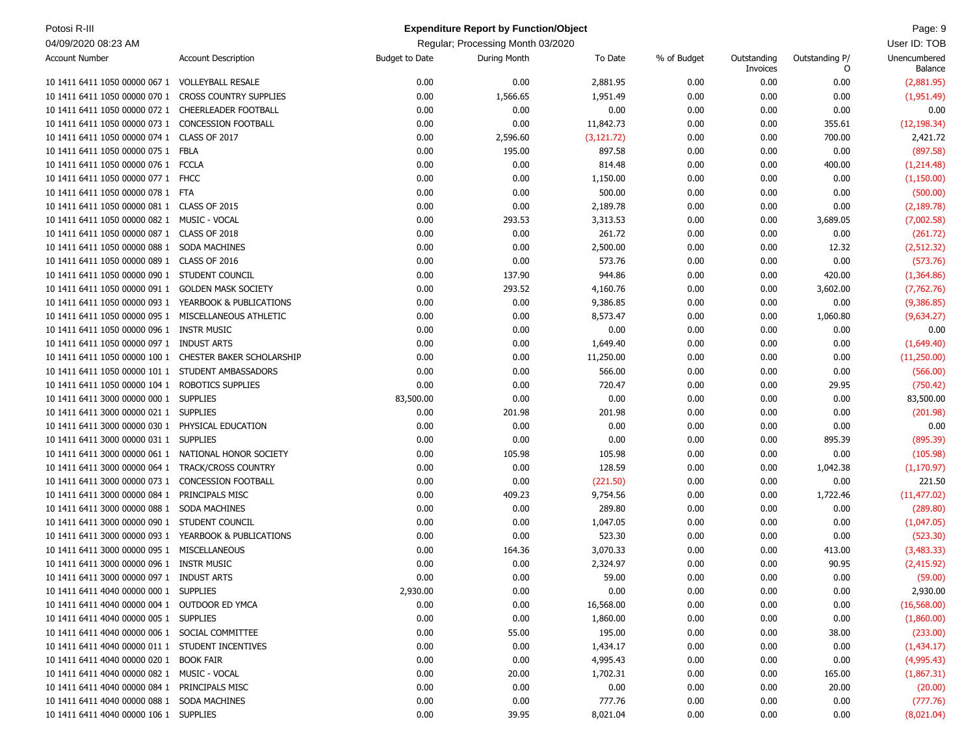| Potosi R-III                                          |                               |                       | <b>Expenditure Report by Function/Object</b> |             |             |                         |                     | Page: 9                 |
|-------------------------------------------------------|-------------------------------|-----------------------|----------------------------------------------|-------------|-------------|-------------------------|---------------------|-------------------------|
| 04/09/2020 08:23 AM                                   |                               |                       | Regular; Processing Month 03/2020            |             |             |                         |                     | User ID: TOB            |
| <b>Account Number</b>                                 | <b>Account Description</b>    | <b>Budget to Date</b> | During Month                                 | To Date     | % of Budget | Outstanding<br>Invoices | Outstanding P/<br>0 | Unencumbered<br>Balance |
| 10 1411 6411 1050 00000 067 1                         | <b>VOLLEYBALL RESALE</b>      | 0.00                  | 0.00                                         | 2,881.95    | 0.00        | 0.00                    | 0.00                | (2,881.95)              |
| 10 1411 6411 1050 00000 070 1                         | <b>CROSS COUNTRY SUPPLIES</b> | 0.00                  | 1,566.65                                     | 1,951.49    | 0.00        | 0.00                    | 0.00                | (1,951.49)              |
| 10 1411 6411 1050 00000 072 1                         | CHEERLEADER FOOTBALL          | 0.00                  | 0.00                                         | 0.00        | 0.00        | 0.00                    | 0.00                | 0.00                    |
| 10 1411 6411 1050 00000 073 1                         | <b>CONCESSION FOOTBALL</b>    | 0.00                  | 0.00                                         | 11,842.73   | 0.00        | 0.00                    | 355.61              | (12, 198.34)            |
| 10 1411 6411 1050 00000 074 1                         | CLASS OF 2017                 | 0.00                  | 2,596.60                                     | (3, 121.72) | 0.00        | 0.00                    | 700.00              | 2,421.72                |
| 10 1411 6411 1050 00000 075 1 FBLA                    |                               | 0.00                  | 195.00                                       | 897.58      | 0.00        | 0.00                    | 0.00                | (897.58)                |
| 10 1411 6411 1050 00000 076 1 FCCLA                   |                               | 0.00                  | 0.00                                         | 814.48      | 0.00        | 0.00                    | 400.00              | (1,214.48)              |
| 10 1411 6411 1050 00000 077 1 FHCC                    |                               | 0.00                  | 0.00                                         | 1,150.00    | 0.00        | 0.00                    | 0.00                | (1,150.00)              |
| 10 1411 6411 1050 00000 078 1 FTA                     |                               | 0.00                  | 0.00                                         | 500.00      | 0.00        | 0.00                    | 0.00                | (500.00)                |
| 10 1411 6411 1050 00000 081 1 CLASS OF 2015           |                               | 0.00                  | 0.00                                         | 2,189.78    | 0.00        | 0.00                    | 0.00                | (2, 189.78)             |
| 10 1411 6411 1050 00000 082 1 MUSIC - VOCAL           |                               | 0.00                  | 293.53                                       | 3,313.53    | 0.00        | 0.00                    | 3,689.05            | (7,002.58)              |
| 10 1411 6411 1050 00000 087 1                         | CLASS OF 2018                 | 0.00                  | 0.00                                         | 261.72      | 0.00        | 0.00                    | 0.00                | (261.72)                |
| 10 1411 6411 1050 00000 088 1 SODA MACHINES           |                               | 0.00                  | 0.00                                         | 2,500.00    | 0.00        | 0.00                    | 12.32               | (2, 512.32)             |
| 10 1411 6411 1050 00000 089 1 CLASS OF 2016           |                               | 0.00                  | 0.00                                         | 573.76      | 0.00        | 0.00                    | 0.00                | (573.76)                |
| 10 1411 6411 1050 00000 090 1 STUDENT COUNCIL         |                               | 0.00                  | 137.90                                       | 944.86      | 0.00        | 0.00                    | 420.00              | (1,364.86)              |
| 10 1411 6411 1050 00000 091 1                         | <b>GOLDEN MASK SOCIETY</b>    | 0.00                  | 293.52                                       | 4,160.76    | 0.00        | 0.00                    | 3,602.00            | (7,762.76)              |
| 10 1411 6411 1050 00000 093 1 YEARBOOK & PUBLICATIONS |                               | 0.00                  | 0.00                                         | 9,386.85    | 0.00        | 0.00                    | 0.00                | (9,386.85)              |
| 10 1411 6411 1050 00000 095 1 MISCELLANEOUS ATHLETIC  |                               | 0.00                  | 0.00                                         | 8,573.47    | 0.00        | 0.00                    | 1,060.80            | (9,634.27)              |
| 10 1411 6411 1050 00000 096 1 INSTR MUSIC             |                               | 0.00                  | 0.00                                         | 0.00        | 0.00        | 0.00                    | 0.00                | 0.00                    |
| 10 1411 6411 1050 00000 097 1 INDUST ARTS             |                               | 0.00                  | 0.00                                         | 1,649.40    | 0.00        | 0.00                    | 0.00                | (1,649.40)              |
| 10 1411 6411 1050 00000 100 1                         | CHESTER BAKER SCHOLARSHIP     | 0.00                  | 0.00                                         | 11,250.00   | 0.00        | 0.00                    | 0.00                | (11,250.00)             |
| 10 1411 6411 1050 00000 101 1 STUDENT AMBASSADORS     |                               | 0.00                  | 0.00                                         | 566.00      | 0.00        | 0.00                    | 0.00                | (566.00)                |
| 10 1411 6411 1050 00000 104 1                         | ROBOTICS SUPPLIES             | 0.00                  | 0.00                                         | 720.47      | 0.00        | 0.00                    | 29.95               | (750.42)                |
| 10 1411 6411 3000 00000 000 1 SUPPLIES                |                               | 83,500.00             | 0.00                                         | 0.00        | 0.00        | 0.00                    | 0.00                | 83,500.00               |
| 10 1411 6411 3000 00000 021 1 SUPPLIES                |                               | 0.00                  | 201.98                                       | 201.98      | 0.00        | 0.00                    | 0.00                | (201.98)                |
| 10 1411 6411 3000 00000 030 1 PHYSICAL EDUCATION      |                               | 0.00                  | 0.00                                         | 0.00        | 0.00        | 0.00                    | 0.00                | 0.00                    |
| 10 1411 6411 3000 00000 031 1 SUPPLIES                |                               | 0.00                  | 0.00                                         | 0.00        | 0.00        | 0.00                    | 895.39              | (895.39)                |
| 10 1411 6411 3000 00000 061 1 NATIONAL HONOR SOCIETY  |                               | 0.00                  | 105.98                                       | 105.98      | 0.00        | 0.00                    | 0.00                | (105.98)                |
| 10 1411 6411 3000 00000 064 1 TRACK/CROSS COUNTRY     |                               | 0.00                  | 0.00                                         | 128.59      | 0.00        | 0.00                    | 1,042.38            | (1, 170.97)             |
| 10 1411 6411 3000 00000 073 1                         | <b>CONCESSION FOOTBALL</b>    | 0.00                  | 0.00                                         | (221.50)    | 0.00        | 0.00                    | 0.00                | 221.50                  |
| 10 1411 6411 3000 00000 084 1 PRINCIPALS MISC         |                               | 0.00                  | 409.23                                       | 9,754.56    | 0.00        | 0.00                    | 1,722.46            | (11, 477.02)            |
| 10 1411 6411 3000 00000 088 1                         | SODA MACHINES                 | 0.00                  | 0.00                                         | 289.80      | 0.00        | 0.00                    | 0.00                | (289.80)                |
| 10 1411 6411 3000 00000 090 1 STUDENT COUNCIL         |                               | 0.00                  | 0.00                                         | 1,047.05    | 0.00        | 0.00                    | 0.00                | (1,047.05)              |
| 10 1411 6411 3000 00000 093 1 YEARBOOK & PUBLICATIONS |                               | 0.00                  | 0.00                                         | 523.30      | 0.00        | 0.00                    | 0.00                | (523.30)                |
| 10 1411 6411 3000 00000 095 1 MISCELLANEOUS           |                               | 0.00                  | 164.36                                       | 3,070.33    | 0.00        | 0.00                    | 413.00              | (3,483.33)              |
| 10 1411 6411 3000 00000 096 1 INSTR MUSIC             |                               | 0.00                  | 0.00                                         | 2,324.97    | 0.00        | 0.00                    | 90.95               | (2,415.92)              |
| 10 1411 6411 3000 00000 097 1 INDUST ARTS             |                               | 0.00                  | 0.00                                         | 59.00       | 0.00        | 0.00                    | 0.00                | (59.00)                 |
| 10 1411 6411 4040 00000 000 1 SUPPLIES                |                               | 2,930.00              | 0.00                                         | 0.00        | 0.00        | 0.00                    | 0.00                | 2,930.00                |
| 10 1411 6411 4040 00000 004 1 OUTDOOR ED YMCA         |                               | 0.00                  | 0.00                                         | 16,568.00   | 0.00        | 0.00                    | 0.00                | (16, 568.00)            |
| 10 1411 6411 4040 00000 005 1 SUPPLIES                |                               | 0.00                  | 0.00                                         | 1,860.00    | 0.00        | 0.00                    | 0.00                | (1,860.00)              |
| 10 1411 6411 4040 00000 006 1 SOCIAL COMMITTEE        |                               | 0.00                  | 55.00                                        | 195.00      | 0.00        | 0.00                    | 38.00               | (233.00)                |
| 10 1411 6411 4040 00000 011 1 STUDENT INCENTIVES      |                               | 0.00                  | 0.00                                         | 1,434.17    | 0.00        | 0.00                    | 0.00                | (1,434.17)              |
| 10 1411 6411 4040 00000 020 1 BOOK FAIR               |                               | 0.00                  | 0.00                                         | 4,995.43    | 0.00        | 0.00                    | 0.00                | (4,995.43)              |
| 10 1411 6411 4040 00000 082 1 MUSIC - VOCAL           |                               | 0.00                  | 20.00                                        | 1,702.31    | 0.00        | 0.00                    | 165.00              | (1,867.31)              |
| 10 1411 6411 4040 00000 084 1 PRINCIPALS MISC         |                               | 0.00                  | 0.00                                         | 0.00        | 0.00        | 0.00                    | 20.00               | (20.00)                 |
| 10 1411 6411 4040 00000 088 1 SODA MACHINES           |                               | 0.00                  | 0.00                                         | 777.76      | 0.00        | 0.00                    | 0.00                | (777.76)                |
| 10 1411 6411 4040 00000 106 1 SUPPLIES                |                               | 0.00                  | 39.95                                        | 8,021.04    | 0.00        | 0.00                    | 0.00                | (8,021.04)              |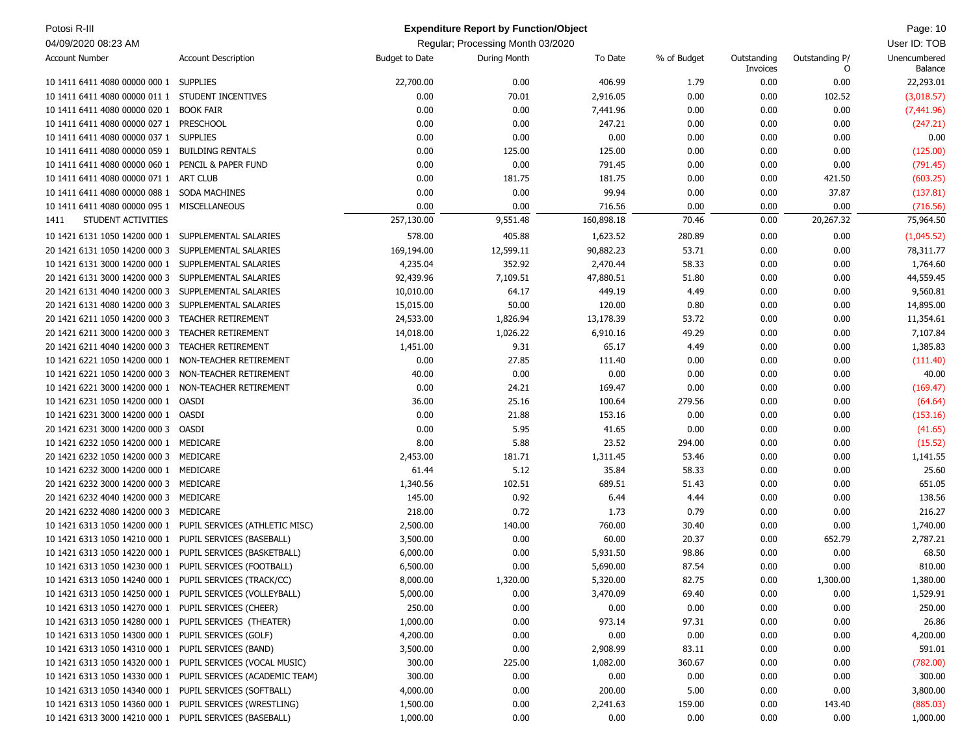| Potosi R-III                                              |                                                              |                       | <b>Expenditure Report by Function/Object</b> |            |             |                         |                     | Page: 10                |
|-----------------------------------------------------------|--------------------------------------------------------------|-----------------------|----------------------------------------------|------------|-------------|-------------------------|---------------------|-------------------------|
| 04/09/2020 08:23 AM                                       |                                                              |                       | Regular; Processing Month 03/2020            |            |             |                         |                     | User ID: TOB            |
| <b>Account Number</b>                                     | <b>Account Description</b>                                   | <b>Budget to Date</b> | During Month                                 | To Date    | % of Budget | Outstanding<br>Invoices | Outstanding P/<br>O | Unencumbered<br>Balance |
| 10 1411 6411 4080 00000 000 1 SUPPLIES                    |                                                              | 22,700.00             | 0.00                                         | 406.99     | 1.79        | 0.00                    | 0.00                | 22,293.01               |
| 10 1411 6411 4080 00000 011 1 STUDENT INCENTIVES          |                                                              | 0.00                  | 70.01                                        | 2,916.05   | 0.00        | 0.00                    | 102.52              | (3,018.57)              |
| 10 1411 6411 4080 00000 020 1                             | <b>BOOK FAIR</b>                                             | 0.00                  | 0.00                                         | 7,441.96   | 0.00        | 0.00                    | 0.00                | (7,441.96)              |
| 10 1411 6411 4080 00000 027 1                             | PRESCHOOL                                                    | 0.00                  | 0.00                                         | 247.21     | 0.00        | 0.00                    | 0.00                | (247.21)                |
| 10 1411 6411 4080 00000 037 1 SUPPLIES                    |                                                              | 0.00                  | 0.00                                         | 0.00       | 0.00        | 0.00                    | 0.00                | 0.00                    |
| 10 1411 6411 4080 00000 059 1 BUILDING RENTALS            |                                                              | 0.00                  | 125.00                                       | 125.00     | 0.00        | 0.00                    | 0.00                | (125.00)                |
| 10 1411 6411 4080 00000 060 1 PENCIL & PAPER FUND         |                                                              | 0.00                  | 0.00                                         | 791.45     | 0.00        | 0.00                    | 0.00                | (791.45)                |
| 10 1411 6411 4080 00000 071 1                             | ART CLUB                                                     | 0.00                  | 181.75                                       | 181.75     | 0.00        | 0.00                    | 421.50              | (603.25)                |
| 10 1411 6411 4080 00000 088 1 SODA MACHINES               |                                                              | 0.00                  | 0.00                                         | 99.94      | 0.00        | 0.00                    | 37.87               | (137.81)                |
| 10 1411 6411 4080 00000 095 1                             | MISCELLANEOUS                                                | 0.00                  | 0.00                                         | 716.56     | 0.00        | 0.00                    | 0.00                | (716.56)                |
| STUDENT ACTIVITIES<br>1411                                |                                                              | 257,130.00            | 9,551.48                                     | 160,898.18 | 70.46       | 0.00                    | 20,267.32           | 75,964.50               |
| 10 1421 6131 1050 14200 000 1 SUPPLEMENTAL SALARIES       |                                                              | 578.00                | 405.88                                       | 1,623.52   | 280.89      | 0.00                    | 0.00                | (1,045.52)              |
| 20 1421 6131 1050 14200 000 3                             | SUPPLEMENTAL SALARIES                                        | 169,194.00            | 12,599.11                                    | 90,882.23  | 53.71       | 0.00                    | 0.00                | 78,311.77               |
| 10 1421 6131 3000 14200 000 1 SUPPLEMENTAL SALARIES       |                                                              | 4,235.04              | 352.92                                       | 2,470.44   | 58.33       | 0.00                    | 0.00                | 1,764.60                |
| 20 1421 6131 3000 14200 000 3                             | SUPPLEMENTAL SALARIES                                        | 92,439.96             | 7,109.51                                     | 47,880.51  | 51.80       | 0.00                    | 0.00                | 44,559.45               |
| 20 1421 6131 4040 14200 000 3                             | SUPPLEMENTAL SALARIES                                        | 10,010.00             | 64.17                                        | 449.19     | 4.49        | 0.00                    | 0.00                | 9,560.81                |
| 20 1421 6131 4080 14200 000 3                             | SUPPLEMENTAL SALARIES                                        | 15,015.00             | 50.00                                        | 120.00     | 0.80        | 0.00                    | 0.00                | 14,895.00               |
| 20 1421 6211 1050 14200 000 3                             | <b>TEACHER RETIREMENT</b>                                    | 24,533.00             | 1,826.94                                     | 13,178.39  | 53.72       | 0.00                    | 0.00                | 11,354.61               |
| 20 1421 6211 3000 14200 000 3                             | <b>TEACHER RETIREMENT</b>                                    | 14,018.00             | 1,026.22                                     | 6,910.16   | 49.29       | 0.00                    | 0.00                | 7,107.84                |
| 20 1421 6211 4040 14200 000 3                             | <b>TEACHER RETIREMENT</b>                                    | 1,451.00              | 9.31                                         | 65.17      | 4.49        | 0.00                    | 0.00                | 1,385.83                |
| 10 1421 6221 1050 14200 000 1                             | NON-TEACHER RETIREMENT                                       | 0.00                  | 27.85                                        | 111.40     | 0.00        | 0.00                    | 0.00                | (111.40)                |
| 10 1421 6221 1050 14200 000 3                             | NON-TEACHER RETIREMENT                                       | 40.00                 | 0.00                                         | 0.00       | 0.00        | 0.00                    | 0.00                | 40.00                   |
| 10 1421 6221 3000 14200 000 1                             | NON-TEACHER RETIREMENT                                       | 0.00                  | 24.21                                        | 169.47     | 0.00        | 0.00                    | 0.00                | (169.47)                |
| 10 1421 6231 1050 14200 000 1                             | OASDI                                                        | 36.00                 | 25.16                                        | 100.64     | 279.56      | 0.00                    | 0.00                | (64.64)                 |
| 10 1421 6231 3000 14200 000 1 OASDI                       |                                                              | 0.00                  | 21.88                                        | 153.16     | 0.00        | 0.00                    | 0.00                | (153.16)                |
| 20 1421 6231 3000 14200 000 3                             | OASDI                                                        | 0.00                  | 5.95                                         | 41.65      | 0.00        | 0.00                    | 0.00                | (41.65)                 |
| 10 1421 6232 1050 14200 000 1                             | MEDICARE                                                     | 8.00                  | 5.88                                         | 23.52      | 294.00      | 0.00                    | 0.00                | (15.52)                 |
| 20 1421 6232 1050 14200 000 3                             | MEDICARE                                                     | 2,453.00              | 181.71                                       | 1,311.45   | 53.46       | 0.00                    | 0.00                | 1,141.55                |
| 10 1421 6232 3000 14200 000 1                             | MEDICARE                                                     | 61.44                 | 5.12                                         | 35.84      | 58.33       | 0.00                    | 0.00                | 25.60                   |
| 20 1421 6232 3000 14200 000 3                             | MEDICARE                                                     | 1,340.56              | 102.51                                       | 689.51     | 51.43       | 0.00                    | 0.00                | 651.05                  |
| 20 1421 6232 4040 14200 000 3                             | MEDICARE                                                     | 145.00                | 0.92                                         | 6.44       | 4.44        | 0.00                    | 0.00                | 138.56                  |
| 20 1421 6232 4080 14200 000 3                             | MEDICARE                                                     | 218.00                | 0.72                                         | 1.73       | 0.79        | 0.00                    | 0.00                | 216.27                  |
|                                                           | 10 1421 6313 1050 14200 000 1 PUPIL SERVICES (ATHLETIC MISC) | 2,500.00              | 140.00                                       | 760.00     | 30.40       | 0.00                    | 0.00                | 1,740.00                |
| 10 1421 6313 1050 14210 000 1 PUPIL SERVICES (BASEBALL)   |                                                              | 3,500.00              | 0.00                                         | 60.00      | 20.37       | 0.00                    | 652.79              | 2,787.21                |
| 10 1421 6313 1050 14220 000 1 PUPIL SERVICES (BASKETBALL) |                                                              | 6,000.00              | 0.00                                         | 5,931.50   | 98.86       | 0.00                    | 0.00                | 68.50                   |
| 10 1421 6313 1050 14230 000 1 PUPIL SERVICES (FOOTBALL)   |                                                              | 6,500.00              | 0.00                                         | 5,690.00   | 87.54       | 0.00                    | 0.00                | 810.00                  |
| 10 1421 6313 1050 14240 000 1 PUPIL SERVICES (TRACK/CC)   |                                                              | 8,000.00              | 1,320.00                                     | 5,320.00   | 82.75       | 0.00                    | 1,300.00            | 1,380.00                |
| 10 1421 6313 1050 14250 000 1 PUPIL SERVICES (VOLLEYBALL) |                                                              | 5,000.00              | 0.00                                         | 3,470.09   | 69.40       | 0.00                    | 0.00                | 1,529.91                |
| 10 1421 6313 1050 14270 000 1 PUPIL SERVICES (CHEER)      |                                                              | 250.00                | 0.00                                         | 0.00       | 0.00        | 0.00                    | 0.00                | 250.00                  |
| 10 1421 6313 1050 14280 000 1 PUPIL SERVICES (THEATER)    |                                                              | 1,000.00              | 0.00                                         | 973.14     | 97.31       | 0.00                    | 0.00                | 26.86                   |
| 10 1421 6313 1050 14300 000 1 PUPIL SERVICES (GOLF)       |                                                              | 4,200.00              | 0.00                                         | 0.00       | 0.00        | 0.00                    | 0.00                | 4,200.00                |
| 10 1421 6313 1050 14310 000 1 PUPIL SERVICES (BAND)       |                                                              | 3,500.00              | 0.00                                         | 2,908.99   | 83.11       | 0.00                    | 0.00                | 591.01                  |
|                                                           | 10 1421 6313 1050 14320 000 1 PUPIL SERVICES (VOCAL MUSIC)   | 300.00                | 225.00                                       | 1,082.00   | 360.67      | 0.00                    | 0.00                | (782.00)                |
|                                                           | 10 1421 6313 1050 14330 000 1 PUPIL SERVICES (ACADEMIC TEAM) | 300.00                | 0.00                                         | 0.00       | 0.00        | 0.00                    | 0.00                | 300.00                  |
| 10 1421 6313 1050 14340 000 1 PUPIL SERVICES (SOFTBALL)   |                                                              | 4,000.00              | 0.00                                         | 200.00     | 5.00        | 0.00                    | 0.00                | 3,800.00                |
| 10 1421 6313 1050 14360 000 1 PUPIL SERVICES (WRESTLING)  |                                                              | 1,500.00              | 0.00                                         | 2,241.63   | 159.00      | 0.00                    | 143.40              | (885.03)                |
| 10 1421 6313 3000 14210 000 1 PUPIL SERVICES (BASEBALL)   |                                                              | 1,000.00              | 0.00                                         | 0.00       | 0.00        | 0.00                    | 0.00                | 1,000.00                |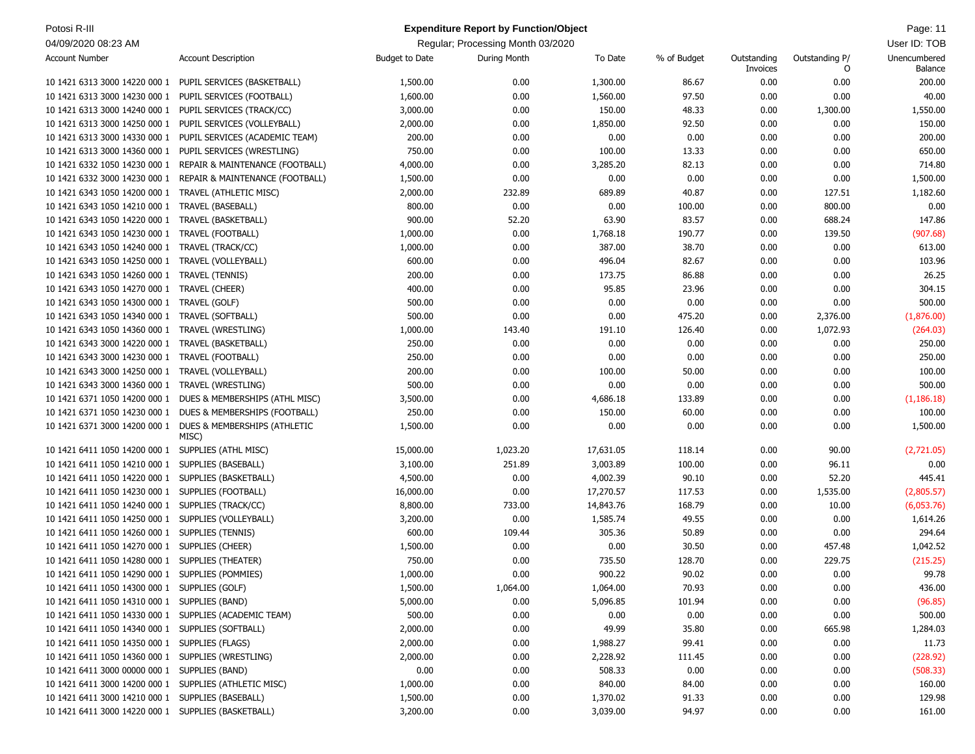| Potosi R-III                                           |                                                                     |                       | <b>Expenditure Report by Function/Object</b> |           |             |                         |                     | Page: 11                |
|--------------------------------------------------------|---------------------------------------------------------------------|-----------------------|----------------------------------------------|-----------|-------------|-------------------------|---------------------|-------------------------|
| 04/09/2020 08:23 AM                                    |                                                                     |                       | Regular; Processing Month 03/2020            |           |             |                         |                     | User ID: TOB            |
| <b>Account Number</b>                                  | <b>Account Description</b>                                          | <b>Budget to Date</b> | During Month                                 | To Date   | % of Budget | Outstanding<br>Invoices | Outstanding P/<br>0 | Unencumbered<br>Balance |
|                                                        | 10 1421 6313 3000 14220 000 1 PUPIL SERVICES (BASKETBALL)           | 1,500.00              | 0.00                                         | 1,300.00  | 86.67       | 0.00                    | 0.00                | 200.00                  |
| 10 1421 6313 3000 14230 000 1                          | PUPIL SERVICES (FOOTBALL)                                           | 1,600.00              | 0.00                                         | 1,560.00  | 97.50       | 0.00                    | 0.00                | 40.00                   |
| 10 1421 6313 3000 14240 000 1                          | PUPIL SERVICES (TRACK/CC)                                           | 3,000.00              | 0.00                                         | 150.00    | 48.33       | 0.00                    | 1,300.00            | 1,550.00                |
| 10 1421 6313 3000 14250 000 1                          | PUPIL SERVICES (VOLLEYBALL)                                         | 2,000.00              | 0.00                                         | 1,850.00  | 92.50       | 0.00                    | 0.00                | 150.00                  |
| 10 1421 6313 3000 14330 000 1                          | PUPIL SERVICES (ACADEMIC TEAM)                                      | 200.00                | 0.00                                         | 0.00      | 0.00        | 0.00                    | 0.00                | 200.00                  |
| 10 1421 6313 3000 14360 000 1                          | PUPIL SERVICES (WRESTLING)                                          | 750.00                | 0.00                                         | 100.00    | 13.33       | 0.00                    | 0.00                | 650.00                  |
| 10 1421 6332 1050 14230 000 1                          | REPAIR & MAINTENANCE (FOOTBALL)                                     | 4,000.00              | 0.00                                         | 3,285.20  | 82.13       | 0.00                    | 0.00                | 714.80                  |
| 10 1421 6332 3000 14230 000 1                          | REPAIR & MAINTENANCE (FOOTBALL)                                     | 1,500.00              | 0.00                                         | 0.00      | 0.00        | 0.00                    | 0.00                | 1,500.00                |
| 10 1421 6343 1050 14200 000 1 TRAVEL (ATHLETIC MISC)   |                                                                     | 2,000.00              | 232.89                                       | 689.89    | 40.87       | 0.00                    | 127.51              | 1,182.60                |
| 10 1421 6343 1050 14210 000 1                          | TRAVEL (BASEBALL)                                                   | 800.00                | 0.00                                         | 0.00      | 100.00      | 0.00                    | 800.00              | 0.00                    |
| 10 1421 6343 1050 14220 000 1                          | TRAVEL (BASKETBALL)                                                 | 900.00                | 52.20                                        | 63.90     | 83.57       | 0.00                    | 688.24              | 147.86                  |
| 10 1421 6343 1050 14230 000 1                          | <b>TRAVEL (FOOTBALL)</b>                                            | 1,000.00              | 0.00                                         | 1,768.18  | 190.77      | 0.00                    | 139.50              | (907.68)                |
| 10 1421 6343 1050 14240 000 1                          | TRAVEL (TRACK/CC)                                                   | 1,000.00              | 0.00                                         | 387.00    | 38.70       | 0.00                    | 0.00                | 613.00                  |
| 10 1421 6343 1050 14250 000 1                          | TRAVEL (VOLLEYBALL)                                                 | 600.00                | 0.00                                         | 496.04    | 82.67       | 0.00                    | 0.00                | 103.96                  |
| 10 1421 6343 1050 14260 000 1 TRAVEL (TENNIS)          |                                                                     | 200.00                | 0.00                                         | 173.75    | 86.88       | 0.00                    | 0.00                | 26.25                   |
| 10 1421 6343 1050 14270 000 1 TRAVEL (CHEER)           |                                                                     | 400.00                | 0.00                                         | 95.85     | 23.96       | 0.00                    | 0.00                | 304.15                  |
| 10 1421 6343 1050 14300 000 1                          | TRAVEL (GOLF)                                                       | 500.00                | 0.00                                         | 0.00      | 0.00        | 0.00                    | 0.00                | 500.00                  |
| 10 1421 6343 1050 14340 000 1                          | TRAVEL (SOFTBALL)                                                   | 500.00                | 0.00                                         | 0.00      | 475.20      | 0.00                    | 2,376.00            | (1,876.00)              |
| 10 1421 6343 1050 14360 000 1                          | TRAVEL (WRESTLING)                                                  | 1,000.00              | 143.40                                       | 191.10    | 126.40      | 0.00                    | 1,072.93            | (264.03)                |
| 10 1421 6343 3000 14220 000 1                          | TRAVEL (BASKETBALL)                                                 | 250.00                | 0.00                                         | 0.00      | 0.00        | 0.00                    | 0.00                | 250.00                  |
| 10 1421 6343 3000 14230 000 1                          | TRAVEL (FOOTBALL)                                                   | 250.00                | 0.00                                         | 0.00      | 0.00        | 0.00                    | 0.00                | 250.00                  |
| 10 1421 6343 3000 14250 000 1                          | TRAVEL (VOLLEYBALL)                                                 | 200.00                | 0.00                                         | 100.00    | 50.00       | 0.00                    | 0.00                | 100.00                  |
| 10 1421 6343 3000 14360 000 1                          | TRAVEL (WRESTLING)                                                  | 500.00                | 0.00                                         | 0.00      | 0.00        | 0.00                    | 0.00                | 500.00                  |
| 10 1421 6371 1050 14200 000 1                          | DUES & MEMBERSHIPS (ATHL MISC)                                      | 3,500.00              | 0.00                                         | 4,686.18  | 133.89      | 0.00                    | 0.00                | (1, 186.18)             |
|                                                        | 10 1421 6371 1050 14230 000 1 DUES & MEMBERSHIPS (FOOTBALL)         | 250.00                | 0.00                                         | 150.00    | 60.00       | 0.00                    | 0.00                | 100.00                  |
|                                                        | 10 1421 6371 3000 14200 000 1 DUES & MEMBERSHIPS (ATHLETIC<br>MISC) | 1,500.00              | 0.00                                         | 0.00      | 0.00        | 0.00                    | 0.00                | 1,500.00                |
| 10 1421 6411 1050 14200 000 1 SUPPLIES (ATHL MISC)     |                                                                     | 15,000.00             | 1,023.20                                     | 17,631.05 | 118.14      | 0.00                    | 90.00               | (2,721.05)              |
| 10 1421 6411 1050 14210 000 1                          | SUPPLIES (BASEBALL)                                                 | 3,100.00              | 251.89                                       | 3,003.89  | 100.00      | 0.00                    | 96.11               | 0.00                    |
| 10 1421 6411 1050 14220 000 1                          | SUPPLIES (BASKETBALL)                                               | 4,500.00              | 0.00                                         | 4,002.39  | 90.10       | 0.00                    | 52.20               | 445.41                  |
| 10 1421 6411 1050 14230 000 1                          | SUPPLIES (FOOTBALL)                                                 | 16,000.00             | 0.00                                         | 17,270.57 | 117.53      | 0.00                    | 1,535.00            | (2,805.57)              |
| 10 1421 6411 1050 14240 000 1                          | SUPPLIES (TRACK/CC)                                                 | 8,800.00              | 733.00                                       | 14,843.76 | 168.79      | 0.00                    | 10.00               | (6,053.76)              |
| 10 1421 6411 1050 14250 000 1 SUPPLIES (VOLLEYBALL)    |                                                                     | 3,200.00              | 0.00                                         | 1,585.74  | 49.55       | 0.00                    | 0.00                | 1,614.26                |
| 10 1421 6411 1050 14260 000 1 SUPPLIES (TENNIS)        |                                                                     | 600.00                | 109.44                                       | 305.36    | 50.89       | 0.00                    | 0.00                | 294.64                  |
| 10 1421 6411 1050 14270 000 1 SUPPLIES (CHEER)         |                                                                     | 1,500.00              | 0.00                                         | 0.00      | 30.50       | 0.00                    | 457.48              | 1,042.52                |
| 10 1421 6411 1050 14280 000 1 SUPPLIES (THEATER)       |                                                                     | 750.00                | 0.00                                         | 735.50    | 128.70      | 0.00                    | 229.75              | (215.25)                |
| 10 1421 6411 1050 14290 000 1 SUPPLIES (POMMIES)       |                                                                     | 1,000.00              | 0.00                                         | 900.22    | 90.02       | 0.00                    | 0.00                | 99.78                   |
| 10 1421 6411 1050 14300 000 1 SUPPLIES (GOLF)          |                                                                     | 1,500.00              | 1,064.00                                     | 1,064.00  | 70.93       | 0.00                    | 0.00                | 436.00                  |
| 10 1421 6411 1050 14310 000 1 SUPPLIES (BAND)          |                                                                     | 5,000.00              | 0.00                                         | 5,096.85  | 101.94      | 0.00                    | 0.00                | (96.85)                 |
| 10 1421 6411 1050 14330 000 1 SUPPLIES (ACADEMIC TEAM) |                                                                     | 500.00                | 0.00                                         | 0.00      | 0.00        | 0.00                    | 0.00                | 500.00                  |
| 10 1421 6411 1050 14340 000 1 SUPPLIES (SOFTBALL)      |                                                                     | 2,000.00              | 0.00                                         | 49.99     | 35.80       | 0.00                    | 665.98              | 1,284.03                |
| 10 1421 6411 1050 14350 000 1 SUPPLIES (FLAGS)         |                                                                     | 2,000.00              | 0.00                                         | 1,988.27  | 99.41       | 0.00                    | 0.00                | 11.73                   |
| 10 1421 6411 1050 14360 000 1 SUPPLIES (WRESTLING)     |                                                                     | 2,000.00              | 0.00                                         | 2,228.92  | 111.45      | 0.00                    | 0.00                | (228.92)                |
| 10 1421 6411 3000 00000 000 1 SUPPLIES (BAND)          |                                                                     | 0.00                  | 0.00                                         | 508.33    | 0.00        | 0.00                    | 0.00                | (508.33)                |
| 10 1421 6411 3000 14200 000 1 SUPPLIES (ATHLETIC MISC) |                                                                     | 1,000.00              | 0.00                                         | 840.00    | 84.00       | 0.00                    | 0.00                | 160.00                  |
| 10 1421 6411 3000 14210 000 1 SUPPLIES (BASEBALL)      |                                                                     | 1,500.00              | 0.00                                         | 1,370.02  | 91.33       | 0.00                    | 0.00                | 129.98                  |
| 10 1421 6411 3000 14220 000 1 SUPPLIES (BASKETBALL)    |                                                                     | 3,200.00              | 0.00                                         | 3,039.00  | 94.97       | 0.00                    | 0.00                | 161.00                  |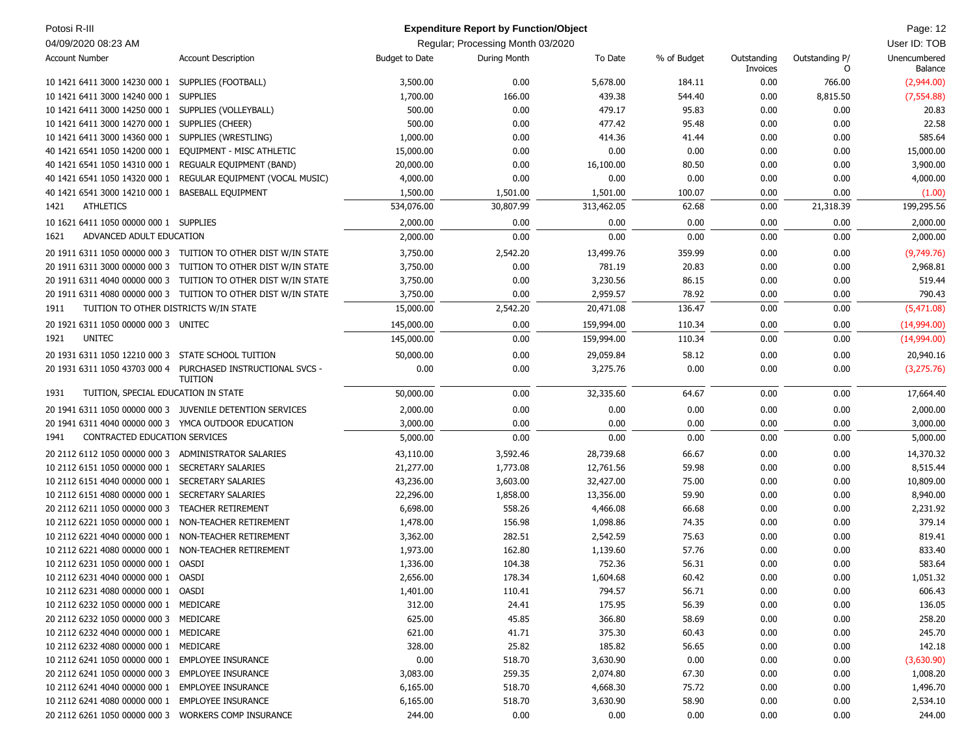| Potosi R-III                                         |                                                                |                       | <b>Expenditure Report by Function/Object</b> |            |             |                         |                     | Page: 12                |
|------------------------------------------------------|----------------------------------------------------------------|-----------------------|----------------------------------------------|------------|-------------|-------------------------|---------------------|-------------------------|
| 04/09/2020 08:23 AM                                  |                                                                |                       | Regular; Processing Month 03/2020            |            |             |                         |                     | User ID: TOB            |
| <b>Account Number</b>                                | <b>Account Description</b>                                     | <b>Budget to Date</b> | During Month                                 | To Date    | % of Budget | Outstanding<br>Invoices | Outstanding P/<br>0 | Unencumbered<br>Balance |
| 10 1421 6411 3000 14230 000 1                        | SUPPLIES (FOOTBALL)                                            | 3,500.00              | 0.00                                         | 5,678.00   | 184.11      | 0.00                    | 766.00              | (2,944.00)              |
| 10 1421 6411 3000 14240 000 1                        | <b>SUPPLIES</b>                                                | 1,700.00              | 166.00                                       | 439.38     | 544.40      | 0.00                    | 8,815.50            | (7, 554.88)             |
| 10 1421 6411 3000 14250 000 1                        | SUPPLIES (VOLLEYBALL)                                          | 500.00                | 0.00                                         | 479.17     | 95.83       | 0.00                    | 0.00                | 20.83                   |
| 10 1421 6411 3000 14270 000 1                        | SUPPLIES (CHEER)                                               | 500.00                | 0.00                                         | 477.42     | 95.48       | 0.00                    | 0.00                | 22.58                   |
| 10 1421 6411 3000 14360 000 1                        | SUPPLIES (WRESTLING)                                           | 1,000.00              | 0.00                                         | 414.36     | 41.44       | 0.00                    | 0.00                | 585.64                  |
| 40 1421 6541 1050 14200 000 1                        | EQUIPMENT - MISC ATHLETIC                                      | 15,000.00             | 0.00                                         | 0.00       | 0.00        | 0.00                    | 0.00                | 15,000.00               |
| 40 1421 6541 1050 14310 000 1                        | <b>REGUALR EQUIPMENT (BAND)</b>                                | 20,000.00             | 0.00                                         | 16,100.00  | 80.50       | 0.00                    | 0.00                | 3,900.00                |
| 40 1421 6541 1050 14320 000 1                        | REGULAR EQUIPMENT (VOCAL MUSIC)                                | 4,000.00              | 0.00                                         | 0.00       | 0.00        | 0.00                    | 0.00                | 4,000.00                |
| 40 1421 6541 3000 14210 000 1                        | <b>BASEBALL EQUIPMENT</b>                                      | 1,500.00              | 1,501.00                                     | 1,501.00   | 100.07      | 0.00                    | 0.00                | (1.00)                  |
| <b>ATHLETICS</b><br>1421                             |                                                                | 534,076.00            | 30,807.99                                    | 313,462.05 | 62.68       | 0.00                    | 21,318.39           | 199,295.56              |
| 10 1621 6411 1050 00000 000 1 SUPPLIES               |                                                                | 2,000.00              | 0.00                                         | 0.00       | 0.00        | 0.00                    | 0.00                | 2,000.00                |
| ADVANCED ADULT EDUCATION<br>1621                     |                                                                | 2,000.00              | 0.00                                         | 0.00       | 0.00        | 0.00                    | 0.00                | 2,000.00                |
|                                                      | 20 1911 6311 1050 00000 000 3 TUITION TO OTHER DIST W/IN STATE | 3,750.00              | 2,542.20                                     | 13,499.76  | 359.99      | 0.00                    | 0.00                | (9,749.76)              |
|                                                      | 20 1911 6311 3000 00000 000 3 TUITION TO OTHER DIST W/IN STATE | 3,750.00              | 0.00                                         | 781.19     | 20.83       | 0.00                    | 0.00                | 2,968.81                |
|                                                      | 20 1911 6311 4040 00000 000 3 TUITION TO OTHER DIST W/IN STATE | 3,750.00              | 0.00                                         | 3,230.56   | 86.15       | 0.00                    | 0.00                | 519.44                  |
|                                                      | 20 1911 6311 4080 00000 000 3 TUITION TO OTHER DIST W/IN STATE | 3,750.00              | 0.00                                         | 2,959.57   | 78.92       | 0.00                    | 0.00                | 790.43                  |
| TUITION TO OTHER DISTRICTS W/IN STATE<br>1911        |                                                                | 15,000.00             | 2,542.20                                     | 20,471.08  | 136.47      | 0.00                    | 0.00                | (5,471.08)              |
|                                                      |                                                                |                       |                                              |            |             |                         |                     |                         |
| 20 1921 6311 1050 00000 000 3 UNITEC                 |                                                                | 145,000.00            | 0.00                                         | 159,994.00 | 110.34      | 0.00                    | 0.00                | (14,994.00)             |
| <b>UNITEC</b><br>1921                                |                                                                | 145,000.00            | 0.00                                         | 159,994.00 | 110.34      | 0.00                    | 0.00                | (14,994.00)             |
| 20 1931 6311 1050 12210 000 3 STATE SCHOOL TUITION   |                                                                | 50,000.00             | 0.00                                         | 29,059.84  | 58.12       | 0.00                    | 0.00                | 20,940.16               |
| 20 1931 6311 1050 43703 000 4                        | PURCHASED INSTRUCTIONAL SVCS -<br><b>TUITION</b>               | 0.00                  | 0.00                                         | 3,275.76   | 0.00        | 0.00                    | 0.00                | (3,275.76)              |
| TUITION, SPECIAL EDUCATION IN STATE<br>1931          |                                                                | 50,000.00             | 0.00                                         | 32,335.60  | 64.67       | 0.00                    | 0.00                | 17,664.40               |
|                                                      | 20 1941 6311 1050 00000 000 3 JUVENILE DETENTION SERVICES      | 2,000.00              | 0.00                                         | 0.00       | 0.00        | 0.00                    | 0.00                | 2,000.00                |
| 20 1941 6311 4040 00000 000 3 YMCA OUTDOOR EDUCATION |                                                                | 3,000.00              | 0.00                                         | 0.00       | 0.00        | 0.00                    | 0.00                | 3,000.00                |
| CONTRACTED EDUCATION SERVICES<br>1941                |                                                                | 5,000.00              | 0.00                                         | 0.00       | 0.00        | 0.00                    | 0.00                | 5,000.00                |
| 20 2112 6112 1050 00000 000 3 ADMINISTRATOR SALARIES |                                                                | 43,110.00             | 3,592.46                                     | 28,739.68  | 66.67       | 0.00                    | 0.00                | 14,370.32               |
| 10 2112 6151 1050 00000 000 1                        | <b>SECRETARY SALARIES</b>                                      | 21,277.00             | 1,773.08                                     | 12,761.56  | 59.98       | 0.00                    | 0.00                | 8,515.44                |
| 10 2112 6151 4040 00000 000 1                        | <b>SECRETARY SALARIES</b>                                      | 43,236.00             | 3,603.00                                     | 32,427.00  | 75.00       | 0.00                    | 0.00                | 10,809.00               |
| 10 2112 6151 4080 00000 000 1                        | <b>SECRETARY SALARIES</b>                                      | 22,296.00             | 1,858.00                                     | 13,356.00  | 59.90       | 0.00                    | 0.00                | 8,940.00                |
| 20 2112 6211 1050 00000 000 3                        | <b>TEACHER RETIREMENT</b>                                      | 6,698.00              | 558.26                                       | 4,466.08   | 66.68       | 0.00                    | 0.00                | 2,231.92                |
| 10 2112 6221 1050 00000 000 1                        | NON-TEACHER RETIREMENT                                         | 1,478.00              | 156.98                                       | 1,098.86   | 74.35       | 0.00                    | 0.00                | 379.14                  |
| 10 2112 6221 4040 00000 000 1                        | NON-TEACHER RETIREMENT                                         | 3,362.00              | 282.51                                       | 2,542.59   | 75.63       | 0.00                    | 0.00                | 819.41                  |
| 10 2112 6221 4080 00000 000 1                        | NON-TEACHER RETIREMENT                                         | 1,973.00              | 162.80                                       | 1,139.60   | 57.76       | 0.00                    | 0.00                | 833.40                  |
| 10 2112 6231 1050 00000 000 1                        | OASDI                                                          | 1,336.00              | 104.38                                       | 752.36     | 56.31       | 0.00                    | 0.00                | 583.64                  |
| 10 2112 6231 4040 00000 000 1                        | OASDI                                                          | 2,656.00              | 178.34                                       | 1,604.68   | 60.42       | 0.00                    | 0.00                | 1,051.32                |
| 10 2112 6231 4080 00000 000 1                        | OASDI                                                          | 1,401.00              | 110.41                                       | 794.57     | 56.71       | 0.00                    | 0.00                | 606.43                  |
| 10 2112 6232 1050 00000 000 1 MEDICARE               |                                                                | 312.00                | 24.41                                        | 175.95     | 56.39       | 0.00                    | 0.00                | 136.05                  |
| 20 2112 6232 1050 00000 000 3 MEDICARE               |                                                                | 625.00                | 45.85                                        | 366.80     | 58.69       | 0.00                    | 0.00                | 258.20                  |
| 10 2112 6232 4040 00000 000 1 MEDICARE               |                                                                | 621.00                | 41.71                                        | 375.30     | 60.43       | 0.00                    | 0.00                | 245.70                  |
| 10 2112 6232 4080 00000 000 1 MEDICARE               |                                                                | 328.00                | 25.82                                        | 185.82     | 56.65       | 0.00                    | 0.00                | 142.18                  |
| 10 2112 6241 1050 00000 000 1                        | <b>EMPLOYEE INSURANCE</b>                                      | 0.00                  | 518.70                                       | 3,630.90   | 0.00        | 0.00                    | 0.00                | (3,630.90)              |
| 20 2112 6241 1050 00000 000 3 EMPLOYEE INSURANCE     |                                                                | 3,083.00              | 259.35                                       | 2,074.80   | 67.30       | 0.00                    | 0.00                | 1,008.20                |
| 10 2112 6241 4040 00000 000 1                        | <b>EMPLOYEE INSURANCE</b>                                      | 6,165.00              | 518.70                                       | 4,668.30   | 75.72       | 0.00                    | 0.00                | 1,496.70                |
| 10 2112 6241 4080 00000 000 1                        | <b>EMPLOYEE INSURANCE</b>                                      | 6,165.00              | 518.70                                       | 3,630.90   | 58.90       | 0.00                    | 0.00                | 2,534.10                |
| 20 2112 6261 1050 00000 000 3 WORKERS COMP INSURANCE |                                                                | 244.00                | 0.00                                         | 0.00       | 0.00        | 0.00                    | 0.00                | 244.00                  |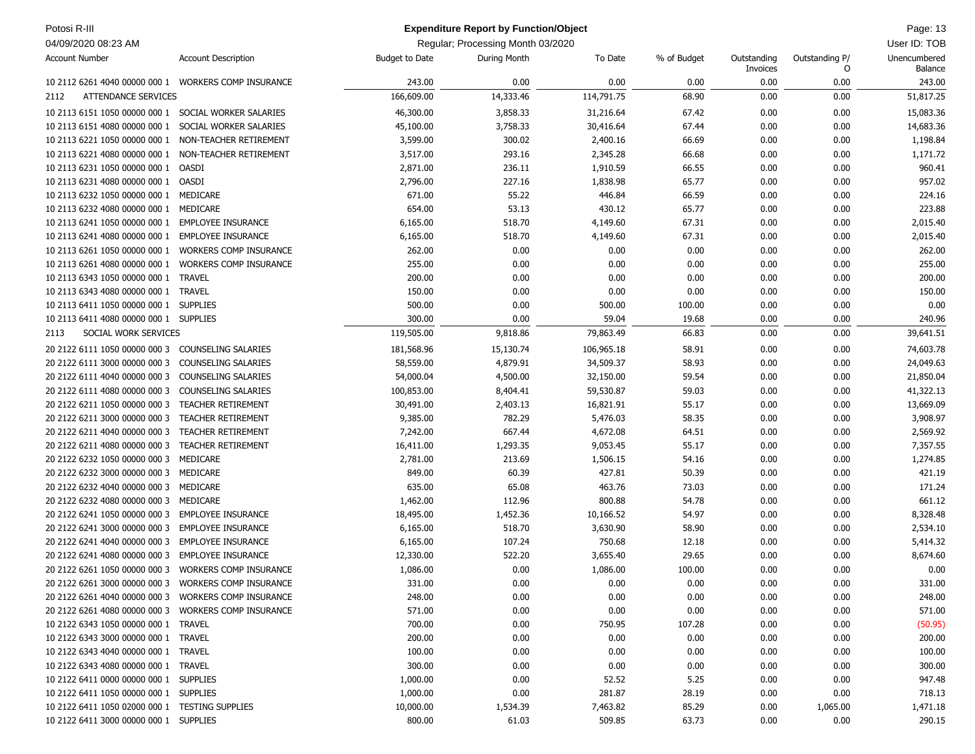| Potosi R-III                                         |                               |                       | <b>Expenditure Report by Function/Object</b> |            |             |                         |                     | Page: 13                |
|------------------------------------------------------|-------------------------------|-----------------------|----------------------------------------------|------------|-------------|-------------------------|---------------------|-------------------------|
| 04/09/2020 08:23 AM                                  |                               |                       | Regular; Processing Month 03/2020            |            |             |                         |                     | User ID: TOB            |
| <b>Account Number</b>                                | <b>Account Description</b>    | <b>Budget to Date</b> | During Month                                 | To Date    | % of Budget | Outstanding<br>Invoices | Outstanding P/<br>O | Unencumbered<br>Balance |
| 10 2112 6261 4040 00000 000 1 WORKERS COMP INSURANCE |                               | 243.00                | 0.00                                         | 0.00       | 0.00        | 0.00                    | 0.00                | 243.00                  |
| <b>ATTENDANCE SERVICES</b><br>2112                   |                               | 166,609.00            | 14,333.46                                    | 114,791.75 | 68.90       | 0.00                    | 0.00                | 51,817.25               |
| 10 2113 6151 1050 00000 000 1                        | SOCIAL WORKER SALARIES        | 46,300.00             | 3,858.33                                     | 31,216.64  | 67.42       | 0.00                    | 0.00                | 15,083.36               |
| 10 2113 6151 4080 00000 000 1                        | SOCIAL WORKER SALARIES        | 45,100.00             | 3,758.33                                     | 30,416.64  | 67.44       | 0.00                    | 0.00                | 14,683.36               |
| 10 2113 6221 1050 00000 000 1                        | NON-TEACHER RETIREMENT        | 3,599.00              | 300.02                                       | 2,400.16   | 66.69       | 0.00                    | 0.00                | 1,198.84                |
| 10 2113 6221 4080 00000 000 1                        | NON-TEACHER RETIREMENT        | 3,517.00              | 293.16                                       | 2,345.28   | 66.68       | 0.00                    | 0.00                | 1,171.72                |
| 10 2113 6231 1050 00000 000 1                        | <b>OASDI</b>                  | 2,871.00              | 236.11                                       | 1,910.59   | 66.55       | 0.00                    | 0.00                | 960.41                  |
| 10 2113 6231 4080 00000 000 1                        | OASDI                         | 2,796.00              | 227.16                                       | 1,838.98   | 65.77       | 0.00                    | 0.00                | 957.02                  |
| 10 2113 6232 1050 00000 000 1                        | MEDICARE                      | 671.00                | 55.22                                        | 446.84     | 66.59       | 0.00                    | 0.00                | 224.16                  |
| 10 2113 6232 4080 00000 000 1                        | MEDICARE                      | 654.00                | 53.13                                        | 430.12     | 65.77       | 0.00                    | 0.00                | 223.88                  |
| 10 2113 6241 1050 00000 000 1                        | <b>EMPLOYEE INSURANCE</b>     | 6,165.00              | 518.70                                       | 4,149.60   | 67.31       | 0.00                    | 0.00                | 2,015.40                |
| 10 2113 6241 4080 00000 000 1                        | <b>EMPLOYEE INSURANCE</b>     | 6,165.00              | 518.70                                       | 4,149.60   | 67.31       | 0.00                    | 0.00                | 2,015.40                |
| 10 2113 6261 1050 00000 000 1                        | <b>WORKERS COMP INSURANCE</b> | 262.00                | 0.00                                         | 0.00       | 0.00        | 0.00                    | 0.00                | 262.00                  |
| 10 2113 6261 4080 00000 000 1                        | <b>WORKERS COMP INSURANCE</b> | 255.00                | 0.00                                         | 0.00       | 0.00        | 0.00                    | 0.00                | 255.00                  |
| 10 2113 6343 1050 00000 000 1                        | TRAVEL                        | 200.00                | 0.00                                         | 0.00       | 0.00        | 0.00                    | 0.00                | 200.00                  |
| 10 2113 6343 4080 00000 000 1 TRAVEL                 |                               | 150.00                | 0.00                                         | 0.00       | 0.00        | 0.00                    | 0.00                | 150.00                  |
| 10 2113 6411 1050 00000 000 1                        | <b>SUPPLIES</b>               | 500.00                | 0.00                                         | 500.00     | 100.00      | 0.00                    | 0.00                | 0.00                    |
| 10 2113 6411 4080 00000 000 1 SUPPLIES               |                               | 300.00                | 0.00                                         | 59.04      | 19.68       | 0.00                    | 0.00                | 240.96                  |
| SOCIAL WORK SERVICES<br>2113                         |                               | 119,505.00            | 9,818.86                                     | 79,863.49  | 66.83       | 0.00                    | 0.00                | 39,641.51               |
| 20 2122 6111 1050 00000 000 3                        | <b>COUNSELING SALARIES</b>    | 181,568.96            | 15,130.74                                    | 106,965.18 | 58.91       | 0.00                    | 0.00                | 74,603.78               |
| 20 2122 6111 3000 00000 000 3                        | <b>COUNSELING SALARIES</b>    | 58,559.00             | 4,879.91                                     | 34,509.37  | 58.93       | 0.00                    | 0.00                | 24,049.63               |
| 20 2122 6111 4040 00000 000 3                        | COUNSELING SALARIES           | 54,000.04             | 4,500.00                                     | 32,150.00  | 59.54       | 0.00                    | 0.00                | 21,850.04               |
| 20 2122 6111 4080 00000 000 3                        | COUNSELING SALARIES           | 100,853.00            | 8,404.41                                     | 59,530.87  | 59.03       | 0.00                    | 0.00                | 41,322.13               |
| 20 2122 6211 1050 00000 000 3                        | <b>TEACHER RETIREMENT</b>     | 30,491.00             | 2,403.13                                     | 16,821.91  | 55.17       | 0.00                    | 0.00                | 13,669.09               |
| 20 2122 6211 3000 00000 000 3                        | <b>TEACHER RETIREMENT</b>     | 9,385.00              | 782.29                                       | 5,476.03   | 58.35       | 0.00                    | 0.00                | 3,908.97                |
| 20 2122 6211 4040 00000 000 3                        | <b>TEACHER RETIREMENT</b>     | 7,242.00              | 667.44                                       | 4,672.08   | 64.51       | 0.00                    | 0.00                | 2,569.92                |
| 20 2122 6211 4080 00000 000 3                        | <b>TEACHER RETIREMENT</b>     | 16,411.00             | 1,293.35                                     | 9,053.45   | 55.17       | 0.00                    | 0.00                | 7,357.55                |
| 20 2122 6232 1050 00000 000 3                        | MEDICARE                      | 2,781.00              | 213.69                                       | 1,506.15   | 54.16       | 0.00                    | 0.00                | 1,274.85                |
| 20 2122 6232 3000 00000 000 3                        | MEDICARE                      | 849.00                | 60.39                                        | 427.81     | 50.39       | 0.00                    | 0.00                | 421.19                  |
| 20 2122 6232 4040 00000 000 3                        | MEDICARE                      | 635.00                | 65.08                                        | 463.76     | 73.03       | 0.00                    | 0.00                | 171.24                  |
| 20 2122 6232 4080 00000 000 3                        | MEDICARE                      | 1,462.00              | 112.96                                       | 800.88     | 54.78       | 0.00                    | 0.00                | 661.12                  |
| 20 2122 6241 1050 00000 000 3                        | <b>EMPLOYEE INSURANCE</b>     | 18,495.00             | 1,452.36                                     | 10,166.52  | 54.97       | 0.00                    | 0.00                | 8,328.48                |
| 20 2122 6241 3000 00000 000 3                        | <b>EMPLOYEE INSURANCE</b>     | 6,165.00              | 518.70                                       | 3,630.90   | 58.90       | 0.00                    | 0.00                | 2,534.10                |
| 20 2122 6241 4040 00000 000 3                        | <b>EMPLOYEE INSURANCE</b>     | 6,165.00              | 107.24                                       | 750.68     | 12.18       | 0.00                    | 0.00                | 5,414.32                |
| 20 2122 6241 4080 00000 000 3                        | <b>EMPLOYEE INSURANCE</b>     | 12,330.00             | 522.20                                       | 3,655.40   | 29.65       | 0.00                    | 0.00                | 8,674.60                |
| 20 2122 6261 1050 00000 000 3 WORKERS COMP INSURANCE |                               | 1,086.00              | 0.00                                         | 1,086.00   | 100.00      | 0.00                    | 0.00                | 0.00                    |
| 20 2122 6261 3000 00000 000 3 WORKERS COMP INSURANCE |                               | 331.00                | 0.00                                         | 0.00       | 0.00        | 0.00                    | 0.00                | 331.00                  |
| 20 2122 6261 4040 00000 000 3 WORKERS COMP INSURANCE |                               | 248.00                | 0.00                                         | 0.00       | 0.00        | 0.00                    | 0.00                | 248.00                  |
| 20 2122 6261 4080 00000 000 3 WORKERS COMP INSURANCE |                               | 571.00                | 0.00                                         | 0.00       | 0.00        | 0.00                    | 0.00                | 571.00                  |
| 10 2122 6343 1050 00000 000 1 TRAVEL                 |                               | 700.00                | 0.00                                         | 750.95     | 107.28      | 0.00                    | 0.00                | (50.95)                 |
| 10 2122 6343 3000 00000 000 1 TRAVEL                 |                               | 200.00                | 0.00                                         | 0.00       | 0.00        | 0.00                    | 0.00                | 200.00                  |
| 10 2122 6343 4040 00000 000 1 TRAVEL                 |                               | 100.00                | 0.00                                         | 0.00       | 0.00        | 0.00                    | 0.00                | 100.00                  |
| 10 2122 6343 4080 00000 000 1 TRAVEL                 |                               | 300.00                | 0.00                                         | 0.00       | 0.00        | 0.00                    | 0.00                | 300.00                  |
| 10 2122 6411 0000 00000 000 1 SUPPLIES               |                               | 1,000.00              | 0.00                                         | 52.52      | 5.25        | 0.00                    | 0.00                | 947.48                  |
| 10 2122 6411 1050 00000 000 1 SUPPLIES               |                               | 1,000.00              | 0.00                                         | 281.87     | 28.19       | 0.00                    | 0.00                | 718.13                  |
| 10 2122 6411 1050 02000 000 1 TESTING SUPPLIES       |                               | 10,000.00             | 1,534.39                                     | 7,463.82   | 85.29       | 0.00                    | 1,065.00            | 1,471.18                |
| 10 2122 6411 3000 00000 000 1 SUPPLIES               |                               | 800.00                | 61.03                                        | 509.85     | 63.73       | 0.00                    | 0.00                | 290.15                  |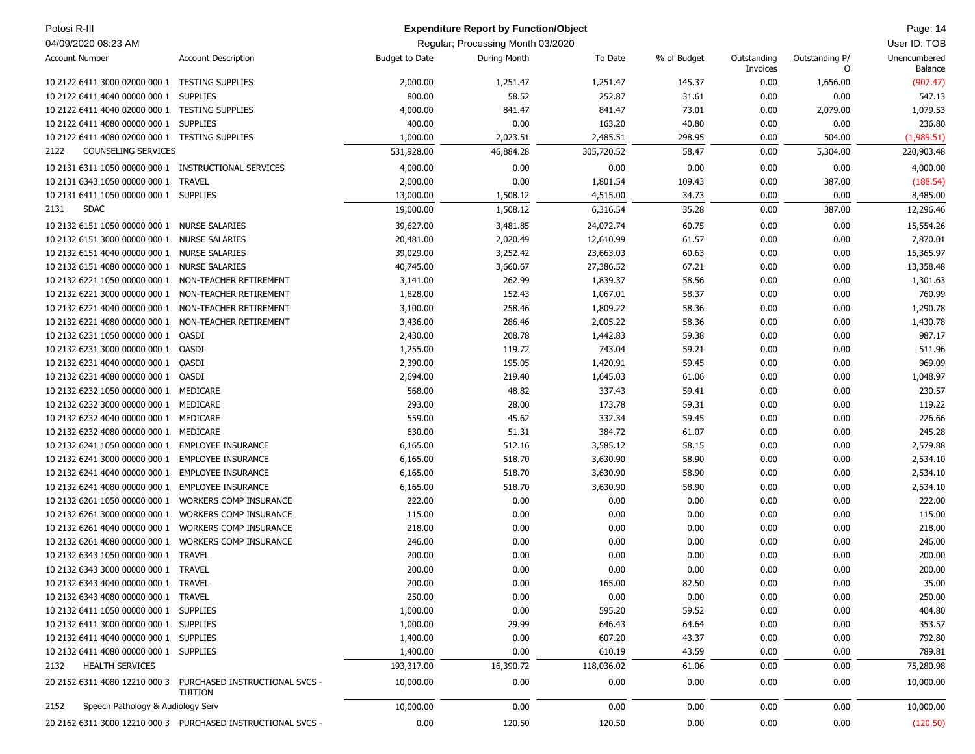| Potosi R-III                                         |                                                                         |                       | <b>Expenditure Report by Function/Object</b> |            |             |                         |                     | Page: 14                |
|------------------------------------------------------|-------------------------------------------------------------------------|-----------------------|----------------------------------------------|------------|-------------|-------------------------|---------------------|-------------------------|
| 04/09/2020 08:23 AM                                  |                                                                         |                       | Regular; Processing Month 03/2020            |            |             |                         |                     | User ID: TOB            |
| <b>Account Number</b>                                | <b>Account Description</b>                                              | <b>Budget to Date</b> | During Month                                 | To Date    | % of Budget | Outstanding<br>Invoices | Outstanding P/<br>O | Unencumbered<br>Balance |
| 10 2122 6411 3000 02000 000 1 TESTING SUPPLIES       |                                                                         | 2,000.00              | 1,251.47                                     | 1,251.47   | 145.37      | 0.00                    | 1,656.00            | (907.47)                |
| 10 2122 6411 4040 00000 000 1                        | <b>SUPPLIES</b>                                                         | 800.00                | 58.52                                        | 252.87     | 31.61       | 0.00                    | 0.00                | 547.13                  |
| 10 2122 6411 4040 02000 000 1 TESTING SUPPLIES       |                                                                         | 4,000.00              | 841.47                                       | 841.47     | 73.01       | 0.00                    | 2,079.00            | 1,079.53                |
| 10 2122 6411 4080 00000 000 1 SUPPLIES               |                                                                         | 400.00                | 0.00                                         | 163.20     | 40.80       | 0.00                    | 0.00                | 236.80                  |
| 10 2122 6411 4080 02000 000 1 TESTING SUPPLIES       |                                                                         | 1,000.00              | 2,023.51                                     | 2,485.51   | 298.95      | 0.00                    | 504.00              | (1,989.51)              |
| <b>COUNSELING SERVICES</b><br>2122                   |                                                                         | 531,928.00            | 46,884.28                                    | 305,720.52 | 58.47       | 0.00                    | 5,304.00            | 220,903.48              |
| 10 2131 6311 1050 00000 000 1 INSTRUCTIONAL SERVICES |                                                                         | 4,000.00              | 0.00                                         | 0.00       | 0.00        | 0.00                    | 0.00                | 4,000.00                |
| 10 2131 6343 1050 00000 000 1 TRAVEL                 |                                                                         | 2,000.00              | 0.00                                         | 1,801.54   | 109.43      | 0.00                    | 387.00              | (188.54)                |
| 10 2131 6411 1050 00000 000 1 SUPPLIES               |                                                                         | 13,000.00             | 1,508.12                                     | 4,515.00   | 34.73       | 0.00                    | 0.00                | 8,485.00                |
| <b>SDAC</b><br>2131                                  |                                                                         | 19,000.00             | 1,508.12                                     | 6,316.54   | 35.28       | 0.00                    | 387.00              | 12,296.46               |
| 10 2132 6151 1050 00000 000 1 NURSE SALARIES         |                                                                         | 39,627.00             | 3,481.85                                     | 24,072.74  | 60.75       | 0.00                    | 0.00                | 15,554.26               |
| 10 2132 6151 3000 00000 000 1 NURSE SALARIES         |                                                                         | 20,481.00             | 2,020.49                                     | 12,610.99  | 61.57       | 0.00                    | 0.00                | 7,870.01                |
| 10 2132 6151 4040 00000 000 1 NURSE SALARIES         |                                                                         | 39,029.00             | 3,252.42                                     | 23,663.03  | 60.63       | 0.00                    | 0.00                | 15,365.97               |
| 10 2132 6151 4080 00000 000 1 NURSE SALARIES         |                                                                         | 40,745.00             | 3,660.67                                     | 27,386.52  | 67.21       | 0.00                    | 0.00                | 13,358.48               |
| 10 2132 6221 1050 00000 000 1                        | NON-TEACHER RETIREMENT                                                  | 3,141.00              | 262.99                                       | 1,839.37   | 58.56       | 0.00                    | 0.00                | 1,301.63                |
| 10 2132 6221 3000 00000 000 1 NON-TEACHER RETIREMENT |                                                                         | 1,828.00              | 152.43                                       | 1,067.01   | 58.37       | 0.00                    | 0.00                | 760.99                  |
| 10 2132 6221 4040 00000 000 1 NON-TEACHER RETIREMENT |                                                                         | 3,100.00              | 258.46                                       | 1,809.22   | 58.36       | 0.00                    | 0.00                | 1,290.78                |
| 10 2132 6221 4080 00000 000 1                        | NON-TEACHER RETIREMENT                                                  | 3,436.00              | 286.46                                       | 2,005.22   | 58.36       | 0.00                    | 0.00                | 1,430.78                |
| 10 2132 6231 1050 00000 000 1                        | OASDI                                                                   | 2,430.00              | 208.78                                       | 1,442.83   | 59.38       | 0.00                    | 0.00                | 987.17                  |
| 10 2132 6231 3000 00000 000 1                        | OASDI                                                                   | 1,255.00              | 119.72                                       | 743.04     | 59.21       | 0.00                    | 0.00                | 511.96                  |
| 10 2132 6231 4040 00000 000 1 OASDI                  |                                                                         | 2,390.00              | 195.05                                       | 1,420.91   | 59.45       | 0.00                    | 0.00                | 969.09                  |
| 10 2132 6231 4080 00000 000 1 OASDI                  |                                                                         | 2,694.00              | 219.40                                       | 1,645.03   | 61.06       | 0.00                    | 0.00                | 1,048.97                |
| 10 2132 6232 1050 00000 000 1 MEDICARE               |                                                                         | 568.00                | 48.82                                        | 337.43     | 59.41       | 0.00                    | 0.00                | 230.57                  |
| 10 2132 6232 3000 00000 000 1 MEDICARE               |                                                                         | 293.00                | 28.00                                        | 173.78     | 59.31       | 0.00                    | 0.00                | 119.22                  |
| 10 2132 6232 4040 00000 000 1 MEDICARE               |                                                                         | 559.00                | 45.62                                        | 332.34     | 59.45       | 0.00                    | 0.00                | 226.66                  |
| 10 2132 6232 4080 00000 000 1 MEDICARE               |                                                                         | 630.00                | 51.31                                        | 384.72     | 61.07       | 0.00                    | 0.00                | 245.28                  |
| 10 2132 6241 1050 00000 000 1                        | <b>EMPLOYEE INSURANCE</b>                                               | 6,165.00              | 512.16                                       | 3,585.12   | 58.15       | 0.00                    | 0.00                | 2,579.88                |
| 10 2132 6241 3000 00000 000 1                        | <b>EMPLOYEE INSURANCE</b>                                               | 6,165.00              | 518.70                                       | 3,630.90   | 58.90       | 0.00                    | 0.00                | 2,534.10                |
| 10 2132 6241 4040 00000 000 1                        | <b>EMPLOYEE INSURANCE</b>                                               | 6,165.00              | 518.70                                       | 3,630.90   | 58.90       | 0.00                    | 0.00                | 2,534.10                |
| 10 2132 6241 4080 00000 000 1                        | <b>EMPLOYEE INSURANCE</b>                                               | 6,165.00              | 518.70                                       | 3,630.90   | 58.90       | 0.00                    | 0.00                | 2,534.10                |
| 10 2132 6261 1050 00000 000 1                        | <b>WORKERS COMP INSURANCE</b>                                           | 222.00                | 0.00                                         | 0.00       | 0.00        | 0.00                    | 0.00                | 222.00                  |
| 10 2132 6261 3000 00000 000 1                        | <b>WORKERS COMP INSURANCE</b>                                           | 115.00                | 0.00                                         | 0.00       | 0.00        | 0.00                    | 0.00                | 115.00                  |
| 10 2132 6261 4040 00000 000 1                        | <b>WORKERS COMP INSURANCE</b>                                           | 218.00                | 0.00                                         | 0.00       | 0.00        | 0.00                    | 0.00                | 218.00                  |
| 10 2132 6261 4080 00000 000 1 WORKERS COMP INSURANCE |                                                                         | 246.00                | 0.00                                         | 0.00       | 0.00        | 0.00                    | 0.00                | 246.00                  |
| 10 2132 6343 1050 00000 000 1 TRAVEL                 |                                                                         | 200.00                | 0.00                                         | 0.00       | 0.00        | 0.00                    | 0.00                | 200.00                  |
| 10 2132 6343 3000 00000 000 1 TRAVEL                 |                                                                         | 200.00                | $0.00\,$                                     | $0.00\,$   | $0.00\,$    | 0.00                    | 0.00                | 200.00                  |
| 10 2132 6343 4040 00000 000 1 TRAVEL                 |                                                                         | 200.00                | 0.00                                         | 165.00     | 82.50       | 0.00                    | 0.00                | 35.00                   |
| 10 2132 6343 4080 00000 000 1 TRAVEL                 |                                                                         | 250.00                | 0.00                                         | 0.00       | 0.00        | 0.00                    | 0.00                | 250.00                  |
| 10 2132 6411 1050 00000 000 1 SUPPLIES               |                                                                         | 1,000.00              | 0.00                                         | 595.20     | 59.52       | 0.00                    | 0.00                | 404.80                  |
| 10 2132 6411 3000 00000 000 1 SUPPLIES               |                                                                         | 1,000.00              | 29.99                                        | 646.43     | 64.64       | 0.00                    | 0.00                | 353.57                  |
| 10 2132 6411 4040 00000 000 1 SUPPLIES               |                                                                         | 1,400.00              | 0.00                                         | 607.20     | 43.37       | 0.00                    | 0.00                | 792.80                  |
| 10 2132 6411 4080 00000 000 1 SUPPLIES               |                                                                         | 1,400.00              | 0.00                                         | 610.19     | 43.59       | 0.00                    | 0.00                | 789.81                  |
| <b>HEALTH SERVICES</b><br>2132                       |                                                                         | 193,317.00            | 16,390.72                                    | 118,036.02 | 61.06       | 0.00                    | 0.00                | 75,280.98               |
|                                                      | 20 2152 6311 4080 12210 000 3 PURCHASED INSTRUCTIONAL SVCS -<br>TUITION | 10,000.00             | 0.00                                         | 0.00       | 0.00        | 0.00                    | 0.00                | 10,000.00               |
| Speech Pathology & Audiology Serv<br>2152            |                                                                         | 10,000.00             | 0.00                                         | 0.00       | 0.00        | 0.00                    | 0.00                | 10,000.00               |
|                                                      | 20 2162 6311 3000 12210 000 3 PURCHASED INSTRUCTIONAL SVCS -            | 0.00                  | 120.50                                       | 120.50     | 0.00        | 0.00                    | 0.00                | (120.50)                |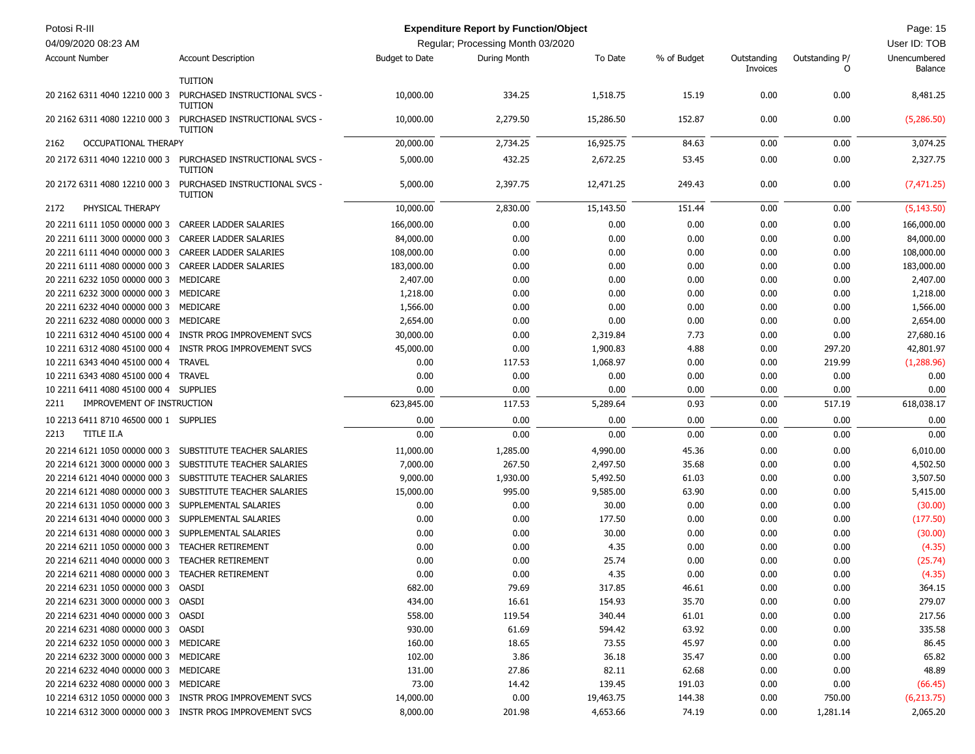| Potosi R-III<br>04/09/2020 08:23 AM              |                                                           |                       | <b>Expenditure Report by Function/Object</b><br>Regular; Processing Month 03/2020 |           |             |             |                | Page: 15<br>User ID: TOB |
|--------------------------------------------------|-----------------------------------------------------------|-----------------------|-----------------------------------------------------------------------------------|-----------|-------------|-------------|----------------|--------------------------|
| <b>Account Number</b>                            | <b>Account Description</b>                                | <b>Budget to Date</b> | During Month                                                                      | To Date   | % of Budget | Outstanding | Outstanding P/ | Unencumbered             |
|                                                  |                                                           |                       |                                                                                   |           |             | Invoices    | 0              | Balance                  |
|                                                  | <b>TUITION</b>                                            |                       |                                                                                   |           |             |             |                |                          |
| 20 2162 6311 4040 12210 000 3                    | PURCHASED INSTRUCTIONAL SVCS -<br><b>TUITION</b>          | 10,000.00             | 334.25                                                                            | 1,518.75  | 15.19       | 0.00        | 0.00           | 8,481.25                 |
| 20 2162 6311 4080 12210 000 3                    | PURCHASED INSTRUCTIONAL SVCS -<br><b>TUITION</b>          | 10,000.00             | 2,279.50                                                                          | 15,286.50 | 152.87      | 0.00        | 0.00           | (5,286.50)               |
| <b>OCCUPATIONAL THERAPY</b><br>2162              |                                                           | 20,000.00             | 2,734.25                                                                          | 16,925.75 | 84.63       | 0.00        | 0.00           | 3,074.25                 |
| 20 2172 6311 4040 12210 000 3                    | PURCHASED INSTRUCTIONAL SVCS -<br><b>TUITION</b>          | 5,000.00              | 432.25                                                                            | 2,672.25  | 53.45       | 0.00        | 0.00           | 2,327.75                 |
| 20 2172 6311 4080 12210 000 3                    | PURCHASED INSTRUCTIONAL SVCS -<br><b>TUITION</b>          | 5,000.00              | 2,397.75                                                                          | 12,471.25 | 249.43      | 0.00        | 0.00           | (7, 471.25)              |
| PHYSICAL THERAPY<br>2172                         |                                                           | 10,000.00             | 2,830.00                                                                          | 15,143.50 | 151.44      | 0.00        | 0.00           | (5, 143.50)              |
| 20 2211 6111 1050 00000 000 3                    | CAREER LADDER SALARIES                                    | 166,000.00            | 0.00                                                                              | 0.00      | 0.00        | 0.00        | 0.00           | 166,000.00               |
| 20 2211 6111 3000 00000 000 3                    | CAREER LADDER SALARIES                                    | 84,000.00             | 0.00                                                                              | 0.00      | 0.00        | 0.00        | 0.00           | 84,000.00                |
| 20 2211 6111 4040 00000 000 3                    | <b>CAREER LADDER SALARIES</b>                             | 108,000.00            | 0.00                                                                              | 0.00      | 0.00        | 0.00        | 0.00           | 108,000.00               |
| 20 2211 6111 4080 00000 000 3                    | <b>CAREER LADDER SALARIES</b>                             | 183,000.00            | 0.00                                                                              | 0.00      | 0.00        | 0.00        | 0.00           | 183,000.00               |
| 20 2211 6232 1050 00000 000 3                    | MEDICARE                                                  | 2,407.00              | 0.00                                                                              | 0.00      | 0.00        | 0.00        | 0.00           | 2,407.00                 |
| 20 2211 6232 3000 00000 000 3                    | MEDICARE                                                  | 1,218.00              | 0.00                                                                              | 0.00      | 0.00        | 0.00        | 0.00           | 1,218.00                 |
| 20 2211 6232 4040 00000 000 3                    | MEDICARE                                                  | 1,566.00              | 0.00                                                                              | 0.00      | 0.00        | 0.00        | 0.00           | 1,566.00                 |
| 20 2211 6232 4080 00000 000 3                    | MEDICARE                                                  | 2,654.00              | 0.00                                                                              | 0.00      | 0.00        | 0.00        | 0.00           | 2,654.00                 |
| 10 2211 6312 4040 45100 000 4                    | INSTR PROG IMPROVEMENT SVCS                               | 30,000.00             | 0.00                                                                              | 2,319.84  | 7.73        | 0.00        | 0.00           | 27,680.16                |
|                                                  | 10 2211 6312 4080 45100 000 4 INSTR PROG IMPROVEMENT SVCS | 45,000.00             | 0.00                                                                              | 1,900.83  | 4.88        | 0.00        | 297.20         | 42,801.97                |
| 10 2211 6343 4040 45100 000 4                    | <b>TRAVEL</b>                                             | 0.00                  | 117.53                                                                            | 1,068.97  | 0.00        | 0.00        | 219.99         | (1, 288.96)              |
| 10 2211 6343 4080 45100 000 4                    | <b>TRAVEL</b>                                             | 0.00                  | 0.00                                                                              | 0.00      | 0.00        | 0.00        | 0.00           | 0.00                     |
| 10 2211 6411 4080 45100 000 4 SUPPLIES           |                                                           | 0.00                  | 0.00                                                                              | 0.00      | 0.00        | 0.00        | 0.00           | 0.00                     |
| IMPROVEMENT OF INSTRUCTION<br>2211               |                                                           | 623,845.00            | 117.53                                                                            | 5,289.64  | 0.93        | 0.00        | 517.19         | 618,038.17               |
|                                                  |                                                           |                       |                                                                                   |           |             |             |                |                          |
| 10 2213 6411 8710 46500 000 1 SUPPLIES           |                                                           | 0.00                  | 0.00                                                                              | 0.00      | 0.00        | 0.00        | 0.00           | 0.00                     |
| TITLE II.A<br>2213                               |                                                           | 0.00                  | 0.00                                                                              | 0.00      | 0.00        | 0.00        | 0.00           | 0.00                     |
| 20 2214 6121 1050 00000 000 3                    | SUBSTITUTE TEACHER SALARIES                               | 11,000.00             | 1,285.00                                                                          | 4,990.00  | 45.36       | 0.00        | 0.00           | 6,010.00                 |
| 20 2214 6121 3000 00000 000 3                    | SUBSTITUTE TEACHER SALARIES                               | 7,000.00              | 267.50                                                                            | 2,497.50  | 35.68       | 0.00        | 0.00           | 4,502.50                 |
| 20 2214 6121 4040 00000 000 3                    | SUBSTITUTE TEACHER SALARIES                               | 9,000.00              | 1,930.00                                                                          | 5,492.50  | 61.03       | 0.00        | 0.00           | 3,507.50                 |
| 20 2214 6121 4080 00000 000 3                    | SUBSTITUTE TEACHER SALARIES                               | 15,000.00             | 995.00                                                                            | 9,585.00  | 63.90       | 0.00        | 0.00           | 5,415.00                 |
| 20 2214 6131 1050 00000 000 3                    | SUPPLEMENTAL SALARIES                                     | 0.00                  | 0.00                                                                              | 30.00     | 0.00        | 0.00        | 0.00           | (30.00)                  |
| 20 2214 6131 4040 00000 000 3                    | SUPPLEMENTAL SALARIES                                     | 0.00                  | 0.00                                                                              | 177.50    | 0.00        | 0.00        | 0.00           | (177.50)                 |
| 20 2214 6131 4080 00000 000 3                    | SUPPLEMENTAL SALARIES                                     | 0.00                  | 0.00                                                                              | 30.00     | 0.00        | 0.00        | 0.00           | (30.00)                  |
| 20 2214 6211 1050 00000 000 3                    | <b>TEACHER RETIREMENT</b>                                 | 0.00                  | 0.00                                                                              | 4.35      | 0.00        | 0.00        | 0.00           | (4.35)                   |
| 20 2214 6211 4040 00000 000 3                    | <b>TEACHER RETIREMENT</b>                                 | 0.00                  | 0.00                                                                              | 25.74     | 0.00        | 0.00        | 0.00           | (25.74)                  |
| 20 2214 6211 4080 00000 000 3 TEACHER RETIREMENT |                                                           | 0.00                  | 0.00                                                                              | 4.35      | 0.00        | 0.00        | 0.00           | (4.35)                   |
| 20 2214 6231 1050 00000 000 3 OASDI              |                                                           | 682.00                | 79.69                                                                             | 317.85    | 46.61       | 0.00        | 0.00           | 364.15                   |
| 20 2214 6231 3000 00000 000 3 OASDI              |                                                           | 434.00                | 16.61                                                                             | 154.93    | 35.70       | 0.00        | 0.00           | 279.07                   |
| 20 2214 6231 4040 00000 000 3 OASDI              |                                                           | 558.00                | 119.54                                                                            | 340.44    | 61.01       | 0.00        | 0.00           | 217.56                   |
| 20 2214 6231 4080 00000 000 3 OASDI              |                                                           | 930.00                | 61.69                                                                             | 594.42    | 63.92       | 0.00        | 0.00           | 335.58                   |
| 20 2214 6232 1050 00000 000 3 MEDICARE           |                                                           | 160.00                | 18.65                                                                             | 73.55     | 45.97       | 0.00        | 0.00           | 86.45                    |
| 20 2214 6232 3000 00000 000 3 MEDICARE           |                                                           | 102.00                | 3.86                                                                              | 36.18     | 35.47       | 0.00        | 0.00           | 65.82                    |
| 20 2214 6232 4040 00000 000 3 MEDICARE           |                                                           | 131.00                | 27.86                                                                             | 82.11     | 62.68       | 0.00        | 0.00           | 48.89                    |
| 20 2214 6232 4080 00000 000 3 MEDICARE           |                                                           | 73.00                 | 14.42                                                                             | 139.45    | 191.03      | 0.00        | 0.00           | (66.45)                  |
|                                                  | 10 2214 6312 1050 00000 000 3 INSTR PROG IMPROVEMENT SVCS | 14,000.00             | 0.00                                                                              | 19,463.75 | 144.38      | 0.00        | 750.00         | (6,213.75)               |
|                                                  | 10 2214 6312 3000 00000 000 3 INSTR PROG IMPROVEMENT SVCS | 8,000.00              | 201.98                                                                            | 4,653.66  | 74.19       | 0.00        | 1,281.14       | 2,065.20                 |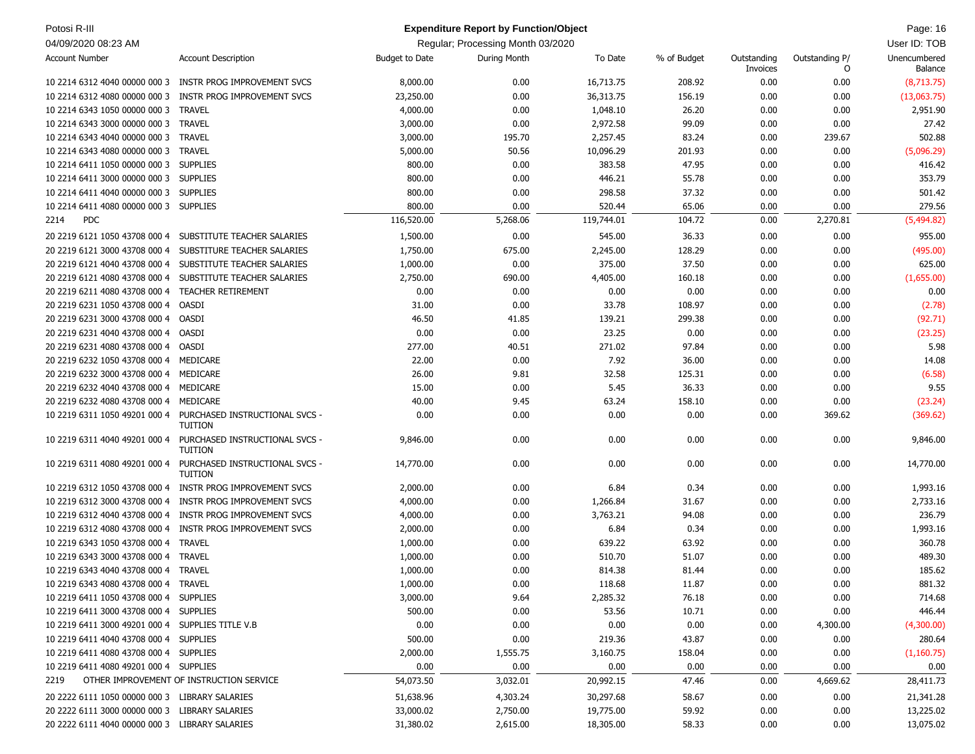| Potosi R-III<br><b>Expenditure Report by Function/Object</b> |                                                                                |                       |                                   |            |             |                         |                     | Page: 16                |
|--------------------------------------------------------------|--------------------------------------------------------------------------------|-----------------------|-----------------------------------|------------|-------------|-------------------------|---------------------|-------------------------|
| 04/09/2020 08:23 AM                                          |                                                                                |                       | Regular; Processing Month 03/2020 |            |             |                         |                     | User ID: TOB            |
| <b>Account Number</b>                                        | <b>Account Description</b>                                                     | <b>Budget to Date</b> | During Month                      | To Date    | % of Budget | Outstanding<br>Invoices | Outstanding P/<br>O | Unencumbered<br>Balance |
|                                                              | 10 2214 6312 4040 00000 000 3 INSTR PROG IMPROVEMENT SVCS                      | 8,000.00              | 0.00                              | 16,713.75  | 208.92      | 0.00                    | 0.00                | (8,713.75)              |
| 10 2214 6312 4080 00000 000 3                                | INSTR PROG IMPROVEMENT SVCS                                                    | 23,250.00             | 0.00                              | 36,313.75  | 156.19      | 0.00                    | 0.00                | (13,063.75)             |
| 10 2214 6343 1050 00000 000 3 TRAVEL                         |                                                                                | 4,000.00              | 0.00                              | 1,048.10   | 26.20       | 0.00                    | 0.00                | 2,951.90                |
| 10 2214 6343 3000 00000 000 3 TRAVEL                         |                                                                                | 3,000.00              | 0.00                              | 2,972.58   | 99.09       | 0.00                    | 0.00                | 27.42                   |
| 10 2214 6343 4040 00000 000 3 TRAVEL                         |                                                                                | 3,000.00              | 195.70                            | 2,257.45   | 83.24       | 0.00                    | 239.67              | 502.88                  |
| 10 2214 6343 4080 00000 000 3 TRAVEL                         |                                                                                | 5,000.00              | 50.56                             | 10,096.29  | 201.93      | 0.00                    | 0.00                | (5,096.29)              |
| 10 2214 6411 1050 00000 000 3 SUPPLIES                       |                                                                                | 800.00                | 0.00                              | 383.58     | 47.95       | 0.00                    | 0.00                | 416.42                  |
| 10 2214 6411 3000 00000 000 3 SUPPLIES                       |                                                                                | 800.00                | 0.00                              | 446.21     | 55.78       | 0.00                    | 0.00                | 353.79                  |
| 10 2214 6411 4040 00000 000 3 SUPPLIES                       |                                                                                | 800.00                | 0.00                              | 298.58     | 37.32       | 0.00                    | 0.00                | 501.42                  |
| 10 2214 6411 4080 00000 000 3 SUPPLIES                       |                                                                                | 800.00                | 0.00                              | 520.44     | 65.06       | 0.00                    | 0.00                | 279.56                  |
| <b>PDC</b><br>2214                                           |                                                                                | 116,520.00            | 5,268.06                          | 119,744.01 | 104.72      | 0.00                    | 2,270.81            | (5,494.82)              |
| 20 2219 6121 1050 43708 000 4                                | SUBSTITUTE TEACHER SALARIES                                                    | 1,500.00              | 0.00                              | 545.00     | 36.33       | 0.00                    | 0.00                | 955.00                  |
| 20 2219 6121 3000 43708 000 4                                | SUBSTITURE TEACHER SALARIES                                                    | 1,750.00              | 675.00                            | 2,245.00   | 128.29      | 0.00                    | 0.00                | (495.00)                |
| 20 2219 6121 4040 43708 000 4                                | SUBSTITUTE TEACHER SALARIES                                                    | 1,000.00              | 0.00                              | 375.00     | 37.50       | 0.00                    | 0.00                | 625.00                  |
| 20 2219 6121 4080 43708 000 4                                | SUBSTITUTE TEACHER SALARIES                                                    | 2,750.00              | 690.00                            | 4,405.00   | 160.18      | 0.00                    | 0.00                | (1,655.00)              |
| 20 2219 6211 4080 43708 000 4                                | <b>TEACHER RETIREMENT</b>                                                      | 0.00                  | 0.00                              | 0.00       | 0.00        | 0.00                    | 0.00                | 0.00                    |
| 20 2219 6231 1050 43708 000 4                                | OASDI                                                                          | 31.00                 | 0.00                              | 33.78      | 108.97      | 0.00                    | 0.00                | (2.78)                  |
| 20 2219 6231 3000 43708 000 4 OASDI                          |                                                                                | 46.50                 | 41.85                             | 139.21     | 299.38      | 0.00                    | 0.00                | (92.71)                 |
| 20 2219 6231 4040 43708 000 4 OASDI                          |                                                                                | 0.00                  | 0.00                              | 23.25      | 0.00        | 0.00                    | 0.00                | (23.25)                 |
| 20 2219 6231 4080 43708 000 4 OASDI                          |                                                                                | 277.00                | 40.51                             | 271.02     | 97.84       | 0.00                    | 0.00                | 5.98                    |
| 20 2219 6232 1050 43708 000 4 MEDICARE                       |                                                                                | 22.00                 | 0.00                              | 7.92       | 36.00       | 0.00                    | 0.00                | 14.08                   |
| 20 2219 6232 3000 43708 000 4 MEDICARE                       |                                                                                | 26.00                 | 9.81                              | 32.58      | 125.31      | 0.00                    | 0.00                | (6.58)                  |
| 20 2219 6232 4040 43708 000 4 MEDICARE                       |                                                                                | 15.00                 | 0.00                              | 5.45       | 36.33       | 0.00                    | 0.00                | 9.55                    |
| 20 2219 6232 4080 43708 000 4 MEDICARE                       |                                                                                | 40.00                 | 9.45                              | 63.24      | 158.10      | 0.00                    | 0.00                | (23.24)                 |
|                                                              | 10 2219 6311 1050 49201 000 4 PURCHASED INSTRUCTIONAL SVCS -<br><b>TUITION</b> | 0.00                  | 0.00                              | 0.00       | 0.00        | 0.00                    | 369.62              | (369.62)                |
|                                                              | 10 2219 6311 4040 49201 000 4 PURCHASED INSTRUCTIONAL SVCS -<br><b>TUITION</b> | 9,846.00              | 0.00                              | 0.00       | 0.00        | 0.00                    | 0.00                | 9,846.00                |
| 10 2219 6311 4080 49201 000 4                                | PURCHASED INSTRUCTIONAL SVCS -<br><b>TUITION</b>                               | 14,770.00             | 0.00                              | 0.00       | 0.00        | 0.00                    | 0.00                | 14,770.00               |
| 10 2219 6312 1050 43708 000 4                                | INSTR PROG IMPROVEMENT SVCS                                                    | 2,000.00              | 0.00                              | 6.84       | 0.34        | 0.00                    | 0.00                | 1,993.16                |
| 10 2219 6312 3000 43708 000 4                                | <b>INSTR PROG IMPROVEMENT SVCS</b>                                             | 4,000.00              | 0.00                              | 1,266.84   | 31.67       | 0.00                    | 0.00                | 2,733.16                |
| 10 2219 6312 4040 43708 000 4                                | INSTR PROG IMPROVEMENT SVCS                                                    | 4,000.00              | 0.00                              | 3,763.21   | 94.08       | 0.00                    | 0.00                | 236.79                  |
| 10 2219 6312 4080 43708 000 4                                | INSTR PROG IMPROVEMENT SVCS                                                    | 2,000.00              | 0.00                              | 6.84       | 0.34        | 0.00                    | 0.00                | 1,993.16                |
| 10 2219 6343 1050 43708 000 4                                | <b>TRAVEL</b>                                                                  | 1,000.00              | 0.00                              | 639.22     | 63.92       | 0.00                    | 0.00                | 360.78                  |
| 10 2219 6343 3000 43708 000 4 TRAVEL                         |                                                                                | 1,000.00              | 0.00                              | 510.70     | 51.07       | 0.00                    | 0.00                | 489.30                  |
| 10 2219 6343 4040 43708 000 4 TRAVEL                         |                                                                                | 1,000.00              | 0.00                              | 814.38     | 81.44       | 0.00                    | 0.00                | 185.62                  |
| 10 2219 6343 4080 43708 000 4 TRAVEL                         |                                                                                | 1,000.00              | 0.00                              | 118.68     | 11.87       | 0.00                    | 0.00                | 881.32                  |
| 10 2219 6411 1050 43708 000 4 SUPPLIES                       |                                                                                | 3,000.00              | 9.64                              | 2,285.32   | 76.18       | 0.00                    | 0.00                | 714.68                  |
| 10 2219 6411 3000 43708 000 4 SUPPLIES                       |                                                                                | 500.00                | 0.00                              | 53.56      | 10.71       | 0.00                    | 0.00                | 446.44                  |
| 10 2219 6411 3000 49201 000 4 SUPPLIES TITLE V.B             |                                                                                | 0.00                  | 0.00                              | 0.00       | 0.00        | 0.00                    | 4,300.00            | (4,300.00)              |
| 10 2219 6411 4040 43708 000 4 SUPPLIES                       |                                                                                | 500.00                | 0.00                              | 219.36     | 43.87       | 0.00                    | 0.00                | 280.64                  |
| 10 2219 6411 4080 43708 000 4 SUPPLIES                       |                                                                                | 2,000.00              | 1,555.75                          | 3,160.75   | 158.04      | 0.00                    | 0.00                | (1,160.75)              |
| 10 2219 6411 4080 49201 000 4 SUPPLIES                       |                                                                                | 0.00                  | 0.00                              | 0.00       | 0.00        | 0.00                    | 0.00                | 0.00                    |
| 2219                                                         | OTHER IMPROVEMENT OF INSTRUCTION SERVICE                                       | 54,073.50             | 3,032.01                          | 20,992.15  | 47.46       | 0.00                    | 4,669.62            | 28,411.73               |
| 20 2222 6111 1050 00000 000 3 LIBRARY SALARIES               |                                                                                | 51,638.96             | 4,303.24                          | 30,297.68  | 58.67       | 0.00                    | 0.00                | 21,341.28               |
| 20 2222 6111 3000 00000 000 3 LIBRARY SALARIES               |                                                                                | 33,000.02             | 2,750.00                          | 19,775.00  | 59.92       | 0.00                    | 0.00                | 13,225.02               |
| 20 2222 6111 4040 00000 000 3 LIBRARY SALARIES               |                                                                                | 31,380.02             | 2,615.00                          | 18,305.00  | 58.33       | 0.00                    | 0.00                | 13,075.02               |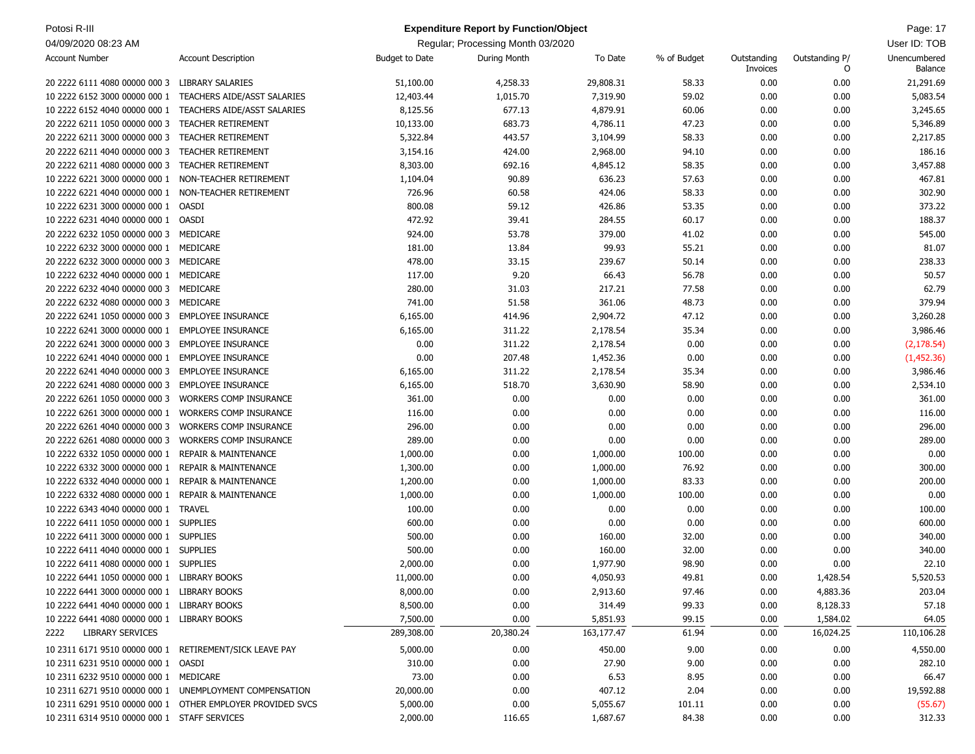| Potosi R-III                                            |                                                            |                       | <b>Expenditure Report by Function/Object</b> |            |             |                         |                     | Page: 17                       |
|---------------------------------------------------------|------------------------------------------------------------|-----------------------|----------------------------------------------|------------|-------------|-------------------------|---------------------|--------------------------------|
| 04/09/2020 08:23 AM                                     |                                                            |                       | Regular; Processing Month 03/2020            |            |             |                         |                     | User ID: TOB                   |
| <b>Account Number</b>                                   | <b>Account Description</b>                                 | <b>Budget to Date</b> | During Month                                 | To Date    | % of Budget | Outstanding<br>Invoices | Outstanding P/<br>0 | Unencumbered<br><b>Balance</b> |
| 20 2222 6111 4080 00000 000 3 LIBRARY SALARIES          |                                                            | 51,100.00             | 4,258.33                                     | 29,808.31  | 58.33       | 0.00                    | 0.00                | 21,291.69                      |
| 10 2222 6152 3000 00000 000 1                           | TEACHERS AIDE/ASST SALARIES                                | 12,403.44             | 1,015.70                                     | 7,319.90   | 59.02       | 0.00                    | 0.00                | 5,083.54                       |
| 10 2222 6152 4040 00000 000 1                           | <b>TEACHERS AIDE/ASST SALARIES</b>                         | 8,125.56              | 677.13                                       | 4,879.91   | 60.06       | 0.00                    | 0.00                | 3,245.65                       |
| 20 2222 6211 1050 00000 000 3                           | <b>TEACHER RETIREMENT</b>                                  | 10,133.00             | 683.73                                       | 4,786.11   | 47.23       | 0.00                    | 0.00                | 5,346.89                       |
| 20 2222 6211 3000 00000 000 3                           | <b>TEACHER RETIREMENT</b>                                  | 5,322.84              | 443.57                                       | 3,104.99   | 58.33       | 0.00                    | 0.00                | 2,217.85                       |
| 20 2222 6211 4040 00000 000 3                           | <b>TEACHER RETIREMENT</b>                                  | 3,154.16              | 424.00                                       | 2,968.00   | 94.10       | 0.00                    | 0.00                | 186.16                         |
| 20 2222 6211 4080 00000 000 3                           | <b>TEACHER RETIREMENT</b>                                  | 8,303.00              | 692.16                                       | 4,845.12   | 58.35       | 0.00                    | 0.00                | 3,457.88                       |
| 10 2222 6221 3000 00000 000 1                           | NON-TEACHER RETIREMENT                                     | 1,104.04              | 90.89                                        | 636.23     | 57.63       | 0.00                    | 0.00                | 467.81                         |
| 10 2222 6221 4040 00000 000 1                           | NON-TEACHER RETIREMENT                                     | 726.96                | 60.58                                        | 424.06     | 58.33       | 0.00                    | 0.00                | 302.90                         |
| 10 2222 6231 3000 00000 000 1                           | OASDI                                                      | 800.08                | 59.12                                        | 426.86     | 53.35       | 0.00                    | 0.00                | 373.22                         |
| 10 2222 6231 4040 00000 000 1                           | OASDI                                                      | 472.92                | 39.41                                        | 284.55     | 60.17       | 0.00                    | 0.00                | 188.37                         |
| 20 2222 6232 1050 00000 000 3 MEDICARE                  |                                                            | 924.00                | 53.78                                        | 379.00     | 41.02       | 0.00                    | 0.00                | 545.00                         |
| 10 2222 6232 3000 00000 000 1                           | MEDICARE                                                   | 181.00                | 13.84                                        | 99.93      | 55.21       | 0.00                    | 0.00                | 81.07                          |
| 20 2222 6232 3000 00000 000 3 MEDICARE                  |                                                            | 478.00                | 33.15                                        | 239.67     | 50.14       | 0.00                    | 0.00                | 238.33                         |
| 10 2222 6232 4040 00000 000 1                           | MEDICARE                                                   | 117.00                | 9.20                                         | 66.43      | 56.78       | 0.00                    | 0.00                | 50.57                          |
| 20 2222 6232 4040 00000 000 3                           | MEDICARE                                                   | 280.00                | 31.03                                        | 217.21     | 77.58       | 0.00                    | 0.00                | 62.79                          |
| 20 2222 6232 4080 00000 000 3 MEDICARE                  |                                                            | 741.00                | 51.58                                        | 361.06     | 48.73       | 0.00                    | 0.00                | 379.94                         |
| 20 2222 6241 1050 00000 000 3 EMPLOYEE INSURANCE        |                                                            | 6,165.00              | 414.96                                       | 2,904.72   | 47.12       | 0.00                    | 0.00                | 3,260.28                       |
| 10 2222 6241 3000 00000 000 1                           | <b>EMPLOYEE INSURANCE</b>                                  | 6,165.00              | 311.22                                       | 2,178.54   | 35.34       | 0.00                    | 0.00                | 3,986.46                       |
| 20 2222 6241 3000 00000 000 3                           | <b>EMPLOYEE INSURANCE</b>                                  | 0.00                  | 311.22                                       | 2,178.54   | 0.00        | 0.00                    | 0.00                | (2, 178.54)                    |
| 10 2222 6241 4040 00000 000 1                           | <b>EMPLOYEE INSURANCE</b>                                  | 0.00                  | 207.48                                       | 1,452.36   | 0.00        | 0.00                    | 0.00                | (1,452.36)                     |
| 20 2222 6241 4040 00000 000 3                           | <b>EMPLOYEE INSURANCE</b>                                  | 6,165.00              | 311.22                                       | 2,178.54   | 35.34       | 0.00                    | 0.00                | 3,986.46                       |
| 20 2222 6241 4080 00000 000 3                           | <b>EMPLOYEE INSURANCE</b>                                  | 6,165.00              | 518.70                                       | 3,630.90   | 58.90       | 0.00                    | 0.00                | 2,534.10                       |
| 20 2222 6261 1050 00000 000 3                           | <b>WORKERS COMP INSURANCE</b>                              | 361.00                | 0.00                                         | 0.00       | 0.00        | 0.00                    | 0.00                | 361.00                         |
| 10 2222 6261 3000 00000 000 1                           | <b>WORKERS COMP INSURANCE</b>                              | 116.00                | 0.00                                         | 0.00       | 0.00        | 0.00                    | 0.00                | 116.00                         |
| 20 2222 6261 4040 00000 000 3                           | <b>WORKERS COMP INSURANCE</b>                              | 296.00                | 0.00                                         | 0.00       | 0.00        | 0.00                    | 0.00                | 296.00                         |
| 20 2222 6261 4080 00000 000 3                           | <b>WORKERS COMP INSURANCE</b>                              | 289.00                | 0.00                                         | 0.00       | 0.00        | 0.00                    | 0.00                | 289.00                         |
| 10 2222 6332 1050 00000 000 1                           | <b>REPAIR &amp; MAINTENANCE</b>                            | 1,000.00              | 0.00                                         | 1,000.00   | 100.00      | 0.00                    | 0.00                | 0.00                           |
| 10 2222 6332 3000 00000 000 1                           | <b>REPAIR &amp; MAINTENANCE</b>                            | 1,300.00              | 0.00                                         | 1,000.00   | 76.92       | 0.00                    | 0.00                | 300.00                         |
| 10 2222 6332 4040 00000 000 1                           | <b>REPAIR &amp; MAINTENANCE</b>                            | 1,200.00              | 0.00                                         | 1,000.00   | 83.33       | 0.00                    | 0.00                | 200.00                         |
| 10 2222 6332 4080 00000 000 1                           | <b>REPAIR &amp; MAINTENANCE</b>                            | 1,000.00              | 0.00                                         | 1,000.00   | 100.00      | 0.00                    | 0.00                | 0.00                           |
| 10 2222 6343 4040 00000 000 1                           | <b>TRAVEL</b>                                              | 100.00                | 0.00                                         | 0.00       | 0.00        | 0.00                    | 0.00                | 100.00                         |
| 10 2222 6411 1050 00000 000 1 SUPPLIES                  |                                                            | 600.00                | 0.00                                         | 0.00       | 0.00        | 0.00                    | 0.00                | 600.00                         |
| 10 2222 6411 3000 00000 000 1 SUPPLIES                  |                                                            | 500.00                | 0.00                                         | 160.00     | 32.00       | 0.00                    | 0.00                | 340.00                         |
| 10 2222 6411 4040 00000 000 1 SUPPLIES                  |                                                            | 500.00                | 0.00                                         | 160.00     | 32.00       | 0.00                    | 0.00                | 340.00                         |
| 10 2222 6411 4080 00000 000 1 SUPPLIES                  |                                                            | 2,000.00              | 0.00                                         | 1,977.90   | 98.90       | 0.00                    | 0.00                | 22.10                          |
| 10 2222 6441 1050 00000 000 1 LIBRARY BOOKS             |                                                            | 11,000.00             | 0.00                                         | 4,050.93   | 49.81       | 0.00                    | 1,428.54            | 5,520.53                       |
| 10 2222 6441 3000 00000 000 1 LIBRARY BOOKS             |                                                            | 8,000.00              | 0.00                                         | 2,913.60   | 97.46       | 0.00                    | 4,883.36            | 203.04                         |
| 10 2222 6441 4040 00000 000 1 LIBRARY BOOKS             |                                                            | 8,500.00              | 0.00                                         | 314.49     | 99.33       | 0.00                    | 8,128.33            | 57.18                          |
| 10 2222 6441 4080 00000 000 1 LIBRARY BOOKS             |                                                            | 7,500.00              | 0.00                                         | 5,851.93   | 99.15       | 0.00                    | 1,584.02            | 64.05                          |
| LIBRARY SERVICES<br>2222                                |                                                            | 289,308.00            | 20,380.24                                    | 163,177.47 | 61.94       | 0.00                    | 16,024.25           | 110,106.28                     |
| 10 2311 6171 9510 00000 000 1 RETIREMENT/SICK LEAVE PAY |                                                            | 5,000.00              | 0.00                                         | 450.00     | 9.00        | 0.00                    | 0.00                | 4,550.00                       |
| 10 2311 6231 9510 00000 000 1 OASDI                     |                                                            | 310.00                | 0.00                                         | 27.90      | 9.00        | 0.00                    | 0.00                | 282.10                         |
| 10 2311 6232 9510 00000 000 1 MEDICARE                  |                                                            | 73.00                 | 0.00                                         | 6.53       | 8.95        | 0.00                    | 0.00                | 66.47                          |
|                                                         | 10 2311 6271 9510 00000 000 1 UNEMPLOYMENT COMPENSATION    | 20,000.00             | 0.00                                         | 407.12     | 2.04        | 0.00                    | 0.00                | 19,592.88                      |
|                                                         | 10 2311 6291 9510 00000 000 1 OTHER EMPLOYER PROVIDED SVCS | 5,000.00              | 0.00                                         | 5,055.67   | 101.11      | 0.00                    | 0.00                | (55.67)                        |
| 10 2311 6314 9510 00000 000 1 STAFF SERVICES            |                                                            | 2,000.00              | 116.65                                       | 1,687.67   | 84.38       | 0.00                    | 0.00                | 312.33                         |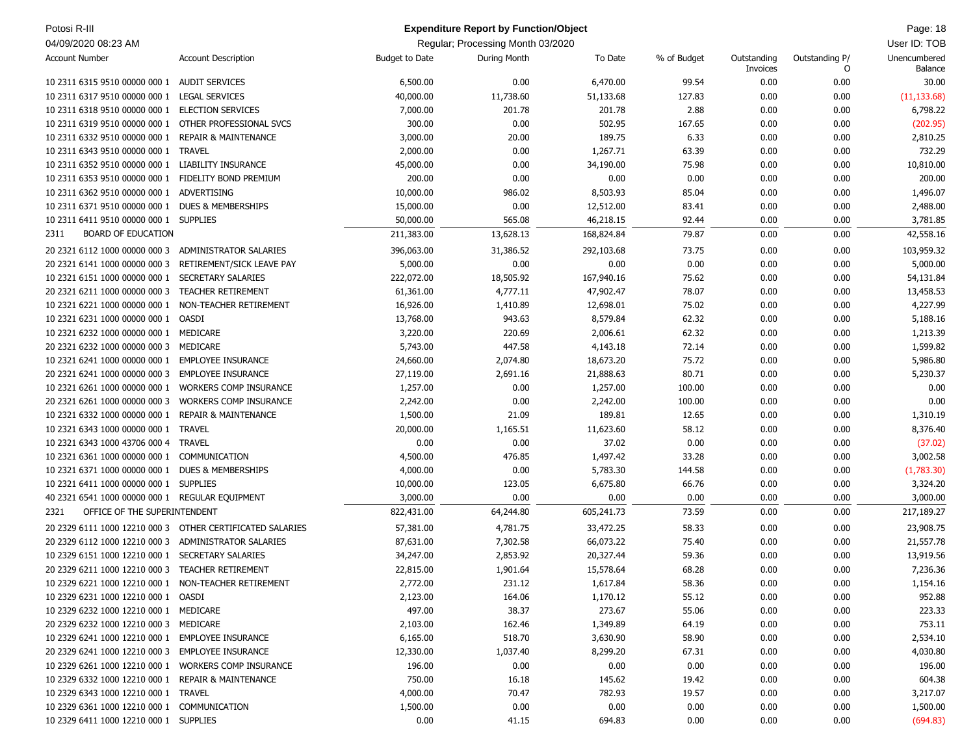| Potosi R-III                                         |                                                           |                       | <b>Expenditure Report by Function/Object</b> |            |             |                         |                     | Page: 18                |
|------------------------------------------------------|-----------------------------------------------------------|-----------------------|----------------------------------------------|------------|-------------|-------------------------|---------------------|-------------------------|
| 04/09/2020 08:23 AM                                  |                                                           |                       | Regular; Processing Month 03/2020            |            |             |                         |                     | User ID: TOB            |
| <b>Account Number</b>                                | <b>Account Description</b>                                | <b>Budget to Date</b> | During Month                                 | To Date    | % of Budget | Outstanding<br>Invoices | Outstanding P/<br>O | Unencumbered<br>Balance |
| 10 2311 6315 9510 00000 000 1                        | <b>AUDIT SERVICES</b>                                     | 6,500.00              | 0.00                                         | 6,470.00   | 99.54       | 0.00                    | 0.00                | 30.00                   |
| 10 2311 6317 9510 00000 000 1                        | <b>LEGAL SERVICES</b>                                     | 40,000.00             | 11,738.60                                    | 51,133.68  | 127.83      | 0.00                    | 0.00                | (11, 133.68)            |
| 10 2311 6318 9510 00000 000 1                        | <b>ELECTION SERVICES</b>                                  | 7,000.00              | 201.78                                       | 201.78     | 2.88        | 0.00                    | 0.00                | 6,798.22                |
| 10 2311 6319 9510 00000 000 1                        | OTHER PROFESSIONAL SVCS                                   | 300.00                | 0.00                                         | 502.95     | 167.65      | 0.00                    | 0.00                | (202.95)                |
| 10 2311 6332 9510 00000 000 1                        | <b>REPAIR &amp; MAINTENANCE</b>                           | 3,000.00              | 20.00                                        | 189.75     | 6.33        | 0.00                    | 0.00                | 2,810.25                |
| 10 2311 6343 9510 00000 000 1                        | <b>TRAVEL</b>                                             | 2,000.00              | 0.00                                         | 1,267.71   | 63.39       | 0.00                    | 0.00                | 732.29                  |
| 10 2311 6352 9510 00000 000 1                        | LIABILITY INSURANCE                                       | 45,000.00             | 0.00                                         | 34,190.00  | 75.98       | 0.00                    | 0.00                | 10,810.00               |
| 10 2311 6353 9510 00000 000 1                        | FIDELITY BOND PREMIUM                                     | 200.00                | 0.00                                         | 0.00       | 0.00        | 0.00                    | 0.00                | 200.00                  |
| 10 2311 6362 9510 00000 000 1                        | ADVERTISING                                               | 10,000.00             | 986.02                                       | 8,503.93   | 85.04       | 0.00                    | 0.00                | 1,496.07                |
| 10 2311 6371 9510 00000 000 1                        | <b>DUES &amp; MEMBERSHIPS</b>                             | 15,000.00             | 0.00                                         | 12,512.00  | 83.41       | 0.00                    | 0.00                | 2,488.00                |
| 10 2311 6411 9510 00000 000 1 SUPPLIES               |                                                           | 50,000.00             | 565.08                                       | 46,218.15  | 92.44       | 0.00                    | 0.00                | 3,781.85                |
| <b>BOARD OF EDUCATION</b><br>2311                    |                                                           | 211,383.00            | 13,628.13                                    | 168,824.84 | 79.87       | 0.00                    | 0.00                | 42,558.16               |
| 20 2321 6112 1000 00000 000 3                        | ADMINISTRATOR SALARIES                                    | 396,063.00            | 31,386.52                                    | 292,103.68 | 73.75       | 0.00                    | 0.00                | 103,959.32              |
| 20 2321 6141 1000 00000 000 3                        | RETIREMENT/SICK LEAVE PAY                                 | 5,000.00              | 0.00                                         | 0.00       | 0.00        | 0.00                    | 0.00                | 5,000.00                |
| 10 2321 6151 1000 00000 000 1                        | SECRETARY SALARIES                                        | 222,072.00            | 18,505.92                                    | 167,940.16 | 75.62       | 0.00                    | 0.00                | 54,131.84               |
| 20 2321 6211 1000 00000 000 3                        | <b>TEACHER RETIREMENT</b>                                 | 61,361.00             | 4,777.11                                     | 47,902.47  | 78.07       | 0.00                    | 0.00                | 13,458.53               |
| 10 2321 6221 1000 00000 000 1                        | NON-TEACHER RETIREMENT                                    | 16,926.00             | 1,410.89                                     | 12,698.01  | 75.02       | 0.00                    | 0.00                | 4,227.99                |
| 10 2321 6231 1000 00000 000 1                        | <b>OASDI</b>                                              | 13,768.00             | 943.63                                       | 8,579.84   | 62.32       | 0.00                    | 0.00                | 5,188.16                |
| 10 2321 6232 1000 00000 000 1                        | MEDICARE                                                  | 3,220.00              | 220.69                                       | 2,006.61   | 62.32       | 0.00                    | 0.00                | 1,213.39                |
| 20 2321 6232 1000 00000 000 3                        | MEDICARE                                                  | 5,743.00              | 447.58                                       | 4,143.18   | 72.14       | 0.00                    | 0.00                | 1,599.82                |
| 10 2321 6241 1000 00000 000 1                        | <b>EMPLOYEE INSURANCE</b>                                 | 24,660.00             | 2,074.80                                     | 18,673.20  | 75.72       | 0.00                    | 0.00                | 5,986.80                |
| 20 2321 6241 1000 00000 000 3                        | <b>EMPLOYEE INSURANCE</b>                                 | 27,119.00             | 2,691.16                                     | 21,888.63  | 80.71       | 0.00                    | 0.00                | 5,230.37                |
| 10 2321 6261 1000 00000 000 1                        | <b>WORKERS COMP INSURANCE</b>                             | 1,257.00              | 0.00                                         | 1,257.00   | 100.00      | 0.00                    | 0.00                | 0.00                    |
| 20 2321 6261 1000 00000 000 3                        | <b>WORKERS COMP INSURANCE</b>                             | 2,242.00              | 0.00                                         | 2,242.00   | 100.00      | 0.00                    | 0.00                | 0.00                    |
| 10 2321 6332 1000 00000 000 1                        | <b>REPAIR &amp; MAINTENANCE</b>                           | 1,500.00              | 21.09                                        | 189.81     | 12.65       | 0.00                    | 0.00                | 1,310.19                |
| 10 2321 6343 1000 00000 000 1                        | <b>TRAVEL</b>                                             | 20,000.00             | 1,165.51                                     | 11,623.60  | 58.12       | 0.00                    | 0.00                | 8,376.40                |
| 10 2321 6343 1000 43706 000 4                        | <b>TRAVEL</b>                                             | 0.00                  | 0.00                                         | 37.02      | 0.00        | 0.00                    | 0.00                | (37.02)                 |
| 10 2321 6361 1000 00000 000 1                        | COMMUNICATION                                             | 4,500.00              | 476.85                                       | 1,497.42   | 33.28       | 0.00                    | 0.00                | 3,002.58                |
| 10 2321 6371 1000 00000 000 1                        | <b>DUES &amp; MEMBERSHIPS</b>                             | 4,000.00              | 0.00                                         | 5,783.30   | 144.58      | 0.00                    | 0.00                | (1,783.30)              |
| 10 2321 6411 1000 00000 000 1                        | <b>SUPPLIES</b>                                           | 10,000.00             | 123.05                                       | 6,675.80   | 66.76       | 0.00                    | 0.00                | 3,324.20                |
| 40 2321 6541 1000 00000 000 1 REGULAR EQUIPMENT      |                                                           | 3,000.00              | 0.00                                         | 0.00       | 0.00        | 0.00                    | 0.00                | 3,000.00                |
| OFFICE OF THE SUPERINTENDENT<br>2321                 |                                                           | 822,431.00            | 64,244.80                                    | 605,241.73 | 73.59       | 0.00                    | 0.00                | 217,189.27              |
|                                                      | 20 2329 6111 1000 12210 000 3 OTHER CERTIFICATED SALARIES | 57,381.00             | 4,781.75                                     | 33,472.25  | 58.33       | 0.00                    | 0.00                | 23,908.75               |
| 20 2329 6112 1000 12210 000 3 ADMINISTRATOR SALARIES |                                                           | 87,631.00             | 7,302.58                                     | 66,073.22  | 75.40       | 0.00                    | 0.00                | 21,557.78               |
| 10 2329 6151 1000 12210 000 1 SECRETARY SALARIES     |                                                           | 34,247.00             | 2,853.92                                     | 20,327.44  | 59.36       | 0.00                    | 0.00                | 13,919.56               |
| 20 2329 6211 1000 12210 000 3 TEACHER RETIREMENT     |                                                           | 22,815.00             | 1,901.64                                     | 15,578.64  | 68.28       | 0.00                    | 0.00                | 7,236.36                |
| 10 2329 6221 1000 12210 000 1 NON-TEACHER RETIREMENT |                                                           | 2,772.00              | 231.12                                       | 1,617.84   | 58.36       | 0.00                    | 0.00                | 1,154.16                |
| 10 2329 6231 1000 12210 000 1 OASDI                  |                                                           | 2,123.00              | 164.06                                       | 1,170.12   | 55.12       | 0.00                    | 0.00                | 952.88                  |
| 10 2329 6232 1000 12210 000 1 MEDICARE               |                                                           | 497.00                | 38.37                                        | 273.67     | 55.06       | 0.00                    | 0.00                | 223.33                  |
| 20 2329 6232 1000 12210 000 3 MEDICARE               |                                                           | 2,103.00              | 162.46                                       | 1,349.89   | 64.19       | 0.00                    | 0.00                | 753.11                  |
| 10 2329 6241 1000 12210 000 1 EMPLOYEE INSURANCE     |                                                           | 6,165.00              | 518.70                                       | 3,630.90   | 58.90       | 0.00                    | 0.00                | 2,534.10                |
| 20 2329 6241 1000 12210 000 3 EMPLOYEE INSURANCE     |                                                           | 12,330.00             | 1,037.40                                     | 8,299.20   | 67.31       | 0.00                    | 0.00                | 4,030.80                |
| 10 2329 6261 1000 12210 000 1 WORKERS COMP INSURANCE |                                                           | 196.00                | 0.00                                         | 0.00       | 0.00        | 0.00                    | 0.00                | 196.00                  |
| 10 2329 6332 1000 12210 000 1 REPAIR & MAINTENANCE   |                                                           | 750.00                | 16.18                                        | 145.62     | 19.42       | 0.00                    | 0.00                | 604.38                  |
| 10 2329 6343 1000 12210 000 1 TRAVEL                 |                                                           | 4,000.00              | 70.47                                        | 782.93     | 19.57       | 0.00                    | 0.00                | 3,217.07                |
| 10 2329 6361 1000 12210 000 1 COMMUNICATION          |                                                           | 1,500.00              | 0.00                                         | 0.00       | 0.00        | 0.00                    | 0.00                | 1,500.00                |
| 10 2329 6411 1000 12210 000 1 SUPPLIES               |                                                           | 0.00                  | 41.15                                        | 694.83     | 0.00        | 0.00                    | 0.00                | (694.83)                |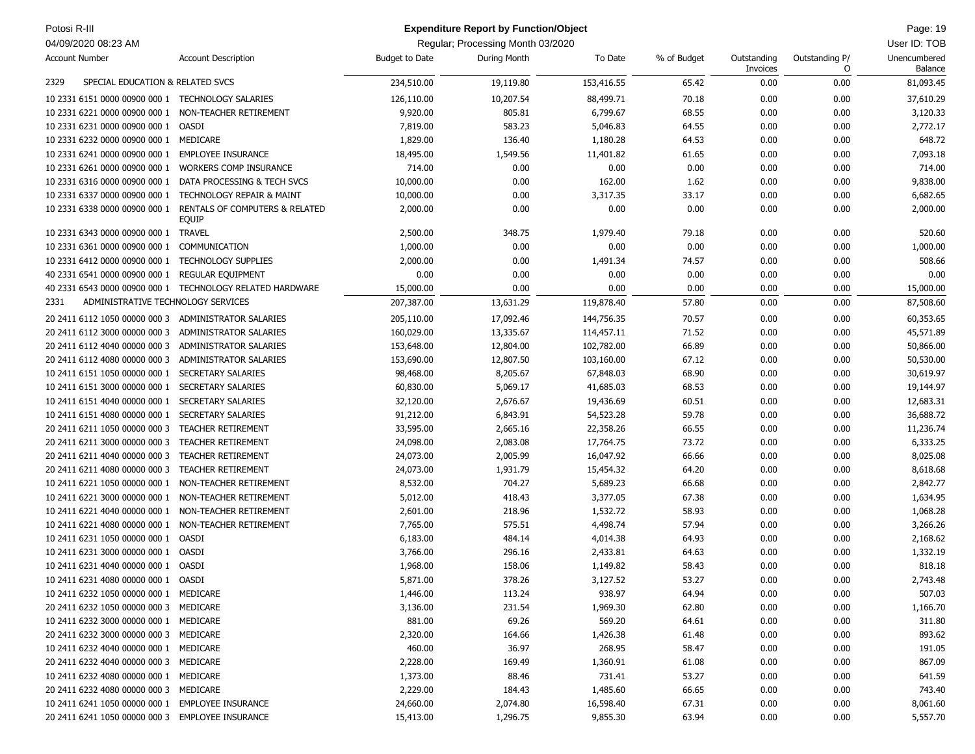| Potosi R-III                           |                                                  |                | <b>Expenditure Report by Function/Object</b> |            |             |                         |                     | Page: 19                |
|----------------------------------------|--------------------------------------------------|----------------|----------------------------------------------|------------|-------------|-------------------------|---------------------|-------------------------|
| 04/09/2020 08:23 AM                    |                                                  |                | Regular; Processing Month 03/2020            |            |             |                         |                     | User ID: TOB            |
| <b>Account Number</b>                  | <b>Account Description</b>                       | Budget to Date | During Month                                 | To Date    | % of Budget | Outstanding<br>Invoices | Outstanding P/<br>O | Unencumbered<br>Balance |
| 2329                                   | SPECIAL EDUCATION & RELATED SVCS                 | 234,510.00     | 19,119.80                                    | 153,416.55 | 65.42       | 0.00                    | 0.00                | 81,093.45               |
| 10 2331 6151 0000 00900 000 1          | <b>TECHNOLOGY SALARIES</b>                       | 126,110.00     | 10,207.54                                    | 88,499.71  | 70.18       | 0.00                    | 0.00                | 37,610.29               |
| 10 2331 6221 0000 00900 000 1          | NON-TEACHER RETIREMENT                           | 9,920.00       | 805.81                                       | 6,799.67   | 68.55       | 0.00                    | 0.00                | 3,120.33                |
| 10 2331 6231 0000 00900 000 1          | OASDI                                            | 7,819.00       | 583.23                                       | 5,046.83   | 64.55       | 0.00                    | 0.00                | 2,772.17                |
| 10 2331 6232 0000 00900 000 1          | MEDICARE                                         | 1,829.00       | 136.40                                       | 1,180.28   | 64.53       | 0.00                    | 0.00                | 648.72                  |
| 10 2331 6241 0000 00900 000 1          | <b>EMPLOYEE INSURANCE</b>                        | 18,495.00      | 1,549.56                                     | 11,401.82  | 61.65       | 0.00                    | 0.00                | 7,093.18                |
| 10 2331 6261 0000 00900 000 1          | <b>WORKERS COMP INSURANCE</b>                    | 714.00         | 0.00                                         | 0.00       | 0.00        | 0.00                    | 0.00                | 714.00                  |
| 10 2331 6316 0000 00900 000 1          | DATA PROCESSING & TECH SVCS                      | 10,000.00      | 0.00                                         | 162.00     | 1.62        | 0.00                    | 0.00                | 9,838.00                |
| 10 2331 6337 0000 00900 000 1          | <b>TECHNOLOGY REPAIR &amp; MAINT</b>             | 10,000.00      | 0.00                                         | 3,317.35   | 33.17       | 0.00                    | 0.00                | 6,682.65                |
| 10 2331 6338 0000 00900 000 1          | RENTALS OF COMPUTERS & RELATED                   | 2,000.00       | 0.00                                         | 0.00       | 0.00        | 0.00                    | 0.00                | 2,000.00                |
|                                        | equip                                            |                |                                              |            | 79.18       |                         | 0.00                |                         |
| 10 2331 6343 0000 00900 000 1          | <b>TRAVEL</b>                                    | 2,500.00       | 348.75                                       | 1,979.40   |             | 0.00                    |                     | 520.60                  |
| 10 2331 6361 0000 00900 000 1          | COMMUNICATION                                    | 1,000.00       | 0.00                                         | 0.00       | 0.00        | 0.00                    | 0.00                | 1,000.00                |
| 10 2331 6412 0000 00900 000 1          | <b>TECHNOLOGY SUPPLIES</b>                       | 2,000.00       | 0.00                                         | 1,491.34   | 74.57       | 0.00                    | 0.00                | 508.66                  |
| 40 2331 6541 0000 00900 000 1          | REGULAR EQUIPMENT                                | 0.00           | 0.00                                         | 0.00       | 0.00        | 0.00                    | 0.00                | 0.00                    |
| 40 2331 6543 0000 00900 000 1          | TECHNOLOGY RELATED HARDWARE                      | 15,000.00      | 0.00                                         | 0.00       | 0.00        | 0.00                    | 0.00                | 15,000.00               |
| 2331                                   | ADMINISTRATIVE TECHNOLOGY SERVICES               | 207,387.00     | 13,631.29                                    | 119,878.40 | 57.80       | 0.00                    | 0.00                | 87,508.60               |
| 20 2411 6112 1050 00000 000 3          | ADMINISTRATOR SALARIES                           | 205,110.00     | 17,092.46                                    | 144,756.35 | 70.57       | 0.00                    | 0.00                | 60,353.65               |
| 20 2411 6112 3000 00000 000 3          | ADMINISTRATOR SALARIES                           | 160,029.00     | 13,335.67                                    | 114,457.11 | 71.52       | 0.00                    | 0.00                | 45,571.89               |
| 20 2411 6112 4040 00000 000 3          | ADMINISTRATOR SALARIES                           | 153,648.00     | 12,804.00                                    | 102,782.00 | 66.89       | 0.00                    | 0.00                | 50,866.00               |
| 20 2411 6112 4080 00000 000 3          | ADMINISTRATOR SALARIES                           | 153,690.00     | 12,807.50                                    | 103,160.00 | 67.12       | 0.00                    | 0.00                | 50,530.00               |
| 10 2411 6151 1050 00000 000 1          | <b>SECRETARY SALARIES</b>                        | 98,468.00      | 8,205.67                                     | 67,848.03  | 68.90       | 0.00                    | 0.00                | 30,619.97               |
| 10 2411 6151 3000 00000 000 1          | <b>SECRETARY SALARIES</b>                        | 60,830.00      | 5,069.17                                     | 41,685.03  | 68.53       | 0.00                    | 0.00                | 19,144.97               |
| 10 2411 6151 4040 00000 000 1          | <b>SECRETARY SALARIES</b>                        | 32,120.00      | 2,676.67                                     | 19,436.69  | 60.51       | 0.00                    | 0.00                | 12,683.31               |
| 10 2411 6151 4080 00000 000 1          | <b>SECRETARY SALARIES</b>                        | 91,212.00      | 6,843.91                                     | 54,523.28  | 59.78       | 0.00                    | 0.00                | 36,688.72               |
| 20 2411 6211 1050 00000 000 3          | <b>TEACHER RETIREMENT</b>                        | 33,595.00      | 2,665.16                                     | 22,358.26  | 66.55       | 0.00                    | 0.00                | 11,236.74               |
| 20 2411 6211 3000 00000 000 3          | <b>TEACHER RETIREMENT</b>                        | 24,098.00      | 2,083.08                                     | 17,764.75  | 73.72       | 0.00                    | 0.00                | 6,333.25                |
| 20 2411 6211 4040 00000 000 3          | <b>TEACHER RETIREMENT</b>                        | 24,073.00      | 2,005.99                                     | 16,047.92  | 66.66       | 0.00                    | 0.00                | 8,025.08                |
| 20 2411 6211 4080 00000 000 3          | <b>TEACHER RETIREMENT</b>                        | 24,073.00      | 1,931.79                                     | 15,454.32  | 64.20       | 0.00                    | 0.00                | 8,618.68                |
| 10 2411 6221 1050 00000 000 1          | NON-TEACHER RETIREMENT                           | 8,532.00       | 704.27                                       | 5,689.23   | 66.68       | 0.00                    | 0.00                | 2,842.77                |
| 10 2411 6221 3000 00000 000 1          | NON-TEACHER RETIREMENT                           | 5,012.00       | 418.43                                       | 3,377.05   | 67.38       | 0.00                    | 0.00                | 1,634.95                |
| 10 2411 6221 4040 00000 000 1          | NON-TEACHER RETIREMENT                           | 2,601.00       | 218.96                                       | 1,532.72   | 58.93       | 0.00                    | 0.00                | 1,068.28                |
| 10 2411 6221 4080 00000 000 1          | NON-TEACHER RETIREMENT                           | 7,765.00       | 575.51                                       | 4,498.74   | 57.94       | 0.00                    | 0.00                | 3,266.26                |
| 10 2411 6231 1050 00000 000 1          | OASDI                                            | 6,183.00       | 484.14                                       | 4,014.38   | 64.93       | 0.00                    | 0.00                | 2,168.62                |
| 10 2411 6231 3000 00000 000 1          | <b>OASDI</b>                                     | 3,766.00       | 296.16                                       | 2,433.81   | 64.63       | 0.00                    | 0.00                | 1,332.19                |
| 10 2411 6231 4040 00000 000 1          | <b>OASDI</b>                                     | 1,968.00       | 158.06                                       | 1,149.82   | 58.43       | 0.00                    | 0.00                | 818.18                  |
| 10 2411 6231 4080 00000 000 1          | OASDI                                            | 5,871.00       | 378.26                                       | 3,127.52   | 53.27       | 0.00                    | 0.00                | 2,743.48                |
| 10 2411 6232 1050 00000 000 1 MEDICARE |                                                  | 1,446.00       | 113.24                                       | 938.97     | 64.94       | 0.00                    | 0.00                | 507.03                  |
| 20 2411 6232 1050 00000 000 3 MEDICARE |                                                  | 3,136.00       | 231.54                                       | 1,969.30   | 62.80       | 0.00                    | 0.00                | 1,166.70                |
| 10 2411 6232 3000 00000 000 1 MEDICARE |                                                  | 881.00         | 69.26                                        | 569.20     | 64.61       | 0.00                    | 0.00                | 311.80                  |
| 20 2411 6232 3000 00000 000 3 MEDICARE |                                                  | 2,320.00       | 164.66                                       | 1,426.38   | 61.48       | 0.00                    | 0.00                | 893.62                  |
| 10 2411 6232 4040 00000 000 1 MEDICARE |                                                  | 460.00         | 36.97                                        | 268.95     | 58.47       | 0.00                    | 0.00                | 191.05                  |
| 20 2411 6232 4040 00000 000 3 MEDICARE |                                                  | 2,228.00       | 169.49                                       | 1,360.91   | 61.08       | 0.00                    | 0.00                | 867.09                  |
| 10 2411 6232 4080 00000 000 1 MEDICARE |                                                  | 1,373.00       | 88.46                                        | 731.41     | 53.27       | 0.00                    | 0.00                | 641.59                  |
| 20 2411 6232 4080 00000 000 3 MEDICARE |                                                  | 2,229.00       | 184.43                                       | 1,485.60   | 66.65       | 0.00                    | 0.00                | 743.40                  |
|                                        | 10 2411 6241 1050 00000 000 1 EMPLOYEE INSURANCE | 24,660.00      | 2,074.80                                     | 16,598.40  | 67.31       | 0.00                    | 0.00                | 8,061.60                |
|                                        | 20 2411 6241 1050 00000 000 3 EMPLOYEE INSURANCE | 15,413.00      | 1,296.75                                     | 9,855.30   | 63.94       | 0.00                    | 0.00                | 5,557.70                |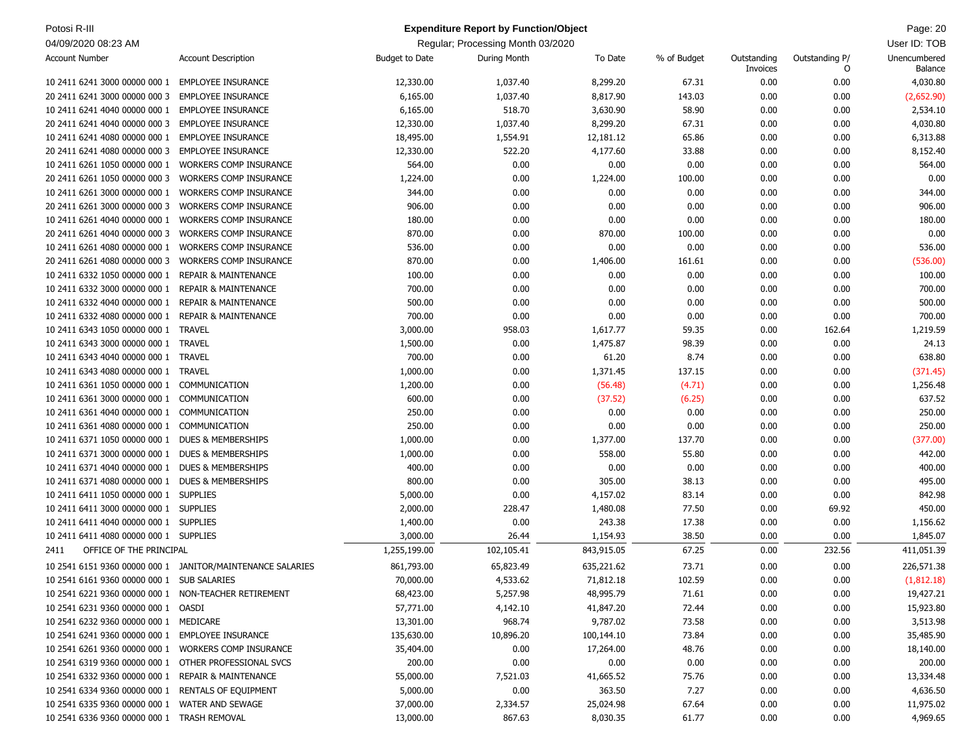| Potosi R-III                                         |                                                            |                       | <b>Expenditure Report by Function/Object</b> |            |             |                         |                     | Page: 20                |
|------------------------------------------------------|------------------------------------------------------------|-----------------------|----------------------------------------------|------------|-------------|-------------------------|---------------------|-------------------------|
| 04/09/2020 08:23 AM                                  |                                                            |                       | Regular; Processing Month 03/2020            |            |             |                         |                     | User ID: TOB            |
| <b>Account Number</b>                                | <b>Account Description</b>                                 | <b>Budget to Date</b> | During Month                                 | To Date    | % of Budget | Outstanding<br>Invoices | Outstanding P/<br>0 | Unencumbered<br>Balance |
| 10 2411 6241 3000 00000 000 1                        | <b>EMPLOYEE INSURANCE</b>                                  | 12,330.00             | 1,037.40                                     | 8,299.20   | 67.31       | 0.00                    | 0.00                | 4,030.80                |
| 20 2411 6241 3000 00000 000 3                        | <b>EMPLOYEE INSURANCE</b>                                  | 6,165.00              | 1,037.40                                     | 8,817.90   | 143.03      | 0.00                    | 0.00                | (2,652.90)              |
| 10 2411 6241 4040 00000 000 1                        | <b>EMPLOYEE INSURANCE</b>                                  | 6,165.00              | 518.70                                       | 3,630.90   | 58.90       | 0.00                    | 0.00                | 2,534.10                |
| 20 2411 6241 4040 00000 000 3                        | <b>EMPLOYEE INSURANCE</b>                                  | 12,330.00             | 1,037.40                                     | 8,299.20   | 67.31       | 0.00                    | 0.00                | 4,030.80                |
| 10 2411 6241 4080 00000 000 1                        | <b>EMPLOYEE INSURANCE</b>                                  | 18,495.00             | 1,554.91                                     | 12,181.12  | 65.86       | 0.00                    | 0.00                | 6,313.88                |
| 20 2411 6241 4080 00000 000 3                        | <b>EMPLOYEE INSURANCE</b>                                  | 12,330.00             | 522.20                                       | 4,177.60   | 33.88       | 0.00                    | 0.00                | 8,152.40                |
| 10 2411 6261 1050 00000 000 1                        | <b>WORKERS COMP INSURANCE</b>                              | 564.00                | 0.00                                         | 0.00       | 0.00        | 0.00                    | 0.00                | 564.00                  |
| 20 2411 6261 1050 00000 000 3                        | <b>WORKERS COMP INSURANCE</b>                              | 1,224.00              | 0.00                                         | 1,224.00   | 100.00      | 0.00                    | 0.00                | 0.00                    |
| 10 2411 6261 3000 00000 000 1                        | <b>WORKERS COMP INSURANCE</b>                              | 344.00                | 0.00                                         | 0.00       | 0.00        | 0.00                    | 0.00                | 344.00                  |
| 20 2411 6261 3000 00000 000 3                        | WORKERS COMP INSURANCE                                     | 906.00                | 0.00                                         | 0.00       | 0.00        | 0.00                    | 0.00                | 906.00                  |
| 10 2411 6261 4040 00000 000 1                        | <b>WORKERS COMP INSURANCE</b>                              | 180.00                | 0.00                                         | 0.00       | 0.00        | 0.00                    | 0.00                | 180.00                  |
| 20 2411 6261 4040 00000 000 3                        | <b>WORKERS COMP INSURANCE</b>                              | 870.00                | 0.00                                         | 870.00     | 100.00      | 0.00                    | 0.00                | 0.00                    |
| 10 2411 6261 4080 00000 000 1                        | <b>WORKERS COMP INSURANCE</b>                              | 536.00                | 0.00                                         | 0.00       | 0.00        | 0.00                    | 0.00                | 536.00                  |
| 20 2411 6261 4080 00000 000 3                        | <b>WORKERS COMP INSURANCE</b>                              | 870.00                | 0.00                                         | 1,406.00   | 161.61      | 0.00                    | 0.00                | (536.00)                |
| 10 2411 6332 1050 00000 000 1                        | <b>REPAIR &amp; MAINTENANCE</b>                            | 100.00                | 0.00                                         | 0.00       | 0.00        | 0.00                    | 0.00                | 100.00                  |
| 10 2411 6332 3000 00000 000 1                        | <b>REPAIR &amp; MAINTENANCE</b>                            | 700.00                | 0.00                                         | 0.00       | 0.00        | 0.00                    | 0.00                | 700.00                  |
| 10 2411 6332 4040 00000 000 1                        | <b>REPAIR &amp; MAINTENANCE</b>                            | 500.00                | 0.00                                         | 0.00       | 0.00        | 0.00                    | 0.00                | 500.00                  |
| 10 2411 6332 4080 00000 000 1                        | <b>REPAIR &amp; MAINTENANCE</b>                            | 700.00                | 0.00                                         | 0.00       | 0.00        | 0.00                    | 0.00                | 700.00                  |
| 10 2411 6343 1050 00000 000 1                        | TRAVEL                                                     | 3,000.00              | 958.03                                       | 1,617.77   | 59.35       | 0.00                    | 162.64              | 1,219.59                |
| 10 2411 6343 3000 00000 000 1                        | <b>TRAVEL</b>                                              | 1,500.00              | 0.00                                         | 1,475.87   | 98.39       | 0.00                    | 0.00                | 24.13                   |
| 10 2411 6343 4040 00000 000 1                        | <b>TRAVEL</b>                                              | 700.00                | 0.00                                         | 61.20      | 8.74        | 0.00                    | 0.00                | 638.80                  |
| 10 2411 6343 4080 00000 000 1                        | TRAVEL                                                     | 1,000.00              | 0.00                                         | 1,371.45   | 137.15      | 0.00                    | 0.00                | (371.45)                |
| 10 2411 6361 1050 00000 000 1                        | COMMUNICATION                                              | 1,200.00              | 0.00                                         | (56.48)    | (4.71)      | 0.00                    | 0.00                | 1,256.48                |
| 10 2411 6361 3000 00000 000 1                        | COMMUNICATION                                              | 600.00                | 0.00                                         | (37.52)    | (6.25)      | 0.00                    | 0.00                | 637.52                  |
| 10 2411 6361 4040 00000 000 1                        | COMMUNICATION                                              | 250.00                | 0.00                                         | 0.00       | 0.00        | 0.00                    | 0.00                | 250.00                  |
| 10 2411 6361 4080 00000 000 1                        | COMMUNICATION                                              | 250.00                | 0.00                                         | 0.00       | 0.00        | 0.00                    | 0.00                | 250.00                  |
| 10 2411 6371 1050 00000 000 1                        | DUES & MEMBERSHIPS                                         | 1,000.00              | 0.00                                         | 1,377.00   | 137.70      | 0.00                    | 0.00                | (377.00)                |
| 10 2411 6371 3000 00000 000 1                        | DUES & MEMBERSHIPS                                         | 1,000.00              | 0.00                                         | 558.00     | 55.80       | 0.00                    | 0.00                | 442.00                  |
| 10 2411 6371 4040 00000 000 1                        | <b>DUES &amp; MEMBERSHIPS</b>                              | 400.00                | 0.00                                         | 0.00       | 0.00        | 0.00                    | 0.00                | 400.00                  |
| 10 2411 6371 4080 00000 000 1                        | <b>DUES &amp; MEMBERSHIPS</b>                              | 800.00                | 0.00                                         | 305.00     | 38.13       | 0.00                    | 0.00                | 495.00                  |
| 10 2411 6411 1050 00000 000 1 SUPPLIES               |                                                            | 5,000.00              | 0.00                                         | 4,157.02   | 83.14       | 0.00                    | 0.00                | 842.98                  |
| 10 2411 6411 3000 00000 000 1 SUPPLIES               |                                                            | 2,000.00              | 228.47                                       | 1,480.08   | 77.50       | 0.00                    | 69.92               | 450.00                  |
| 10 2411 6411 4040 00000 000 1 SUPPLIES               |                                                            | 1,400.00              | 0.00                                         | 243.38     | 17.38       | 0.00                    | 0.00                | 1,156.62                |
| 10 2411 6411 4080 00000 000 1 SUPPLIES               |                                                            | 3,000.00              | 26.44                                        | 1,154.93   | 38.50       | 0.00                    | 0.00                | 1,845.07                |
| OFFICE OF THE PRINCIPAL<br>2411                      |                                                            | 1,255,199.00          | 102,105.41                                   | 843,915.05 | 67.25       | 0.00                    | 232.56              | 411,051.39              |
|                                                      | 10 2541 6151 9360 00000 000 1 JANITOR/MAINTENANCE SALARIES | 861,793.00            | 65,823.49                                    | 635,221.62 | 73.71       | 0.00                    | 0.00                | 226,571.38              |
| 10 2541 6161 9360 00000 000 1 SUB SALARIES           |                                                            | 70,000.00             | 4,533.62                                     | 71,812.18  | 102.59      | 0.00                    | 0.00                | (1,812.18)              |
| 10 2541 6221 9360 00000 000 1 NON-TEACHER RETIREMENT |                                                            | 68,423.00             | 5,257.98                                     | 48,995.79  | 71.61       | 0.00                    | 0.00                | 19,427.21               |
| 10 2541 6231 9360 00000 000 1 OASDI                  |                                                            | 57,771.00             | 4,142.10                                     | 41,847.20  | 72.44       | 0.00                    | 0.00                | 15,923.80               |
| 10 2541 6232 9360 00000 000 1 MEDICARE               |                                                            | 13,301.00             | 968.74                                       | 9,787.02   | 73.58       | 0.00                    | 0.00                | 3,513.98                |
| 10 2541 6241 9360 00000 000 1 EMPLOYEE INSURANCE     |                                                            | 135,630.00            | 10,896.20                                    | 100,144.10 | 73.84       | 0.00                    | 0.00                | 35,485.90               |
| 10 2541 6261 9360 00000 000 1 WORKERS COMP INSURANCE |                                                            | 35,404.00             | 0.00                                         | 17,264.00  | 48.76       | 0.00                    | 0.00                | 18,140.00               |
| 10 2541 6319 9360 00000 000 1                        | OTHER PROFESSIONAL SVCS                                    | 200.00                | 0.00                                         | 0.00       | 0.00        | 0.00                    | 0.00                | 200.00                  |
| 10 2541 6332 9360 00000 000 1                        | <b>REPAIR &amp; MAINTENANCE</b>                            | 55,000.00             | 7,521.03                                     | 41,665.52  | 75.76       | 0.00                    | 0.00                | 13,334.48               |
| 10 2541 6334 9360 00000 000 1                        | RENTALS OF EQUIPMENT                                       | 5,000.00              | 0.00                                         | 363.50     | 7.27        | 0.00                    | 0.00                | 4,636.50                |
| 10 2541 6335 9360 00000 000 1 WATER AND SEWAGE       |                                                            | 37,000.00             | 2,334.57                                     | 25,024.98  | 67.64       | 0.00                    | 0.00                | 11,975.02               |
| 10 2541 6336 9360 00000 000 1 TRASH REMOVAL          |                                                            | 13,000.00             | 867.63                                       | 8,030.35   | 61.77       | 0.00                    | 0.00                | 4,969.65                |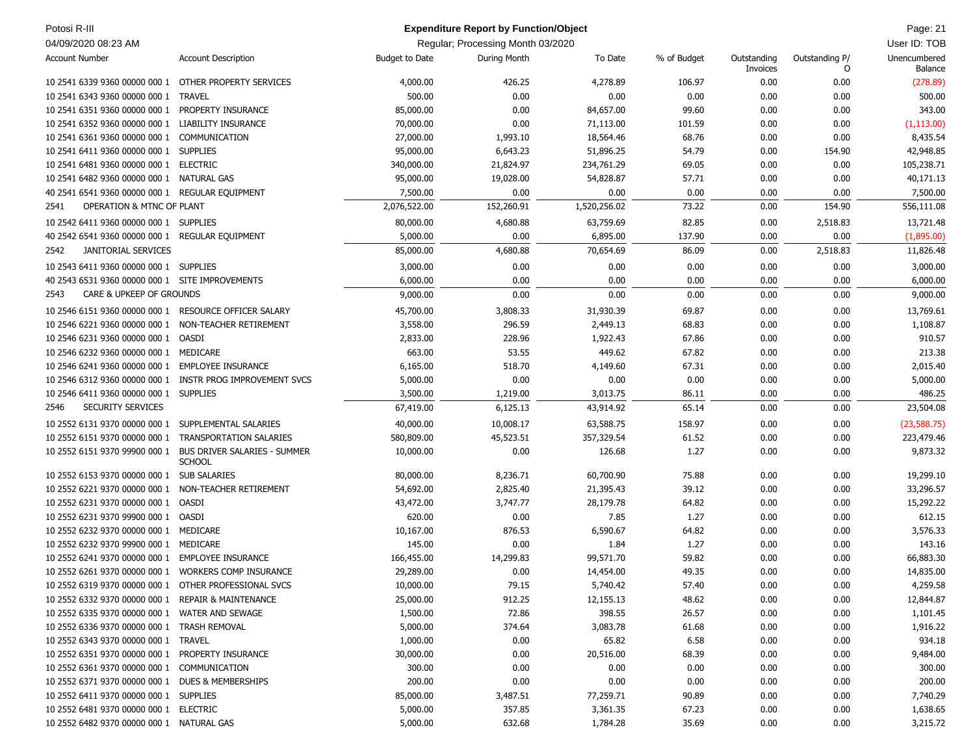| Potosi R-III                                          |                                                                             |                       | <b>Expenditure Report by Function/Object</b> |              |                 |                         |                     | Page: 21                |
|-------------------------------------------------------|-----------------------------------------------------------------------------|-----------------------|----------------------------------------------|--------------|-----------------|-------------------------|---------------------|-------------------------|
| 04/09/2020 08:23 AM                                   |                                                                             |                       | Regular; Processing Month 03/2020            |              |                 |                         |                     | User ID: TOB            |
| <b>Account Number</b>                                 | <b>Account Description</b>                                                  | <b>Budget to Date</b> | During Month                                 | To Date      | % of Budget     | Outstanding<br>Invoices | Outstanding P/<br>0 | Unencumbered<br>Balance |
| 10 2541 6339 9360 00000 000 1 OTHER PROPERTY SERVICES |                                                                             | 4,000.00              | 426.25                                       | 4,278.89     | 106.97          | 0.00                    | 0.00                | (278.89)                |
| 10 2541 6343 9360 00000 000 1 TRAVEL                  |                                                                             | 500.00                | 0.00                                         | 0.00         | 0.00            | 0.00                    | 0.00                | 500.00                  |
| 10 2541 6351 9360 00000 000 1                         | PROPERTY INSURANCE                                                          | 85,000.00             | 0.00                                         | 84,657.00    | 99.60           | 0.00                    | 0.00                | 343.00                  |
| 10 2541 6352 9360 00000 000 1 LIABILITY INSURANCE     |                                                                             | 70,000.00             | 0.00                                         | 71,113.00    | 101.59          | 0.00                    | 0.00                | (1, 113.00)             |
| 10 2541 6361 9360 00000 000 1                         | COMMUNICATION                                                               | 27,000.00             | 1,993.10                                     | 18,564.46    | 68.76           | 0.00                    | 0.00                | 8,435.54                |
| 10 2541 6411 9360 00000 000 1 SUPPLIES                |                                                                             | 95,000.00             | 6,643.23                                     | 51,896.25    | 54.79           | 0.00                    | 154.90              | 42,948.85               |
| 10 2541 6481 9360 00000 000 1 ELECTRIC                |                                                                             | 340,000.00            | 21,824.97                                    | 234,761.29   | 69.05           | 0.00                    | 0.00                | 105,238.71              |
| 10 2541 6482 9360 00000 000 1 NATURAL GAS             |                                                                             | 95,000.00             | 19,028.00                                    | 54,828.87    | 57.71           | 0.00                    | 0.00                | 40,171.13               |
| 40 2541 6541 9360 00000 000 1 REGULAR EQUIPMENT       |                                                                             | 7,500.00              | 0.00                                         | 0.00         | 0.00            | 0.00                    | 0.00                | 7,500.00                |
| <b>OPERATION &amp; MTNC OF PLANT</b><br>2541          |                                                                             | 2,076,522.00          | 152,260.91                                   | 1,520,256.02 | 73.22           | 0.00                    | 154.90              | 556,111.08              |
|                                                       |                                                                             |                       |                                              |              |                 |                         |                     |                         |
| 10 2542 6411 9360 00000 000 1 SUPPLIES                |                                                                             | 80,000.00             | 4,680.88<br>0.00                             | 63,759.69    | 82.85<br>137.90 | 0.00<br>0.00            | 2,518.83<br>0.00    | 13,721.48               |
| 40 2542 6541 9360 00000 000 1 REGULAR EQUIPMENT       |                                                                             | 5,000.00              |                                              | 6,895.00     |                 |                         |                     | (1,895.00)              |
| JANITORIAL SERVICES<br>2542                           |                                                                             | 85,000.00             | 4,680.88                                     | 70,654.69    | 86.09           | 0.00                    | 2,518.83            | 11,826.48               |
| 10 2543 6411 9360 00000 000 1 SUPPLIES                |                                                                             | 3,000.00              | 0.00                                         | 0.00         | 0.00            | 0.00                    | 0.00                | 3,000.00                |
| 40 2543 6531 9360 00000 000 1 SITE IMPROVEMENTS       |                                                                             | 6,000.00              | 0.00                                         | 0.00         | 0.00            | 0.00                    | 0.00                | 6,000.00                |
| CARE & UPKEEP OF GROUNDS<br>2543                      |                                                                             | 9,000.00              | 0.00                                         | 0.00         | 0.00            | 0.00                    | 0.00                | 9,000.00                |
| 10 2546 6151 9360 00000 000 1 RESOURCE OFFICER SALARY |                                                                             | 45,700.00             | 3,808.33                                     | 31,930.39    | 69.87           | 0.00                    | 0.00                | 13,769.61               |
| 10 2546 6221 9360 00000 000 1 NON-TEACHER RETIREMENT  |                                                                             | 3,558.00              | 296.59                                       | 2,449.13     | 68.83           | 0.00                    | 0.00                | 1,108.87                |
| 10 2546 6231 9360 00000 000 1                         | OASDI                                                                       | 2,833.00              | 228.96                                       | 1,922.43     | 67.86           | 0.00                    | 0.00                | 910.57                  |
| 10 2546 6232 9360 00000 000 1 MEDICARE                |                                                                             | 663.00                | 53.55                                        | 449.62       | 67.82           | 0.00                    | 0.00                | 213.38                  |
| 10 2546 6241 9360 00000 000 1 EMPLOYEE INSURANCE      |                                                                             | 6,165.00              | 518.70                                       | 4,149.60     | 67.31           | 0.00                    | 0.00                | 2,015.40                |
|                                                       | 10 2546 6312 9360 00000 000 1 INSTR PROG IMPROVEMENT SVCS                   | 5,000.00              | 0.00                                         | 0.00         | 0.00            | 0.00                    | 0.00                | 5,000.00                |
| 10 2546 6411 9360 00000 000 1 SUPPLIES                |                                                                             | 3,500.00              | 1,219.00                                     | 3,013.75     | 86.11           | 0.00                    | 0.00                | 486.25                  |
| SECURITY SERVICES<br>2546                             |                                                                             | 67,419.00             | 6,125.13                                     | 43,914.92    | 65.14           | 0.00                    | 0.00                | 23,504.08               |
| 10 2552 6131 9370 00000 000 1 SUPPLEMENTAL SALARIES   |                                                                             | 40,000.00             | 10,008.17                                    | 63,588.75    | 158.97          | 0.00                    | 0.00                | (23, 588.75)            |
| 10 2552 6151 9370 00000 000 1 TRANSPORTATION SALARIES |                                                                             | 580,809.00            | 45,523.51                                    | 357,329.54   | 61.52           | 0.00                    | 0.00                | 223,479.46              |
|                                                       | 10 2552 6151 9370 99900 000 1 BUS DRIVER SALARIES - SUMMER<br><b>SCHOOL</b> | 10,000.00             | 0.00                                         | 126.68       | 1.27            | 0.00                    | 0.00                | 9,873.32                |
| 10 2552 6153 9370 00000 000 1                         | <b>SUB SALARIES</b>                                                         | 80,000.00             | 8,236.71                                     | 60,700.90    | 75.88           | 0.00                    | 0.00                | 19,299.10               |
| 10 2552 6221 9370 00000 000 1                         | NON-TEACHER RETIREMENT                                                      | 54,692.00             | 2,825.40                                     | 21,395.43    | 39.12           | 0.00                    | 0.00                | 33,296.57               |
| 10 2552 6231 9370 00000 000 1                         | OASDI                                                                       | 43,472.00             | 3,747.77                                     | 28,179.78    | 64.82           | 0.00                    | 0.00                | 15,292.22               |
| 10 2552 6231 9370 99900 000 1                         | OASDI                                                                       | 620.00                | 0.00                                         | 7.85         | 1.27            | 0.00                    | 0.00                | 612.15                  |
| 10 2552 6232 9370 00000 000 1 MEDICARE                |                                                                             | 10,167.00             | 876.53                                       | 6,590.67     | 64.82           | 0.00                    | 0.00                | 3,576.33                |
| 10 2552 6232 9370 99900 000 1 MEDICARE                |                                                                             | 145.00                | 0.00                                         | 1.84         | 1.27            | 0.00                    | 0.00                | 143.16                  |
| 10 2552 6241 9370 00000 000 1 EMPLOYEE INSURANCE      |                                                                             | 166,455.00            | 14,299.83                                    | 99,571.70    | 59.82           | 0.00                    | 0.00                | 66,883.30               |
| 10 2552 6261 9370 00000 000 1 WORKERS COMP INSURANCE  |                                                                             | 29,289.00             | 0.00                                         | 14,454.00    | 49.35           | 0.00                    | 0.00                | 14,835.00               |
| 10 2552 6319 9370 00000 000 1 OTHER PROFESSIONAL SVCS |                                                                             | 10,000.00             | 79.15                                        | 5,740.42     | 57.40           | 0.00                    | 0.00                | 4,259.58                |
| 10 2552 6332 9370 00000 000 1 REPAIR & MAINTENANCE    |                                                                             | 25,000.00             | 912.25                                       | 12,155.13    | 48.62           | 0.00                    | 0.00                | 12,844.87               |
| 10 2552 6335 9370 00000 000 1 WATER AND SEWAGE        |                                                                             | 1,500.00              | 72.86                                        | 398.55       | 26.57           | 0.00                    | 0.00                | 1,101.45                |
| 10 2552 6336 9370 00000 000 1 TRASH REMOVAL           |                                                                             | 5,000.00              | 374.64                                       | 3,083.78     | 61.68           | 0.00                    | 0.00                | 1,916.22                |
| 10 2552 6343 9370 00000 000 1 TRAVEL                  |                                                                             | 1,000.00              | 0.00                                         | 65.82        | 6.58            | 0.00                    | 0.00                | 934.18                  |
| 10 2552 6351 9370 00000 000 1 PROPERTY INSURANCE      |                                                                             | 30,000.00             | 0.00                                         | 20,516.00    | 68.39           | 0.00                    | 0.00                | 9,484.00                |
| 10 2552 6361 9370 00000 000 1 COMMUNICATION           |                                                                             | 300.00                | 0.00                                         | 0.00         | 0.00            | 0.00                    | 0.00                | 300.00                  |
| 10 2552 6371 9370 00000 000 1 DUES & MEMBERSHIPS      |                                                                             | 200.00                | 0.00                                         | 0.00         | 0.00            | 0.00                    | 0.00                | 200.00                  |
| 10 2552 6411 9370 00000 000 1 SUPPLIES                |                                                                             | 85,000.00             | 3,487.51                                     | 77,259.71    | 90.89           | 0.00                    | 0.00                | 7,740.29                |
| 10 2552 6481 9370 00000 000 1 ELECTRIC                |                                                                             | 5,000.00              | 357.85                                       | 3,361.35     | 67.23           | 0.00                    | 0.00                | 1,638.65                |
|                                                       | 10 2552 6482 9370 00000 000 1 NATURAL GAS                                   | 5,000.00              | 632.68                                       | 1,784.28     | 35.69           | 0.00                    | 0.00                | 3,215.72                |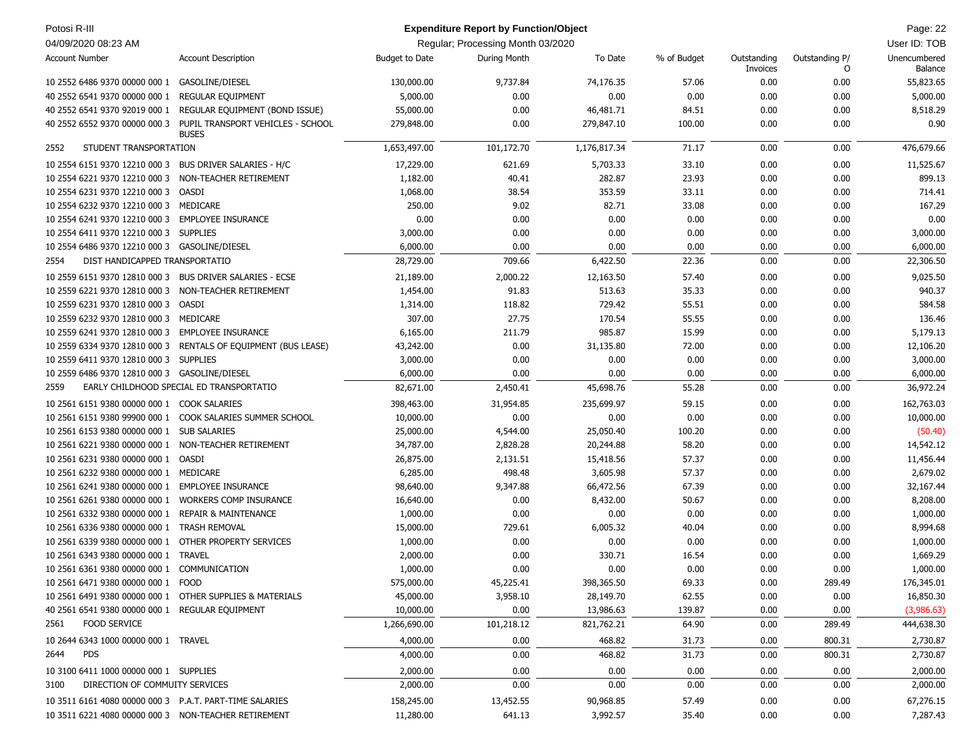| Potosi R-III                                             |                                                                |                       | <b>Expenditure Report by Function/Object</b> |              |             |                         |                     | Page: 22                |
|----------------------------------------------------------|----------------------------------------------------------------|-----------------------|----------------------------------------------|--------------|-------------|-------------------------|---------------------|-------------------------|
| 04/09/2020 08:23 AM                                      |                                                                |                       | Regular; Processing Month 03/2020            |              |             |                         |                     | User ID: TOB            |
| <b>Account Number</b>                                    | <b>Account Description</b>                                     | <b>Budget to Date</b> | During Month                                 | To Date      | % of Budget | Outstanding<br>Invoices | Outstanding P/<br>O | Unencumbered<br>Balance |
| 10 2552 6486 9370 00000 000 1 GASOLINE/DIESEL            |                                                                | 130,000.00            | 9,737.84                                     | 74,176.35    | 57.06       | 0.00                    | 0.00                | 55,823.65               |
| 40 2552 6541 9370 00000 000 1                            | <b>REGULAR EQUIPMENT</b>                                       | 5,000.00              | 0.00                                         | 0.00         | 0.00        | 0.00                    | 0.00                | 5,000.00                |
| 40 2552 6541 9370 92019 000 1                            | REGULAR EQUIPMENT (BOND ISSUE)                                 | 55,000.00             | 0.00                                         | 46,481.71    | 84.51       | 0.00                    | 0.00                | 8,518.29                |
| 40 2552 6552 9370 00000 000 3                            | PUPIL TRANSPORT VEHICLES - SCHOOL<br><b>BUSES</b>              | 279,848.00            | 0.00                                         | 279,847.10   | 100.00      | 0.00                    | 0.00                | 0.90                    |
| STUDENT TRANSPORTATION<br>2552                           |                                                                | 1,653,497.00          | 101,172.70                                   | 1,176,817.34 | 71.17       | 0.00                    | 0.00                | 476,679.66              |
| 10 2554 6151 9370 12210 000 3                            | <b>BUS DRIVER SALARIES - H/C</b>                               | 17,229.00             | 621.69                                       | 5,703.33     | 33.10       | 0.00                    | 0.00                | 11,525.67               |
| 10 2554 6221 9370 12210 000 3                            | NON-TEACHER RETIREMENT                                         | 1,182.00              | 40.41                                        | 282.87       | 23.93       | 0.00                    | 0.00                | 899.13                  |
| 10 2554 6231 9370 12210 000 3                            | OASDI                                                          | 1,068.00              | 38.54                                        | 353.59       | 33.11       | 0.00                    | 0.00                | 714.41                  |
| 10 2554 6232 9370 12210 000 3                            | MEDICARE                                                       | 250.00                | 9.02                                         | 82.71        | 33.08       | 0.00                    | 0.00                | 167.29                  |
| 10 2554 6241 9370 12210 000 3                            | <b>EMPLOYEE INSURANCE</b>                                      | 0.00                  | 0.00                                         | 0.00         | 0.00        | 0.00                    | 0.00                | 0.00                    |
| 10 2554 6411 9370 12210 000 3                            | <b>SUPPLIES</b>                                                | 3,000.00              | 0.00                                         | 0.00         | 0.00        | 0.00                    | 0.00                | 3,000.00                |
| 10 2554 6486 9370 12210 000 3 GASOLINE/DIESEL            |                                                                | 6,000.00              | 0.00                                         | 0.00         | 0.00        | 0.00                    | 0.00                | 6,000.00                |
| DIST HANDICAPPED TRANSPORTATIO<br>2554                   |                                                                | 28,729.00             | 709.66                                       | 6,422.50     | 22.36       | 0.00                    | 0.00                | 22,306.50               |
| 10 2559 6151 9370 12810 000 3 BUS DRIVER SALARIES - ECSE |                                                                | 21,189.00             | 2,000.22                                     | 12,163.50    | 57.40       | 0.00                    | 0.00                | 9,025.50                |
| 10 2559 6221 9370 12810 000 3                            | NON-TEACHER RETIREMENT                                         | 1,454.00              | 91.83                                        | 513.63       | 35.33       | 0.00                    | 0.00                | 940.37                  |
| 10 2559 6231 9370 12810 000 3                            | OASDI                                                          | 1,314.00              | 118.82                                       | 729.42       | 55.51       | 0.00                    | 0.00                | 584.58                  |
| 10 2559 6232 9370 12810 000 3                            | MEDICARE                                                       | 307.00                | 27.75                                        | 170.54       | 55.55       | 0.00                    | 0.00                | 136.46                  |
| 10 2559 6241 9370 12810 000 3                            | <b>EMPLOYEE INSURANCE</b>                                      | 6,165.00              | 211.79                                       | 985.87       | 15.99       | 0.00                    | 0.00                | 5,179.13                |
|                                                          | 10 2559 6334 9370 12810 000 3 RENTALS OF EQUIPMENT (BUS LEASE) | 43,242.00             | 0.00                                         | 31,135.80    | 72.00       | 0.00                    | 0.00                | 12,106.20               |
| 10 2559 6411 9370 12810 000 3                            | <b>SUPPLIES</b>                                                | 3,000.00              | 0.00                                         | 0.00         | 0.00        | 0.00                    | 0.00                | 3,000.00                |
| 10 2559 6486 9370 12810 000 3 GASOLINE/DIESEL            |                                                                | 6,000.00              | 0.00                                         | 0.00         | 0.00        | 0.00                    | 0.00                | 6,000.00                |
|                                                          | EARLY CHILDHOOD SPECIAL ED TRANSPORTATIO                       |                       |                                              |              |             |                         |                     |                         |
| 2559                                                     |                                                                | 82,671.00             | 2,450.41                                     | 45,698.76    | 55.28       | 0.00                    | 0.00                | 36,972.24               |
| 10 2561 6151 9380 00000 000 1 COOK SALARIES              |                                                                | 398,463.00            | 31,954.85                                    | 235,699.97   | 59.15       | 0.00                    | 0.00                | 162,763.03              |
|                                                          | 10 2561 6151 9380 99900 000 1 COOK SALARIES SUMMER SCHOOL      | 10,000.00             | 0.00                                         | 0.00         | 0.00        | 0.00                    | 0.00                | 10,000.00               |
| 10 2561 6153 9380 00000 000 1 SUB SALARIES               |                                                                | 25,000.00             | 4,544.00                                     | 25,050.40    | 100.20      | 0.00                    | 0.00                | (50.40)                 |
| 10 2561 6221 9380 00000 000 1 NON-TEACHER RETIREMENT     |                                                                | 34,787.00             | 2,828.28                                     | 20,244.88    | 58.20       | 0.00                    | 0.00                | 14,542.12               |
| 10 2561 6231 9380 00000 000 1 OASDI                      |                                                                | 26,875.00             | 2,131.51                                     | 15,418.56    | 57.37       | 0.00                    | 0.00                | 11,456.44               |
| 10 2561 6232 9380 00000 000 1 MEDICARE                   |                                                                | 6,285.00              | 498.48                                       | 3,605.98     | 57.37       | 0.00                    | 0.00                | 2,679.02                |
| 10 2561 6241 9380 00000 000 1 EMPLOYEE INSURANCE         |                                                                | 98,640.00             | 9,347.88                                     | 66,472.56    | 67.39       | 0.00                    | 0.00                | 32,167.44               |
| 10 2561 6261 9380 00000 000 1                            | <b>WORKERS COMP INSURANCE</b>                                  | 16,640.00             | 0.00                                         | 8,432.00     | 50.67       | 0.00                    | 0.00                | 8,208.00                |
| 10 2561 6332 9380 00000 000 1                            | <b>REPAIR &amp; MAINTENANCE</b>                                | 1,000.00              | 0.00                                         | 0.00         | 0.00        | 0.00                    | 0.00                | 1,000.00                |
| 10 2561 6336 9380 00000 000 1                            | <b>TRASH REMOVAL</b>                                           | 15,000.00             | 729.61                                       | 6,005.32     | 40.04       | 0.00                    | 0.00                | 8,994.68                |
| 10 2561 6339 9380 00000 000 1                            | OTHER PROPERTY SERVICES                                        | 1,000.00              | 0.00                                         | 0.00         | 0.00        | 0.00                    | 0.00                | 1,000.00                |
| 10 2561 6343 9380 00000 000 1 TRAVEL                     |                                                                | 2,000.00              | 0.00                                         | 330.71       | 16.54       | 0.00                    | 0.00                | 1,669.29                |
| 10 2561 6361 9380 00000 000 1 COMMUNICATION              |                                                                | 1,000.00              | 0.00                                         | 0.00         | 0.00        | 0.00                    | 0.00                | 1,000.00                |
| 10 2561 6471 9380 00000 000 1 FOOD                       |                                                                | 575,000.00            | 45,225.41                                    | 398,365.50   | 69.33       | 0.00                    | 289.49              | 176,345.01              |
| 10 2561 6491 9380 00000 000 1 OTHER SUPPLIES & MATERIALS |                                                                | 45,000.00             | 3,958.10                                     | 28,149.70    | 62.55       | 0.00                    | 0.00                | 16,850.30               |
| 40 2561 6541 9380 00000 000 1 REGULAR EQUIPMENT          |                                                                | 10,000.00             | 0.00                                         | 13,986.63    | 139.87      | 0.00                    | 0.00                | (3,986.63)              |
| 2561 FOOD SERVICE                                        |                                                                | 1,266,690.00          | 101,218.12                                   | 821,762.21   | 64.90       | 0.00                    | 289.49              | 444,638.30              |
| 10 2644 6343 1000 00000 000 1 TRAVEL                     |                                                                | 4,000.00              | 0.00                                         | 468.82       | 31.73       | 0.00                    | 800.31              | 2,730.87                |
| <b>PDS</b><br>2644                                       |                                                                | 4,000.00              | 0.00                                         | 468.82       | 31.73       | 0.00                    | 800.31              | 2,730.87                |
| 10 3100 6411 1000 00000 000 1 SUPPLIES                   |                                                                | 2,000.00              | 0.00                                         | 0.00         | 0.00        | 0.00                    | 0.00                | 2,000.00                |
| DIRECTION OF COMMUITY SERVICES<br>3100                   |                                                                | 2,000.00              | 0.00                                         | 0.00         | 0.00        | 0.00                    | 0.00                | 2,000.00                |
| 10 3511 6161 4080 00000 000 3 P.A.T. PART-TIME SALARIES  |                                                                | 158,245.00            | 13,452.55                                    | 90,968.85    | 57.49       | 0.00                    | 0.00                | 67,276.15               |
| 10 3511 6221 4080 00000 000 3 NON-TEACHER RETIREMENT     |                                                                | 11,280.00             | 641.13                                       | 3,992.57     | 35.40       | 0.00                    | 0.00                | 7,287.43                |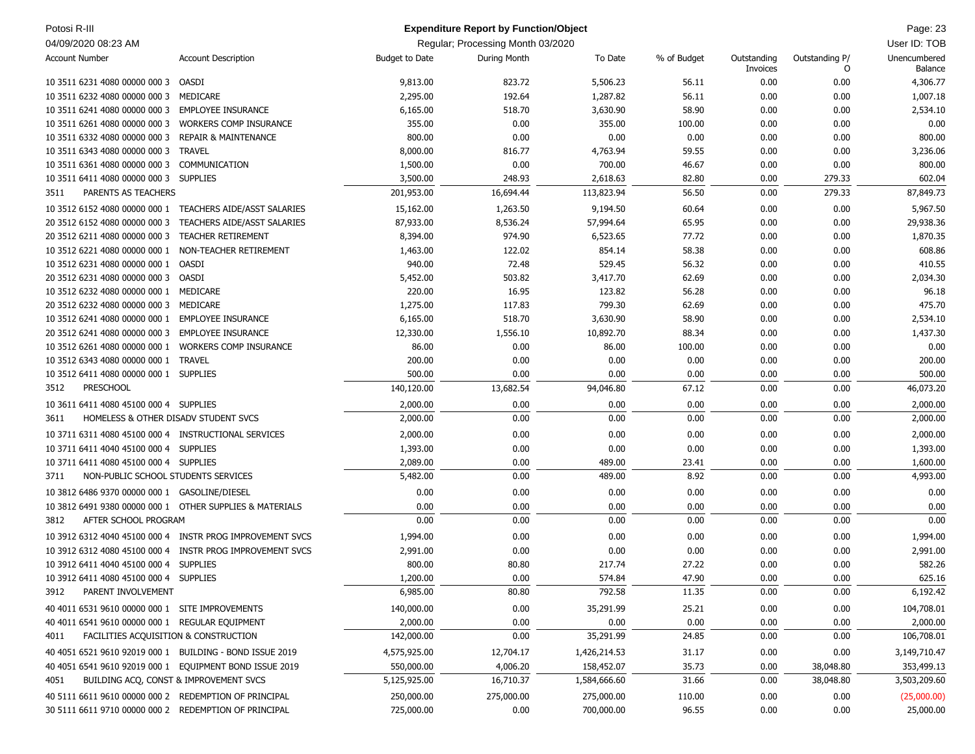| Potosi R-III                                                                                                   |                                                           |                            | <b>Expenditure Report by Function/Object</b> |                            |                 |                         |                     | Page: 23                   |
|----------------------------------------------------------------------------------------------------------------|-----------------------------------------------------------|----------------------------|----------------------------------------------|----------------------------|-----------------|-------------------------|---------------------|----------------------------|
| 04/09/2020 08:23 AM                                                                                            |                                                           |                            | Regular; Processing Month 03/2020            |                            |                 |                         |                     | User ID: TOB               |
| <b>Account Number</b>                                                                                          | <b>Account Description</b>                                | <b>Budget to Date</b>      | During Month                                 | To Date                    | % of Budget     | Outstanding<br>Invoices | Outstanding P/<br>O | Unencumbered<br>Balance    |
| 10 3511 6231 4080 00000 000 3                                                                                  | OASDI                                                     | 9,813.00                   | 823.72                                       | 5,506.23                   | 56.11           | 0.00                    | 0.00                | 4,306.77                   |
| 10 3511 6232 4080 00000 000 3                                                                                  | MEDICARE                                                  | 2,295.00                   | 192.64                                       | 1,287.82                   | 56.11           | 0.00                    | 0.00                | 1,007.18                   |
| 10 3511 6241 4080 00000 000 3 EMPLOYEE INSURANCE                                                               |                                                           | 6,165.00                   | 518.70                                       | 3,630.90                   | 58.90           | 0.00                    | 0.00                | 2,534.10                   |
| 10 3511 6261 4080 00000 000 3                                                                                  | <b>WORKERS COMP INSURANCE</b>                             | 355.00                     | 0.00                                         | 355.00                     | 100.00          | 0.00                    | 0.00                | 0.00                       |
| 10 3511 6332 4080 00000 000 3                                                                                  | <b>REPAIR &amp; MAINTENANCE</b>                           | 800.00                     | 0.00                                         | 0.00                       | 0.00            | 0.00                    | 0.00                | 800.00                     |
| 10 3511 6343 4080 00000 000 3                                                                                  | <b>TRAVEL</b>                                             | 8,000.00                   | 816.77                                       | 4,763.94                   | 59.55           | 0.00                    | 0.00                | 3,236.06                   |
| 10 3511 6361 4080 00000 000 3                                                                                  | COMMUNICATION                                             | 1,500.00                   | 0.00                                         | 700.00                     | 46.67           | 0.00                    | 0.00                | 800.00                     |
| 10 3511 6411 4080 00000 000 3                                                                                  | <b>SUPPLIES</b>                                           | 3,500.00                   | 248.93                                       | 2,618.63                   | 82.80           | 0.00                    | 279.33              | 602.04                     |
| PARENTS AS TEACHERS<br>3511                                                                                    |                                                           | 201,953.00                 | 16,694.44                                    | 113,823.94                 | 56.50           | 0.00                    | 279.33              | 87,849.73                  |
|                                                                                                                | 10 3512 6152 4080 00000 000 1 TEACHERS AIDE/ASST SALARIES | 15,162.00                  | 1,263.50                                     | 9,194.50                   | 60.64           | 0.00                    | 0.00                | 5,967.50                   |
| 20 3512 6152 4080 00000 000 3                                                                                  | TEACHERS AIDE/ASST SALARIES                               | 87,933.00                  | 8,536.24                                     | 57,994.64                  | 65.95           | 0.00                    | 0.00                | 29,938.36                  |
| 20 3512 6211 4080 00000 000 3                                                                                  | <b>TEACHER RETIREMENT</b>                                 | 8,394.00                   | 974.90                                       | 6,523.65                   | 77.72           | 0.00                    | 0.00                | 1,870.35                   |
| 10 3512 6221 4080 00000 000 1                                                                                  | NON-TEACHER RETIREMENT                                    | 1,463.00                   | 122.02                                       | 854.14                     | 58.38           | 0.00                    | 0.00                | 608.86                     |
| 10 3512 6231 4080 00000 000 1                                                                                  | OASDI                                                     | 940.00                     | 72.48                                        | 529.45                     | 56.32           | 0.00                    | 0.00                | 410.55                     |
| 20 3512 6231 4080 00000 000 3 OASDI                                                                            |                                                           | 5,452.00                   | 503.82                                       | 3,417.70                   | 62.69           | 0.00                    | 0.00                | 2,034.30                   |
| 10 3512 6232 4080 00000 000 1 MEDICARE                                                                         |                                                           | 220.00                     | 16.95                                        | 123.82                     | 56.28           | 0.00                    | 0.00                | 96.18                      |
| 20 3512 6232 4080 00000 000 3                                                                                  | MEDICARE                                                  | 1,275.00                   | 117.83                                       | 799.30                     | 62.69           | 0.00                    | 0.00                | 475.70                     |
| 10 3512 6241 4080 00000 000 1                                                                                  | <b>EMPLOYEE INSURANCE</b>                                 | 6,165.00                   | 518.70                                       | 3,630.90                   | 58.90           | 0.00                    | 0.00                | 2,534.10                   |
| 20 3512 6241 4080 00000 000 3                                                                                  | <b>EMPLOYEE INSURANCE</b>                                 | 12,330.00                  | 1,556.10                                     | 10,892.70                  | 88.34           | 0.00                    | 0.00                | 1,437.30                   |
| 10 3512 6261 4080 00000 000 1                                                                                  | <b>WORKERS COMP INSURANCE</b>                             | 86.00                      | 0.00                                         | 86.00                      | 100.00          | 0.00                    | 0.00                | 0.00                       |
| 10 3512 6343 4080 00000 000 1 TRAVEL                                                                           |                                                           | 200.00                     | 0.00                                         | 0.00                       | 0.00            | 0.00                    | 0.00                | 200.00                     |
| 10 3512 6411 4080 00000 000 1 SUPPLIES                                                                         |                                                           | 500.00                     | 0.00                                         | 0.00                       | 0.00            | 0.00                    | 0.00                | 500.00                     |
| <b>PRESCHOOL</b><br>3512                                                                                       |                                                           | 140,120.00                 | 13,682.54                                    | 94,046.80                  | 67.12           | 0.00                    | 0.00                | 46,073.20                  |
| 10 3611 6411 4080 45100 000 4 SUPPLIES                                                                         |                                                           | 2,000.00                   | 0.00                                         | 0.00                       | 0.00            | 0.00                    | 0.00                | 2,000.00                   |
| HOMELESS & OTHER DISADV STUDENT SVCS<br>3611                                                                   |                                                           | 2,000.00                   | 0.00                                         | 0.00                       | 0.00            | 0.00                    | 0.00                | 2,000.00                   |
| 10 3711 6311 4080 45100 000 4 INSTRUCTIONAL SERVICES                                                           |                                                           | 2,000.00                   | 0.00                                         | 0.00                       | 0.00            | 0.00                    | 0.00                | 2,000.00                   |
| 10 3711 6411 4040 45100 000 4 SUPPLIES                                                                         |                                                           | 1,393.00                   | 0.00                                         | 0.00                       | 0.00            | 0.00                    | 0.00                | 1,393.00                   |
| 10 3711 6411 4080 45100 000 4 SUPPLIES                                                                         |                                                           | 2,089.00                   | 0.00                                         | 489.00                     | 23.41           | 0.00                    | 0.00                | 1,600.00                   |
| NON-PUBLIC SCHOOL STUDENTS SERVICES<br>3711                                                                    |                                                           | 5,482.00                   | 0.00                                         | 489.00                     | 8.92            | 0.00                    | 0.00                | 4,993.00                   |
| 10 3812 6486 9370 00000 000 1 GASOLINE/DIESEL                                                                  |                                                           | 0.00                       | 0.00                                         | 0.00                       | 0.00            | 0.00                    | 0.00                | 0.00                       |
| 10 3812 6491 9380 00000 000 1 OTHER SUPPLIES & MATERIALS                                                       |                                                           | 0.00                       | 0.00                                         | 0.00                       | 0.00            | 0.00                    | 0.00                | 0.00                       |
| AFTER SCHOOL PROGRAM<br>3812                                                                                   |                                                           | 0.00                       | 0.00                                         | 0.00                       | 0.00            | 0.00                    | 0.00                | 0.00                       |
|                                                                                                                | 10 3912 6312 4040 45100 000 4 INSTR PROG IMPROVEMENT SVCS | 1,994.00                   | 0.00                                         | 0.00                       | 0.00            | 0.00                    | 0.00                | 1,994.00                   |
|                                                                                                                | 10 3912 6312 4080 45100 000 4 INSTR PROG IMPROVEMENT SVCS | 2,991.00                   | 0.00                                         | 0.00                       | 0.00            | 0.00                    | 0.00                | 2,991.00                   |
| 10 3912 6411 4040 45100 000 4 SUPPLIES                                                                         |                                                           | 800.00                     | 80.80                                        | 217.74                     | 27.22           | 0.00                    | 0.00                | 582.26                     |
| 10 3912 6411 4080 45100 000 4 SUPPLIES                                                                         |                                                           | 1,200.00                   | 0.00                                         | 574.84                     | 47.90           | 0.00                    | 0.00                | 625.16                     |
| PARENT INVOLVEMENT<br>3912                                                                                     |                                                           | 6,985.00                   | 80.80                                        | 792.58                     | 11.35           | 0.00                    | 0.00                | 6,192.42                   |
| 40 4011 6531 9610 00000 000 1 SITE IMPROVEMENTS                                                                |                                                           | 140,000.00                 | 0.00                                         | 35,291.99                  | 25.21           | 0.00                    | 0.00                | 104,708.01                 |
| 40 4011 6541 9610 00000 000 1 REGULAR EQUIPMENT                                                                |                                                           | 2,000.00                   | 0.00                                         | 0.00                       | 0.00            | 0.00                    | 0.00                | 2,000.00                   |
| FACILITIES ACQUISITION & CONSTRUCTION<br>4011                                                                  |                                                           | 142,000.00                 | 0.00                                         | 35,291.99                  | 24.85           | 0.00                    | 0.00                | 106,708.01                 |
| 40 4051 6521 9610 92019 000 1 BUILDING - BOND ISSUE 2019                                                       |                                                           |                            |                                              |                            |                 |                         |                     |                            |
| 40 4051 6541 9610 92019 000 1 EQUIPMENT BOND ISSUE 2019                                                        |                                                           | 4,575,925.00<br>550,000.00 | 12,704.17<br>4,006.20                        | 1,426,214.53<br>158,452.07 | 31.17<br>35.73  | 0.00<br>0.00            | 0.00<br>38,048.80   | 3,149,710.47<br>353,499.13 |
| 4051                                                                                                           | BUILDING ACQ, CONST & IMPROVEMENT SVCS                    | 5,125,925.00               | 16,710.37                                    | 1,584,666.60               | 31.66           | 0.00                    | 38,048.80           | 3,503,209.60               |
|                                                                                                                |                                                           |                            |                                              |                            |                 |                         |                     |                            |
| 40 5111 6611 9610 00000 000 2 REDEMPTION OF PRINCIPAL<br>30 5111 6611 9710 00000 000 2 REDEMPTION OF PRINCIPAL |                                                           | 250,000.00<br>725,000.00   | 275,000.00<br>0.00                           | 275,000.00<br>700,000.00   | 110.00<br>96.55 | 0.00<br>0.00            | 0.00<br>0.00        | (25,000.00)<br>25,000.00   |
|                                                                                                                |                                                           |                            |                                              |                            |                 |                         |                     |                            |